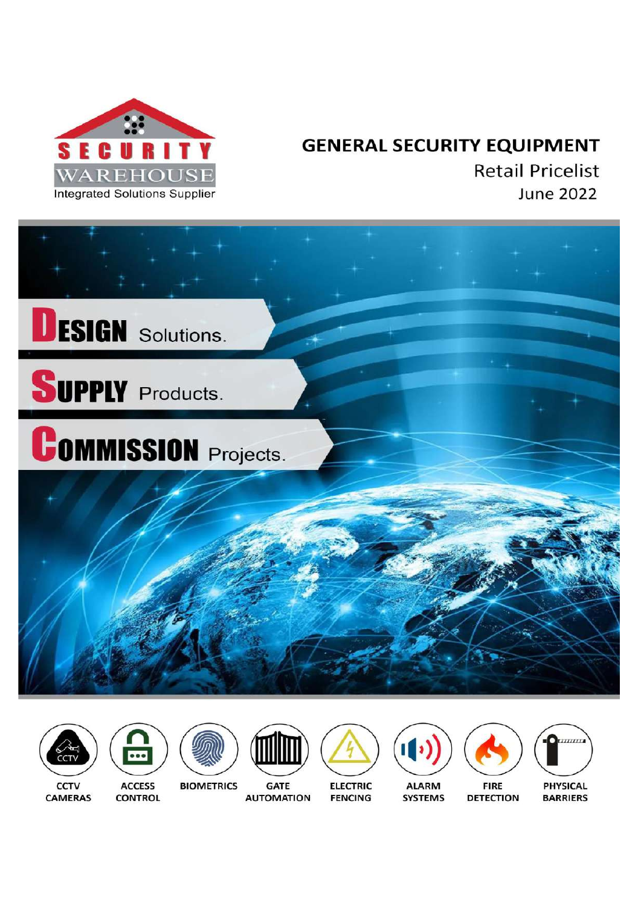

# **GENERAL SECURITY EQUIPMENT**

**Retail Pricelist June 2022** 



















**PHYSICAL BARRIERS** 

CCTV **CAMERAS** 

**ACCESS CONTROL** 

**GATE AUTOMATION** 

**ELECTRIC FENCING** 

**SYSTEMS** 

**FIRE DETECTION** 

**BIOMETRICS**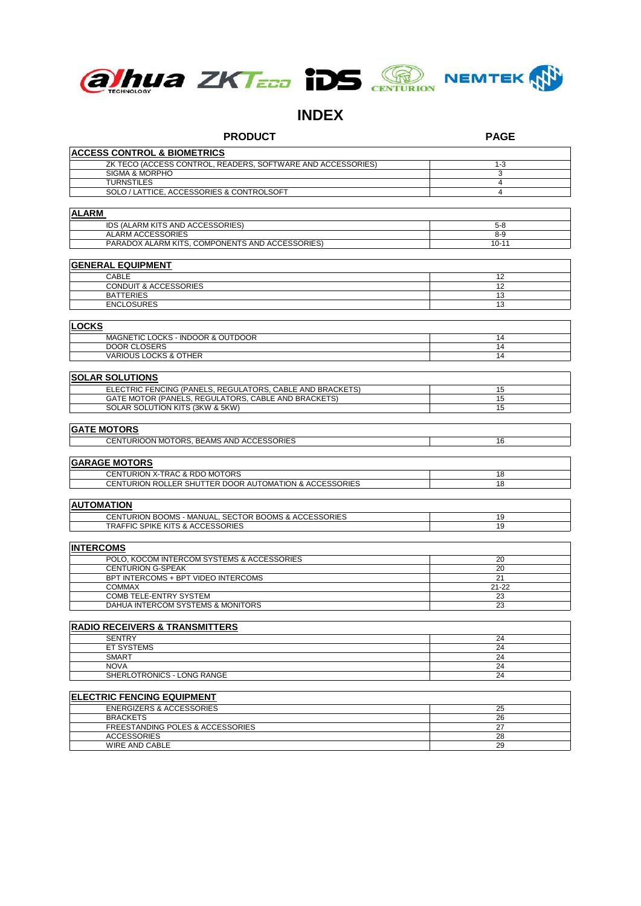

# **INDEX**

| <b>PRODUCT</b>                                                 | <b>PAGE</b>    |
|----------------------------------------------------------------|----------------|
| <b>ACCESS CONTROL &amp; BIOMETRICS</b>                         |                |
| ZK TECO (ACCESS CONTROL, READERS, SOFTWARE AND ACCESSORIES)    | $1 - 3$        |
| SIGMA & MORPHO                                                 | 3              |
| <b>TURNSTILES</b>                                              | 4              |
| SOLO / LATTICE, ACCESSORIES & CONTROLSOFT                      | $\overline{4}$ |
| ALARM                                                          |                |
| IDS (ALARM KITS AND ACCESSORIES)                               | $5 - 8$        |
| ALARM ACCESSORIES                                              | $8-9$          |
| PARADOX ALARM KITS, COMPONENTS AND ACCESSORIES)                | $10 - 11$      |
| <b>GENERAL EQUIPMENT</b>                                       |                |
| <b>CABLE</b>                                                   | 12             |
| <b>CONDUIT &amp; ACCESSORIES</b>                               | 12             |
| <b>BATTERIES</b>                                               | 13             |
| <b>ENCLOSURES</b>                                              | 13             |
| <b>LOCKS</b>                                                   |                |
| MAGNETIC LOCKS - INDOOR & OUTDOOR                              | 14             |
| <b>DOOR CLOSERS</b>                                            | 14             |
| <b>VARIOUS LOCKS &amp; OTHER</b>                               | 14             |
| <b>SOLAR SOLUTIONS</b>                                         |                |
| ELECTRIC FENCING (PANELS, REGULATORS, CABLE AND BRACKETS)      | 15             |
| GATE MOTOR (PANELS, REGULATORS, CABLE AND BRACKETS)            | 15             |
| SOLAR SOLUTION KITS (3KW & 5KW)                                | 15             |
| <b>GATE MOTORS</b>                                             |                |
| CENTURIOON MOTORS, BEAMS AND ACCESSORIES                       | 16             |
|                                                                |                |
| <b>GARAGE MOTORS</b>                                           |                |
| CENTURION X-TRAC & RDO MOTORS                                  | 18             |
| CENTURION ROLLER SHUTTER DOOR AUTOMATION & ACCESSORIES         | 18             |
| <b>AUTOMATION</b>                                              |                |
| CENTURION BOOMS - MANUAL, SECTOR BOOMS & ACCESSORIES           | 19             |
| TRAFFIC SPIKE KITS & ACCESSORIES                               | 19             |
|                                                                |                |
| <b>INTERCOMS</b><br>POLO, KOCOM INTERCOM SYSTEMS & ACCESSORIES |                |
| <b>CENTURION G-SPEAK</b>                                       | 20<br>20       |
| BPT INTERCOMS + BPT VIDEO INTERCOMS                            | 21             |
| <b>COMMAX</b>                                                  | $21 - 22$      |
| COMB TELE-ENTRY SYSTEM                                         | 23             |
| DAHUA INTERCOM SYSTEMS & MONITORS                              | 23             |
| <b>RADIO RECEIVERS &amp; TRANSMITTERS</b>                      |                |
| <b>SENTRY</b>                                                  | 24             |
| <b>ET SYSTEMS</b>                                              | 24             |
| <b>SMART</b>                                                   | 24             |
| <b>NOVA</b>                                                    | 24             |
| SHERLOTRONICS - LONG RANGE                                     | 24             |
| <b>ELECTRIC FENCING EQUIPMENT</b>                              |                |
| <b>ENERGIZERS &amp; ACCESSORIES</b>                            | 25             |
| <b>BRACKETS</b>                                                | 26             |
| FREESTANDING POLES & ACCESSORIES                               | 27             |
| <b>ACCESSORIES</b>                                             | 28             |
| WIRE AND CABLE                                                 | 29             |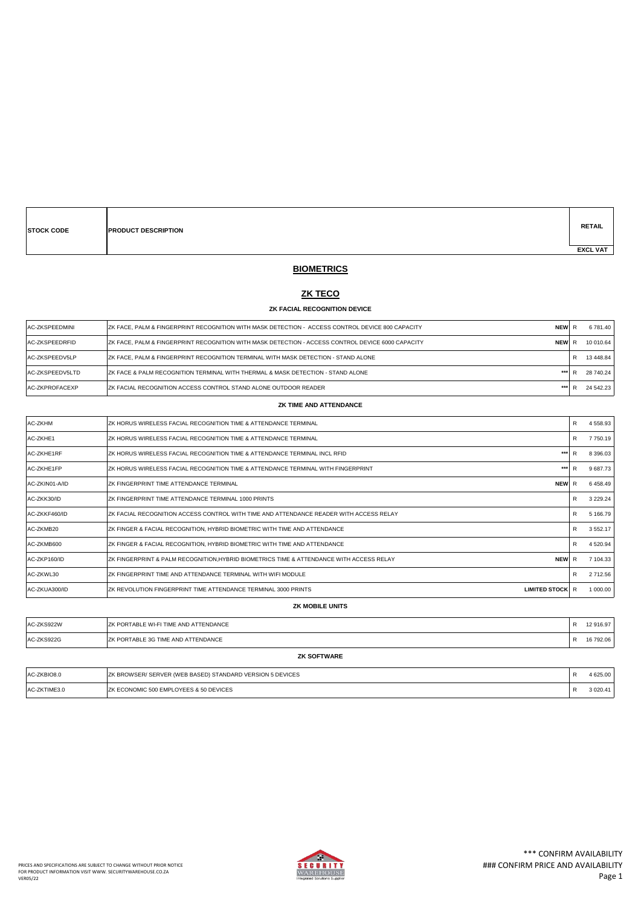| <b>STOCK CODE</b> | <b>PRODUCT DESCRIPTION</b> |  |  | <b>RETAIL</b>   |
|-------------------|----------------------------|--|--|-----------------|
|                   |                            |  |  | <b>EXCL VAT</b> |

# **BIOMETRICS**

### **ZK TECO**

#### **ZK FACIAL RECOGNITION DEVICE**

| <b>IAC-ZKSPEEDMINI</b> | <b>NEW</b><br>IZK FACE. PALM & FINGERPRINT RECOGNITION WITH MASK DETECTION - ACCESS CONTROL DEVICE 800 CAPACITY  |  | 6 781.40  |
|------------------------|------------------------------------------------------------------------------------------------------------------|--|-----------|
| <b>AC-ZKSPEEDRFID</b>  | <b>NEW</b><br>IZK FACE. PALM & FINGERPRINT RECOGNITION WITH MASK DETECTION - ACCESS CONTROL DEVICE 6000 CAPACITY |  | 10 010.64 |
| AC-ZKSPEEDV5LP         | IZK FACE. PALM & FINGERPRINT RECOGNITION TERMINAL WITH MASK DETECTION - STAND ALONE                              |  | 13 448.84 |
| AC-ZKSPEEDV5LTD        | IZK FACE & PALM RECOGNITION TERMINAL WITH THERMAL & MASK DETECTION - STAND ALONE<br>***                          |  | 28 740.24 |
| AC-ZKPROFACEXP         | <b>IZK FACIAL RECOGNITION ACCESS CONTROL STAND ALONE OUTDOOR READER</b>                                          |  | 24 542 23 |

#### **ZK TIME AND ATTENDANCE**

| <b>AC-ZKHM</b> | ZK HORUS WIRELESS FACIAL RECOGNITION TIME & ATTENDANCE TERMINAL                                       | R<br>4 5 5 8 . 9 3 |
|----------------|-------------------------------------------------------------------------------------------------------|--------------------|
| AC-ZKHE1       | IZK HORUS WIRELESS FACIAL RECOGNITION TIME & ATTENDANCE TERMINAL                                      | 7 750.19<br>R      |
| AC-ZKHE1RF     | ***<br>IZK HORUS WIRELESS FACIAL RECOGNITION TIME & ATTENDANCE TERMINAL INCL RFID                     | 8 3 9 6 . 0 3      |
| AC-ZKHE1FP     | ***<br>ZK HORUS WIRELESS FACIAL RECOGNITION TIME & ATTENDANCE TERMINAL WITH FINGERPRINT               | 9 687.73           |
| AC-ZKIN01-A/ID | <b>NEW</b><br><b>ZK FINGERPRINT TIME ATTENDANCE TERMINAL</b>                                          | 6458.49            |
| AC-ZKK30/ID    | ZK FINGERPRINT TIME ATTENDANCE TERMINAL 1000 PRINTS                                                   | 3 2 2 9 . 2 4<br>R |
| AC-ZKKF460/ID  | IZK FACIAL RECOGNITION ACCESS CONTROL WITH TIME AND ATTENDANCE READER WITH ACCESS RELAY               | 5 166.79<br>R      |
| AC-ZKMB20      | ZK FINGER & FACIAL RECOGNITION, HYBRID BIOMETRIC WITH TIME AND ATTENDANCE                             | 3 5 5 2.17<br>R    |
| AC-ZKMB600     | ZK FINGER & FACIAL RECOGNITION, HYBRID BIOMETRIC WITH TIME AND ATTENDANCE                             | 4 520.94<br>R      |
| AC-ZKP160/ID   | <b>NEW</b><br>ZK FINGERPRINT & PALM RECOGNITION,HYBRID BIOMETRICS TIME & ATTENDANCE WITH ACCESS RELAY | 7 104.33<br>R      |
| AC-ZKWL30      | IZK FINGERPRINT TIME AND ATTENDANCE TERMINAL WITH WIFI MODULE                                         | 2 712.56<br>R      |
| IAC-ZKUA300/ID | ZK REVOLUTION FINGERPRINT TIME ATTENDANCE TERMINAL 3000 PRINTS<br><b>LIMITED STOCK R</b>              | 1 000.00           |

### **ZK MOBILE UNITS**

| AC-ZKS922W<br>AC-ZKS922G | <b>IZK PORTABLE WI-FI TIME AND ATTENDANCE</b> |  | 12 916.97 |  |
|--------------------------|-----------------------------------------------|--|-----------|--|
|                          | <b>IZK PORTABLE 3G TIME AND ATTENDANCE</b>    |  | 16 792.06 |  |
| <b>ZK SOFTWARE</b>       |                                               |  |           |  |

| AC-ZKBIO8.0  | <b>ZK BROWSER/ SERVER (WEB BASED) STANDARD VERSION 5 DEVICES</b> | 625.00   |
|--------------|------------------------------------------------------------------|----------|
| AC-ZKTIME3.0 | <b>IZK ECONOMIC 500 EMPLOYEES &amp; 50 DEVICES</b>               | 3 020.41 |

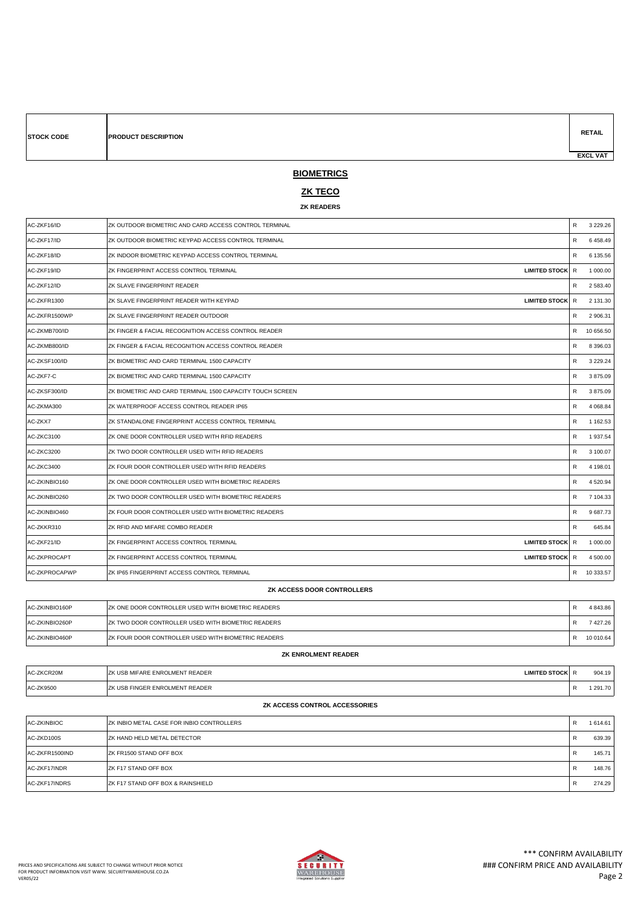| <b>STOCK CODE</b> | <b>PRODUCT DESCRIPTION</b> | <b>RETAIL</b>   |
|-------------------|----------------------------|-----------------|
|                   |                            | <b>EXCL VAT</b> |

# **BIOMETRICS**

### **ZK TECO**

### **ZK READERS**

| AC-ZKF16/ID                | ZK OUTDOOR BIOMETRIC AND CARD ACCESS CONTROL TERMINAL           | $\mathsf{R}$ | 3 2 2 9 . 2 6 |
|----------------------------|-----------------------------------------------------------------|--------------|---------------|
| AC-ZKF17/ID                | ZK OUTDOOR BIOMETRIC KEYPAD ACCESS CONTROL TERMINAL             | R            | 6 458.49      |
| AC-ZKF18/ID                | ZK INDOOR BIOMETRIC KEYPAD ACCESS CONTROL TERMINAL              | R            | 6 135.56      |
| AC-ZKF19/ID                | ZK FINGERPRINT ACCESS CONTROL TERMINAL<br><b>LIMITED STOCK</b>  | R            | 1 000.00      |
| AC-ZKF12/ID                | ZK SLAVE FINGERPRINT READER                                     | R            | 2 583.40      |
| AC-ZKFR1300                | ZK SLAVE FINGERPRINT READER WITH KEYPAD<br><b>LIMITED STOCK</b> | R            | 2 131.30      |
| AC-ZKFR1500WP              | ZK SLAVE FINGERPRINT READER OUTDOOR                             | R            | 2 906.31      |
| AC-ZKMB700/ID              | ZK FINGER & FACIAL RECOGNITION ACCESS CONTROL READER            | R            | 10 656.50     |
| AC-ZKMB800/ID              | ZK FINGER & FACIAL RECOGNITION ACCESS CONTROL READER            | R            | 8 396.03      |
| AC-ZKSF100/ID              | ZK BIOMETRIC AND CARD TERMINAL 1500 CAPACITY                    | $\mathsf{R}$ | 3 2 2 9 . 2 4 |
| AC-ZKF7-C                  | ZK BIOMETRIC AND CARD TERMINAL 1500 CAPACITY                    | R            | 3875.09       |
| AC-ZKSF300/ID              | ZK BIOMETRIC AND CARD TERMINAL 1500 CAPACITY TOUCH SCREEN       | $\mathsf{R}$ | 3875.09       |
| AC-ZKMA300                 | ZK WATERPROOF ACCESS CONTROL READER IP65                        | R            | 4 0 68.84     |
| AC-ZKX7                    | ZK STANDALONE FINGERPRINT ACCESS CONTROL TERMINAL               | R            | 1 162.53      |
| AC-ZKC3100                 | ZK ONE DOOR CONTROLLER USED WITH RFID READERS                   | R            | 1 937.54      |
| AC-ZKC3200                 | ZK TWO DOOR CONTROLLER USED WITH RFID READERS                   | R            | 3 100.07      |
| AC-ZKC3400                 | ZK FOUR DOOR CONTROLLER USED WITH RFID READERS                  | $\mathsf{R}$ | 4 198.01      |
| AC-ZKINBIO160              | ZK ONE DOOR CONTROLLER USED WITH BIOMETRIC READERS              | R            | 4 520.94      |
| AC-ZKINBIO260              | ZK TWO DOOR CONTROLLER USED WITH BIOMETRIC READERS              | $\mathsf{R}$ | 7 104.33      |
| AC-ZKINBIO460              | ZK FOUR DOOR CONTROLLER USED WITH BIOMETRIC READERS             | R            | 9 687.73      |
| AC-ZKKR310                 | ZK RFID AND MIFARE COMBO READER                                 | $\mathsf{R}$ | 645.84        |
| AC-ZKF21/ID                | <b>LIMITED STOCK</b><br>ZK FINGERPRINT ACCESS CONTROL TERMINAL  | R            | 1 000.00      |
| AC-ZKPROCAPT               | ZK FINGERPRINT ACCESS CONTROL TERMINAL<br><b>LIMITED STOCK</b>  | R            | 4 500.00      |
| AC-ZKPROCAPWP              | ZK IP65 FINGERPRINT ACCESS CONTROL TERMINAL                     |              | R 10 333.57   |
| ZK ACCESS DOOR CONTROLLERS |                                                                 |              |               |

| AC-ZKINBIO160P | IZK ONE DOOR CONTROLLER USED WITH BIOMETRIC READERS         | 4843.86   |
|----------------|-------------------------------------------------------------|-----------|
| AC-ZKINBIO260P | IZK TWO DOOR CONTROLLER USED WITH BIOMETRIC READERS         | 427.26    |
| AC-ZKINBIO460P | <b>IZK FOUR DOOR CONTROLLER USED WITH BIOMETRIC READERS</b> | 10 010.64 |

| AC-ZKCR20M | <b>LIMITED STOCK</b><br>IZK USB MIFARE ENROLMENT READER |                          | 904.19 |
|------------|---------------------------------------------------------|--------------------------|--------|
| AC-ZK9500  | <b>IZK USB FINGER ENROLMENT READER</b>                  | $\overline{\phantom{a}}$ | 291.70 |
|            |                                                         |                          |        |

**ZK ENROLMENT READER**

### **ZK ACCESS CONTROL ACCESSORIES**

| AC-ZKINBIOC    | ZK INBIO METAL CASE FOR INBIO CONTROLLERS     | R | 1 614.61 |
|----------------|-----------------------------------------------|---|----------|
| AC-ZKD100S     | <b>IZK HAND HELD METAL DETECTOR</b>           | R | 639.39   |
| AC-ZKFR1500IND | <b>IZK FR1500 STAND OFF BOX</b>               | R | 145.71   |
| AC-ZKF17INDR   | <b>IZK F17 STAND OFF BOX</b>                  | R | 148.76   |
| AC-ZKF17INDRS  | <b>IZK F17 STAND OFF BOX &amp; RAINSHIELD</b> | R | 274.29   |

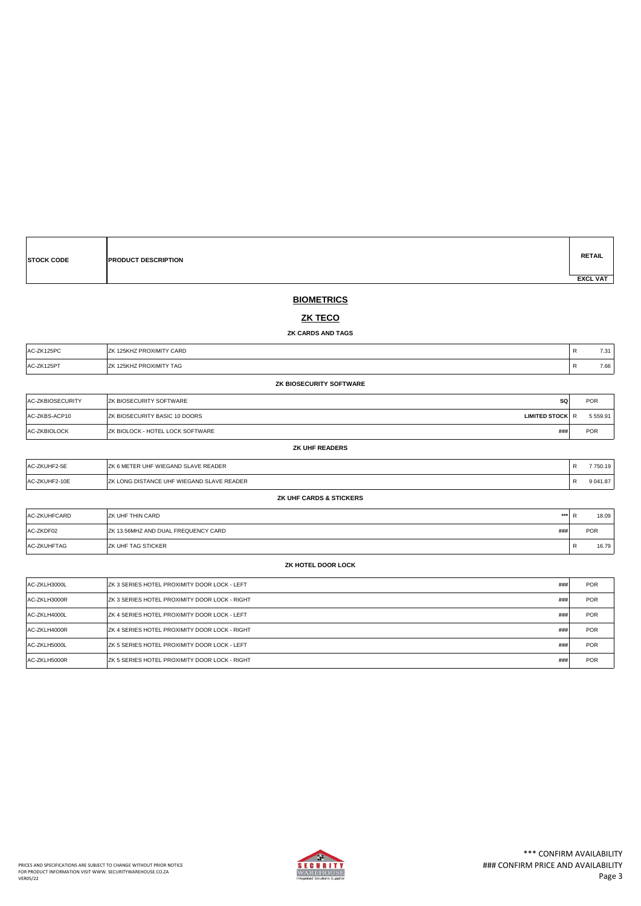| <b>STOCK CODE</b> | <b>PRODUCT DESCRIPTION</b> | <b>RETAIL</b>   |
|-------------------|----------------------------|-----------------|
|                   |                            | <b>EXCL VAT</b> |

### **BIOMETRICS**

### **ZK TECO**

**ZK CARDS AND TAGS**

| AC-ZK125PC | IZK 125KHZ PROXIMITY CARD | $\overline{\phantom{a}}$ | 7.31 |
|------------|---------------------------|--------------------------|------|
| AC-ZK125PT | IZK 125KHZ PROXIMITY TAG  | $\overline{\mathbf{v}}$  | 7.66 |

**ZK BIOSECURITY SOFTWARE**

| <b>AC-ZKBIOSECURITY</b> | <b>IZK BIOSECURITY SOFTWARE</b>          | SQ                     | <b>POR</b> |
|-------------------------|------------------------------------------|------------------------|------------|
| AC-ZKBS-ACP10           | <b>IZK BIOSECURITY BASIC 10 DOORS</b>    | <b>LIMITED STOCK R</b> | 5 5 5 9.91 |
| AC-ZKBIOLOCK            | <b>IZK BIOLOCK - HOTEL LOCK SOFTWARE</b> | ###                    | <b>POR</b> |

| AC-ZKUHF2-5E  | IZK 6 METER UHF WIEGAND SLAVE READER       | 750.19   |
|---------------|--------------------------------------------|----------|
| AC-ZKUHF2-10E | IZK LONG DISTANCE UHF WIEGAND SLAVE READER | 9 041.87 |

**ZK UHF CARDS & STICKERS**

**ZK UHF READERS**

| <b>AC-ZKUHFCARD</b> | ***<br><b>ZK UHF THIN CARD</b>                     | חו | 18.09<br>Ð      |
|---------------------|----------------------------------------------------|----|-----------------|
| AC-ZKDF02           | ###<br><b>IZK 13.56MHZ AND DUAL FREQUENCY CARD</b> |    | <b>POR</b>      |
| AC-ZKUHFTAG         | <b>IZK UHF TAG STICKER</b>                         |    | 16.79<br>D<br>ĸ |

### **ZK HOTEL DOOR LOCK**

| AC-ZKLH3000L | ###<br>IZK 3 SERIES HOTEL PROXIMITY DOOR LOCK - LEFT         | <b>POR</b> |
|--------------|--------------------------------------------------------------|------------|
| AC-ZKLH3000R | ###<br>IZK 3 SERIES HOTEL PROXIMITY DOOR LOCK - RIGHT        | <b>POR</b> |
| AC-ZKLH4000L | ###<br><b>IZK 4 SERIES HOTEL PROXIMITY DOOR LOCK - LEFT</b>  | <b>POR</b> |
| AC-ZKLH4000R | ###<br><b>IZK 4 SERIES HOTEL PROXIMITY DOOR LOCK - RIGHT</b> | <b>POR</b> |
| AC-ZKLH5000L | ###<br><b>IZK 5 SERIES HOTEL PROXIMITY DOOR LOCK - LEFT</b>  | <b>POR</b> |
| AC-ZKLH5000R | ###<br>IZK 5 SERIES HOTEL PROXIMITY DOOR LOCK - RIGHT        | <b>POR</b> |

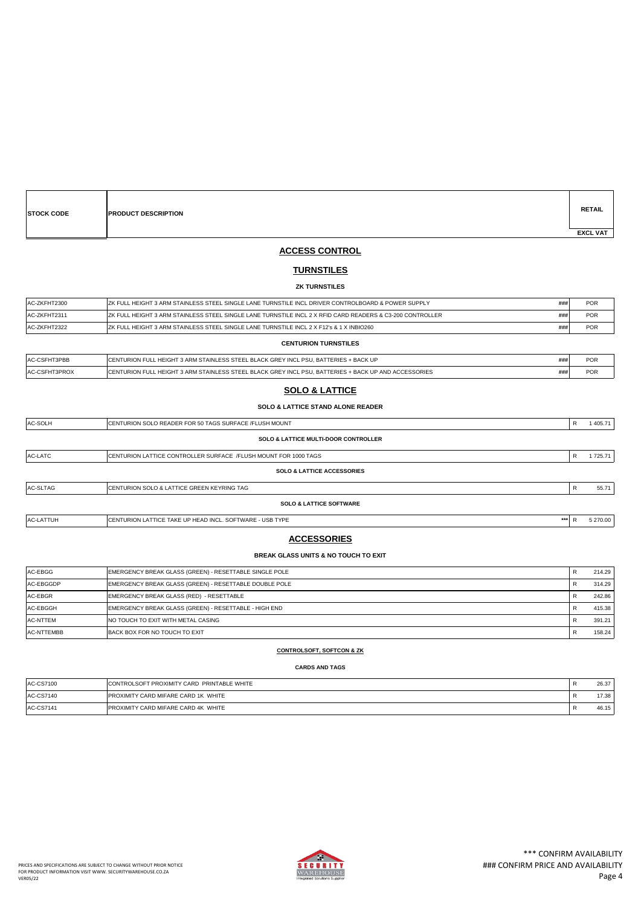| <b>STOCK CODE</b> | <b>PRODUCT DESCRIPTION</b> |  |  | <b>RETAIL</b>   |
|-------------------|----------------------------|--|--|-----------------|
|                   |                            |  |  | <b>EXCL VAT</b> |

### **ACCESS CONTROL**

### **TURNSTILES**

#### **ZK TURNSTILES**

| AC-ZKFHT2300 | IZK FULL HEIGHT 3 ARM STAINLESS STEEL SINGLE LANE TURNSTILE INCL DRIVER CONTROLBOARD & POWER SUPPLY<br>###        | <b>POR</b> |
|--------------|-------------------------------------------------------------------------------------------------------------------|------------|
| AC-ZKFHT2311 | ###<br>IZK FULL HEIGHT 3 ARM STAINLESS STEEL SINGLE LANE TURNSTILE INCL 2 X RFID CARD READERS & C3-200 CONTROLLER | <b>POR</b> |
| AC-ZKFHT2322 | ###<br>IZK FULL HEIGHT 3 ARM STAINLESS STEEL SINGLE LANE TURNSTILE INCL 2 X F12's & 1 X INBIO260                  | <b>POR</b> |
|              | <b>CENTURION TURNSTILES</b>                                                                                       |            |
|              |                                                                                                                   |            |

| IAC-CSFHT3PBB         | ICENTURION FULL HEIGHT 3 ARM STAINLESS STEEL BLACK GREY INCL PSU. BATTERIES + BACK UP                 | ∽∪∧        |
|-----------------------|-------------------------------------------------------------------------------------------------------|------------|
| <b>IAC-CSFHT3PROX</b> | ICENTURION FULL HEIGHT 3 ARM STAINLESS STEEL BLACK GREY INCL PSU. BATTERIES + BACK UP AND ACCESSORIES | <b>POR</b> |
|                       |                                                                                                       |            |

### **SOLO & LATTICE**

### **SOLO & LATTICE STAND ALONE READER**

| AC-SOLH          | ICENTURION SOLO READER FOR 50 TAGS SURFACE /FLUSH MOUNT          |     | R | 1405.71  |
|------------------|------------------------------------------------------------------|-----|---|----------|
|                  | <b>SOLO &amp; LATTICE MULTI-DOOR CONTROLLER</b>                  |     |   |          |
| AC-LATC          | CENTURION LATTICE CONTROLLER SURFACE / FLUSH MOUNT FOR 1000 TAGS |     | R | 1725.71  |
|                  | <b>SOLO &amp; LATTICE ACCESSORIES</b>                            |     |   |          |
| AC-SLTAG         | ICENTURION SOLO & LATTICE GREEN KEYRING TAG                      |     |   | 55.71    |
|                  | <b>SOLO &amp; LATTICE SOFTWARE</b>                               |     |   |          |
| <b>AC-LATTUH</b> | ICENTURION LATTICE TAKE UP HEAD INCL. SOFTWARE - USB TYPE        | *** |   | 5 270.00 |

# **ACCESSORIES**

#### **BREAK GLASS UNITS & NO TOUCH TO EXIT**

| AC-EBGG         | EMERGENCY BREAK GLASS (GREEN) - RESETTABLE SINGLE POLE | 214.29 |
|-----------------|--------------------------------------------------------|--------|
| AC-EBGGDP       | EMERGENCY BREAK GLASS (GREEN) - RESETTABLE DOUBLE POLE | 314.29 |
| AC-EBGR         | EMERGENCY BREAK GLASS (RED) - RESETTABLE               | 242.86 |
| AC-EBGGH        | EMERGENCY BREAK GLASS (GREEN) - RESETTABLE - HIGH END  | 415.38 |
| <b>AC-NTTEM</b> | INO TOUCH TO EXIT WITH METAL CASING                    | 391.21 |
| AC-NTTEMBB      | BACK BOX FOR NO TOUCH TO EXIT                          | 158.24 |

#### **CONTROLSOFT, SOFTCON & ZK**

### **CARDS AND TAGS**

| <b>AC-CS7100</b> | CONTROLSOFT PROXIMITY CARD PRINTABLE WHITE  | 26.37 |
|------------------|---------------------------------------------|-------|
| AC-CS7140        | <b>PROXIMITY CARD MIFARE CARD 1K WHITE</b>  | 17.38 |
| AC-CS7141        | <b>IPROXIMITY CARD MIFARE CARD 4K WHITE</b> | 46.15 |

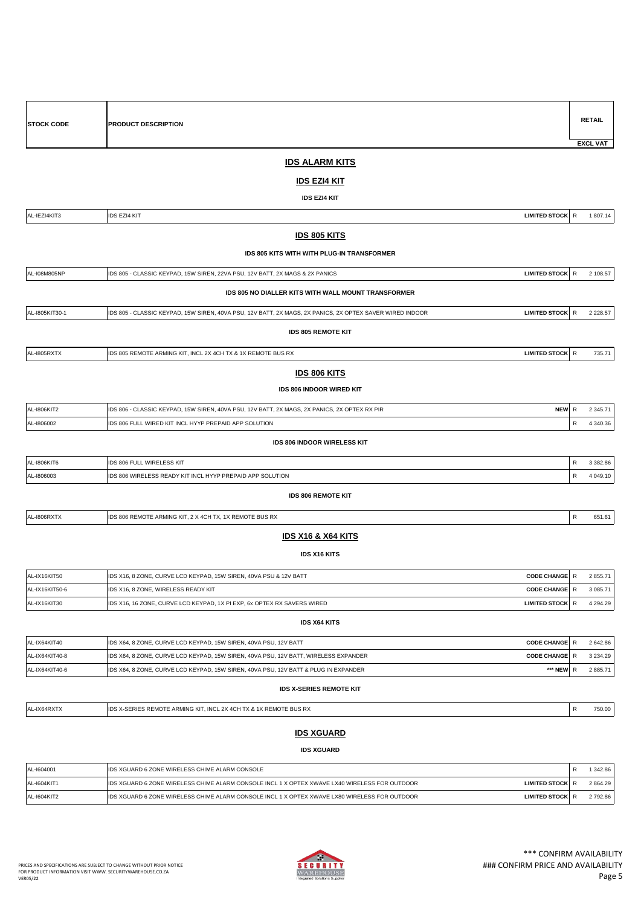| <b>STOCK CODE</b> | PRODUCT DESCRIPTION                                                                                      |                      |              | <b>RETAIL</b>   |
|-------------------|----------------------------------------------------------------------------------------------------------|----------------------|--------------|-----------------|
|                   | <b>IDS ALARM KITS</b>                                                                                    |                      |              | <b>EXCL VAT</b> |
|                   |                                                                                                          |                      |              |                 |
|                   | <u>IDS EZI4 KIT</u>                                                                                      |                      |              |                 |
|                   | <b>IDS EZI4 KIT</b>                                                                                      |                      |              |                 |
| AL-IEZI4KIT3      | <b>IDS EZI4 KIT</b>                                                                                      | LIMITED STOCK R      |              | 1 807.14        |
|                   | <b>IDS 805 KITS</b>                                                                                      |                      |              |                 |
|                   | IDS 805 KITS WITH WITH PLUG-IN TRANSFORMER                                                               |                      |              |                 |
| AL-108M805NP      | IDS 805 - CLASSIC KEYPAD, 15W SIREN, 22VA PSU, 12V BATT, 2X MAGS & 2X PANICS                             | LIMITED STOCK R      |              | 2 108.57        |
|                   | IDS 805 NO DIALLER KITS WITH WALL MOUNT TRANSFORMER                                                      |                      |              |                 |
| AL-1805KIT30-1    | IDS 805 - CLASSIC KEYPAD, 15W SIREN, 40VA PSU, 12V BATT, 2X MAGS, 2X PANICS, 2X OPTEX SAVER WIRED INDOOR | <b>LIMITED STOCK</b> | $\mathsf{R}$ | 2 2 2 8.57      |
|                   | <b>IDS 805 REMOTE KIT</b>                                                                                |                      |              |                 |
| AL-1805RXTX       | IDS 805 REMOTE ARMING KIT, INCL 2X 4CH TX & 1X REMOTE BUS RX                                             | LIMITED STOCK R      |              | 735.71          |
|                   | <b>IDS 806 KITS</b>                                                                                      |                      |              |                 |
|                   | <b>IDS 806 INDOOR WIRED KIT</b>                                                                          |                      |              |                 |
| AL-1806KIT2       | IDS 806 - CLASSIC KEYPAD, 15W SIREN, 40VA PSU, 12V BATT, 2X MAGS, 2X PANICS, 2X OPTEX RX PIR             | NEW R                |              | 2 3 4 5 . 7 1   |
| AL-1806002        | IDS 806 FULL WIRED KIT INCL HYYP PREPAID APP SOLUTION                                                    |                      | R            | 4 340.36        |
|                   | IDS 806 INDOOR WIRELESS KIT                                                                              |                      |              |                 |
| AL-1806KIT6       | IDS 806 FULL WIRELESS KIT                                                                                |                      | ${\sf R}$    | 3 3 8 2.8 6     |
| AL-1806003        | IDS 806 WIRELESS READY KIT INCL HYYP PREPAID APP SOLUTION                                                |                      | R            | 4 049.10        |
|                   | <b>IDS 806 REMOTE KIT</b>                                                                                |                      |              |                 |
| AL-I806RXTX       | IDS 806 REMOTE ARMING KIT, 2 X 4CH TX, 1X REMOTE BUS RX                                                  |                      | ${\sf R}$    | 651.61          |
|                   | <b>IDS X16 &amp; X64 KITS</b>                                                                            |                      |              |                 |
|                   | <b>IDS X16 KITS</b>                                                                                      |                      |              |                 |
| AL-IX16KIT50      | IDS X16, 8 ZONE, CURVE LCD KEYPAD, 15W SIREN, 40VA PSU & 12V BATT                                        | <b>CODE CHANGE</b>   | R            | 2 855.71        |
| AL-IX16KIT50-6    | IDS X16, 8 ZONE, WIRELESS READY KIT                                                                      | CODE CHANGE R        |              | 3 085.71        |
| AL-IX16KIT30      | IDS X16, 16 ZONE, CURVE LCD KEYPAD, 1X PI EXP, 6x OPTEX RX SAVERS WIRED                                  | <b>LIMITED STOCK</b> | $\mathsf{R}$ | 4 2 9 4 . 2 9   |
|                   | <b>IDS X64 KITS</b>                                                                                      |                      |              |                 |
| AL-IX64KIT40      | IDS X64, 8 ZONE, CURVE LCD KEYPAD, 15W SIREN, 40VA PSU, 12V BATT                                         | <b>CODE CHANGE</b> R |              | 2 642.86        |
| AL-IX64KIT40-8    | IDS X64, 8 ZONE, CURVE LCD KEYPAD, 15W SIREN, 40VA PSU, 12V BATT, WIRELESS EXPANDER                      | <b>CODE CHANGE</b> R |              | 3 2 3 4 . 2 9   |
| AL-IX64KIT40-6    | IDS X64, 8 ZONE, CURVE LCD KEYPAD, 15W SIREN, 40VA PSU, 12V BATT & PLUG IN EXPANDER                      | *** NEW R            |              | 2 885.71        |
|                   | <b>IDS X-SERIES REMOTE KIT</b>                                                                           |                      |              |                 |
| AL-IX64RXTX       | IDS X-SERIES REMOTE ARMING KIT, INCL 2X 4CH TX & 1X REMOTE BUS RX                                        |                      | ${\sf R}$    | 750.00          |
|                   | <b>IDS XGUARD</b>                                                                                        |                      |              |                 |
|                   | <b>IDS XGUARD</b>                                                                                        |                      |              |                 |
|                   |                                                                                                          |                      |              |                 |

| AL-1604001   | <b>IDS XGUARD 6 ZONE WIRELESS CHIME ALARM CONSOLE</b>                                                                        | 342.86   |
|--------------|------------------------------------------------------------------------------------------------------------------------------|----------|
| AL-1604KIT1  | <b>IDS XGUARD 6 ZONE WIRELESS CHIME ALARM CONSOLE INCL 1 X OPTEX XWAVE LX40 WIRELESS FOR OUTDOOR</b><br><b>LIMITED STOCK</b> | 2864.29  |
| IAL-1604KIT2 | LIDS XGUARD 6 ZONE WIRELESS CHIME ALARM CONSOLE INCL 1 X OPTEX XWAVE LX80 WIRELESS FOR OUTDOOR<br><b>LIMITED STOCK</b>       | 2 792.86 |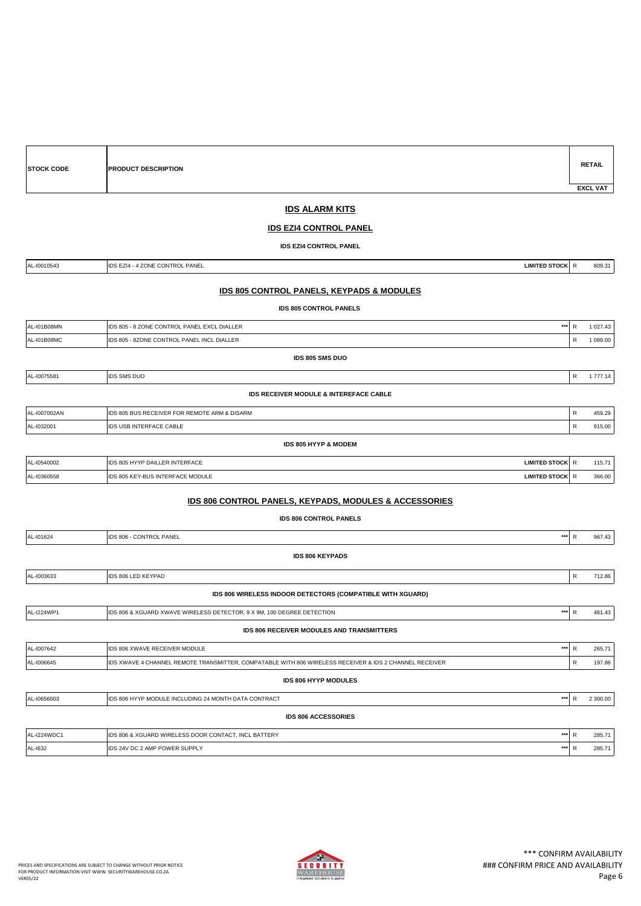|              | <b>IDS EZI4 CONTROL PANEL</b>                                                                          |                      |              |          |
|--------------|--------------------------------------------------------------------------------------------------------|----------------------|--------------|----------|
|              | <b>IDS EZI4 CONTROL PANEL</b>                                                                          |                      |              |          |
| AL-I0010543  | IDS EZI4 - 4 ZONE CONTROL PANEL                                                                        | LIMITED STOCK R      |              | 809.31   |
|              | <b>IDS 805 CONTROL PANELS, KEYPADS &amp; MODULES</b>                                                   |                      |              |          |
|              | <b>IDS 805 CONTROL PANELS</b>                                                                          |                      |              |          |
| AL-I01B08MN  | IDS 805 - 8 ZONE CONTROL PANEL EXCL DIALLER                                                            | $***$                | $\mathsf{R}$ | 1 027.43 |
| AL-I01B08MC  | IDS 805 - 8ZONE CONTROL PANEL INCL DIALLER                                                             |                      | R            | 1 089.00 |
|              | IDS 805 SMS DUO                                                                                        |                      |              |          |
| AL-I0075581  | <b>IDS SMS DUO</b>                                                                                     |                      | $\mathsf{R}$ | 1 777.14 |
|              | IDS RECEIVER MODULE & INTEREFACE CABLE                                                                 |                      |              |          |
| AL-I007002AN | IDS 805 BUS RECEIVER FOR REMOTE ARM & DISARM                                                           |                      | $\mathsf{R}$ | 459.29   |
| AL-1032001   | IDS USB INTERFACE CABLE                                                                                |                      | ${\sf R}$    | 915.00   |
|              | IDS 805 HYYP & MODEM                                                                                   |                      |              |          |
| AL-10540002  | IDS 805 HYYP DAILLER INTERFACE                                                                         | LIMITED STOCK R      |              | 115.71   |
| AL-10360558  | IDS 805 KEY-BUS INTERFACE MODULE                                                                       | <b>LIMITED STOCK</b> | ${\sf R}$    | 366.00   |
|              | IDS 806 CONTROL PANELS, KEYPADS, MODULES & ACCESSORIES                                                 |                      |              |          |
|              | <b>IDS 806 CONTROL PANELS</b>                                                                          |                      |              |          |
| AL-101624    | IDS 806 - CONTROL PANEL                                                                                | $***$                | ${\sf R}$    | 967.43   |
|              | <b>IDS 806 KEYPADS</b>                                                                                 |                      |              |          |
| AL-I003633   | IDS 806 LED KEYPAD                                                                                     |                      | ${\sf R}$    | 712.86   |
|              | IDS 806 WIRELESS INDOOR DETECTORS (COMPATIBLE WITH XGUARD)                                             |                      |              |          |
| AL-I224WP1   | IDS 806 & XGUARD XWAVE WIRELESS DETECTOR, 9 X 9M, 100 DEGREE DETECTION                                 | $***$                | $\mathsf{R}$ | 461.43   |
|              | IDS 806 RECEIVER MODULES AND TRANSMITTERS                                                              |                      |              |          |
| AL-1007642   | IDS 806 XWAVE RECEIVER MODULE                                                                          | $***$                | $\mathsf{R}$ | 265.71   |
| AL-I006645   | IDS XWAVE 4 CHANNEL REMOTE TRANSMITTER, COMPATABLE WITH 806 WIRELESS RECEIVER & IDS 2 CHANNEL RECEIVER |                      | ${\sf R}$    | 197.86   |
|              | IDS 806 HYYP MODULES                                                                                   |                      |              |          |
| AL-10656003  | IDS 806 HYYP MODULE INCLUDING 24 MONTH DATA CONTRACT                                                   | $\cdots$             | R            | 2 300.00 |
|              | <b>IDS 806 ACCESSORIES</b>                                                                             |                      |              |          |
| AL-I224WDC1  | IDS 806 & XGUARD WIRELESS DOOR CONTACT, INCL BATTERY                                                   | $\cdots$             | ${\sf R}$    | 285.71   |
| AL-1632      | IDS 24V DC 2 AMP POWER SUPPLY                                                                          | $***$                | ${\sf R}$    | 285.71   |
|              |                                                                                                        |                      |              |          |

**IDS ALARM KITS**

**STOCK CODE PRODUCT DESCRIPTION**



**RETAIL**

 **EXCL VAT**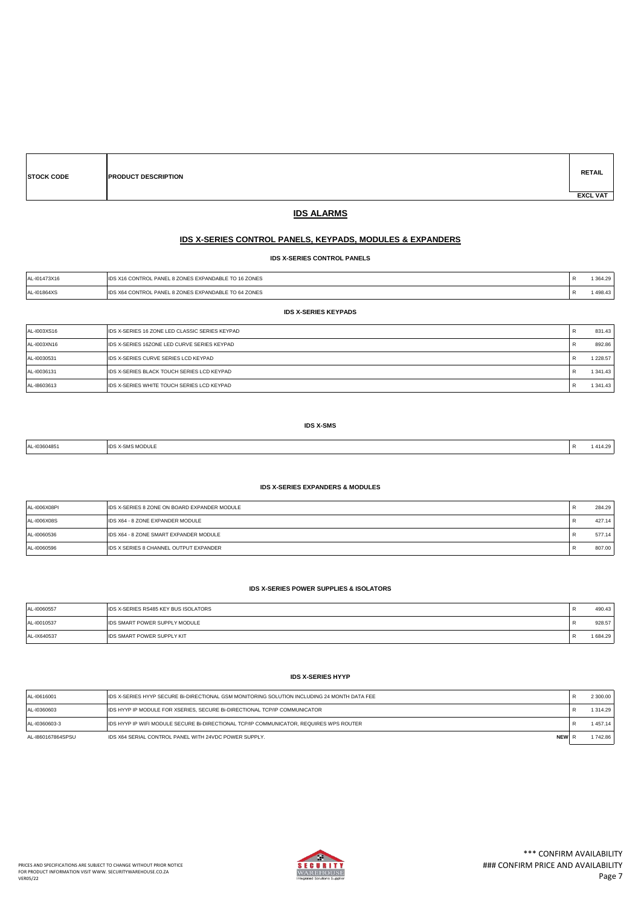| <b>STOCK CODE</b> | <b>PRODUCT DESCRIPTION</b> |  | <b>RETAIL</b>   |
|-------------------|----------------------------|--|-----------------|
|                   |                            |  | <b>EXCL VAT</b> |

### **IDS ALARMS**

### **IDS X-SERIES CONTROL PANELS, KEYPADS, MODULES & EXPANDERS**

**IDS X-SERIES CONTROL PANELS**

| L-I01473X16<br>$\Lambda$ | L 8 ZONES EXPANDABLE TO 16 ZONES<br>PANE<br>CONTROL        | 26. |
|--------------------------|------------------------------------------------------------|-----|
| $-101864X5$<br>A         | JL PANEL 8 ZONES EXPANDABLE TO 64 ZONES<br><b>LCONTROL</b> | 49  |

**IDS X-SERIES KEYPADS**

| AL-I003XS16 | IDS X-SERIES 16 ZONE LED CLASSIC SERIES KEYPAD |   | 831.43        |
|-------------|------------------------------------------------|---|---------------|
| AL-I003XN16 | IDS X-SERIES 16ZONE LED CURVE SERIES KEYPAD    |   | 892.86        |
| AL-I0030531 | IDS X-SERIES CURVE SERIES LCD KEYPAD           |   | 1 2 2 8 . 5 7 |
| AL-I0036131 | IIDS X-SERIES BLACK TOUCH SERIES LCD KEYPAD    | ĸ | 1 341.43      |
| AL-18603613 | IIDS X-SERIES WHITE TOUCH SERIES LCD KEYPAD    |   | 1 341.43      |

#### **IDS X-SMS**

| -103604851<br><b>AI</b><br>. | <b>IDS X-SMS MODULE</b><br>. |  | 414.29<br>___ |
|------------------------------|------------------------------|--|---------------|
|------------------------------|------------------------------|--|---------------|

#### **IDS X-SERIES EXPANDERS & MODULES**

| AL-I006X08PI | <b>IDS X-SERIES 8 ZONE ON BOARD EXPANDER MODULE</b> | 284.29 |
|--------------|-----------------------------------------------------|--------|
| AL-I006X08S  | IDS X64 - 8 ZONE EXPANDER MODULE                    | 427.14 |
| AL-I0060536  | IDS X64 - 8 ZONE SMART EXPANDER MODULE              | 577.14 |
| AL-I0060596  | <b>IDS X SERIES 8 CHANNEL OUTPUT EXPANDER</b>       | 807.00 |

#### **IDS X-SERIES POWER SUPPLIES & ISOLATORS**

| AL-I0060557 | <b>IDS X-SERIES RS485 KEY BUS ISOLATORS</b> | 490.43 |
|-------------|---------------------------------------------|--------|
| AL-I0010537 | <b>IDS SMART POWER SUPPLY MODULE</b>        | 928.57 |
| AL-IX640537 | <b>IDS SMART POWER SUPPLY KIT</b>           | 684.29 |

### **IDS X-SERIES HYYP**

| AL-I0616001       | IDS X-SERIES HYYP SECURE BI-DIRECTIONAL GSM MONITORING SOLUTION INCLUDING 24 MONTH DATA FEE | 2 300.00 |
|-------------------|---------------------------------------------------------------------------------------------|----------|
| AL-I0360603       | <b>IDS HYYP IP MODULE FOR XSERIES, SECURE BI-DIRECTIONAL TCP/IP COMMUNICATOR</b>            | 1314.29  |
| AL-I0360603-3     | IDS HYYP IP WIFI MODULE SECURE BI-DIRECTIONAL TCP/IP COMMUNICATOR, REQUIRES WPS ROUTER      | 1457.14  |
| AL-1860167864SPSU | <b>NEW</b><br>IDS X64 SERIAL CONTROL PANEL WITH 24VDC POWER SUPPLY.                         | 1742.86  |

 $\mathbf{r}$ 

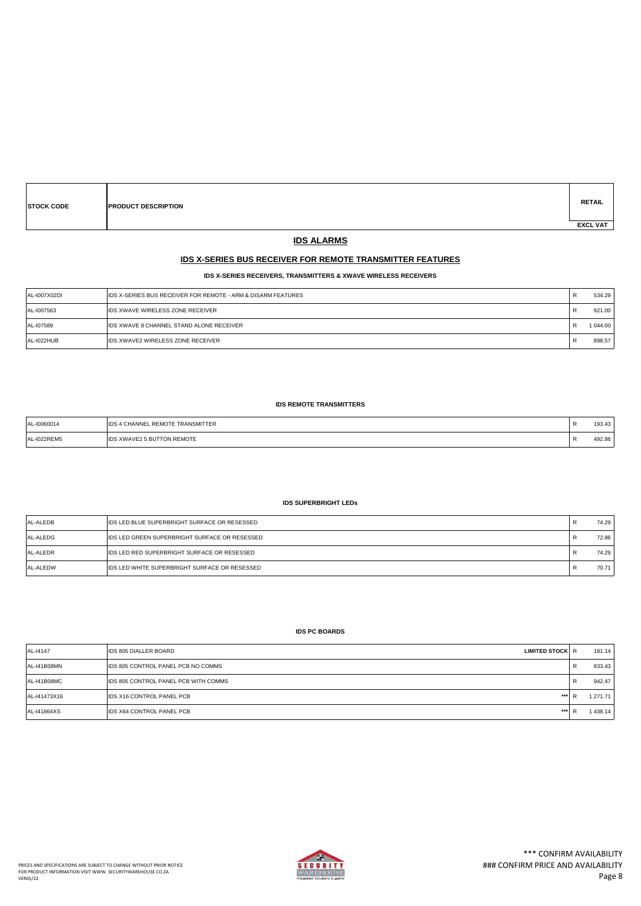| <b>STOCK CODE</b> | <b>PRODUCT DESCRIPTION</b> | <b>RETAIL</b>   |
|-------------------|----------------------------|-----------------|
|                   |                            | <b>EXCL VAT</b> |

# **IDS ALARMS**

### **IDS X-SERIES BUS RECEIVER FOR REMOTE TRANSMITTER FEATURES**

#### **IDS X-SERIES RECEIVERS, TRANSMITTERS & XWAVE WIRELESS RECEIVERS**

| AL-1007X02DI | <b>IDS X-SERIES BUS RECEIVER FOR REMOTE - ARM &amp; DISARM FEATURES</b> | - 13 | 534.29   |
|--------------|-------------------------------------------------------------------------|------|----------|
| AL-I007563   | <b>IDS XWAVE WIRELESS ZONE RECEIVER</b>                                 | n    | 921.00   |
| AL-107589    | <b>IDS XWAVE 8 CHANNEL STAND ALONE RECEIVER</b>                         | n    | 1 044.00 |
| AL-I022HUB   | <b>IDS XWAVE2 WIRELESS ZONE RECEIVER</b>                                | - 13 | 898.57   |

#### **IDS REMOTE TRANSMITTERS**

| $-10060014$<br>. | TRANSMITTER<br>.wΩTE ⊺<br>the contract of the contract of the contract of the contract of the contract of the contract of the contract of | 193.43           |
|------------------|-------------------------------------------------------------------------------------------------------------------------------------------|------------------|
| $-1022$ REM5     | XWAVE2 5 BUTTON REMOTE<br><b>IIDS</b>                                                                                                     | 492.86<br>$\sim$ |

### **IDS SUPERBRIGHT LEDs**

| AL-ALEDB | <b>IDS LED BLUE SUPERBRIGHT SURFACE OR RESESSED</b>   | 74.29 |
|----------|-------------------------------------------------------|-------|
| AL-ALEDG | <b>IIDS LED GREEN SUPERBRIGHT SURFACE OR RESESSED</b> | 72.86 |
| AL-ALEDR | <b>IDS LED RED SUPERBRIGHT SURFACE OR RESESSED</b>    | 74.29 |
| AL-ALEDW | <b>IDS LED WHITE SUPERBRIGHT SURFACE OR RESESSED</b>  | 70.71 |

#### **IDS PC BOARDS**

| AL-14147     | <b>IDS 805 DIALLER BOARD</b><br><b>LIMITED STOCK R</b> |    | 181.14   |
|--------------|--------------------------------------------------------|----|----------|
| AL-141B08MN  | <b>IDS 805 CONTROL PANEL PCB NO COMMS</b>              | n. | 833.43   |
| AL-141B08MC  | IDS 805 CONTROL PANEL PCB WITH COMMS                   | n. | 942.47   |
| AL-141473X16 | <b>IDS X16 CONTROL PANEL PCB</b><br>***                |    | 1 271.71 |
| AL-141864XS  | <b>IDS X64 CONTROL PANEL PCB</b><br>***                |    | 438.14   |

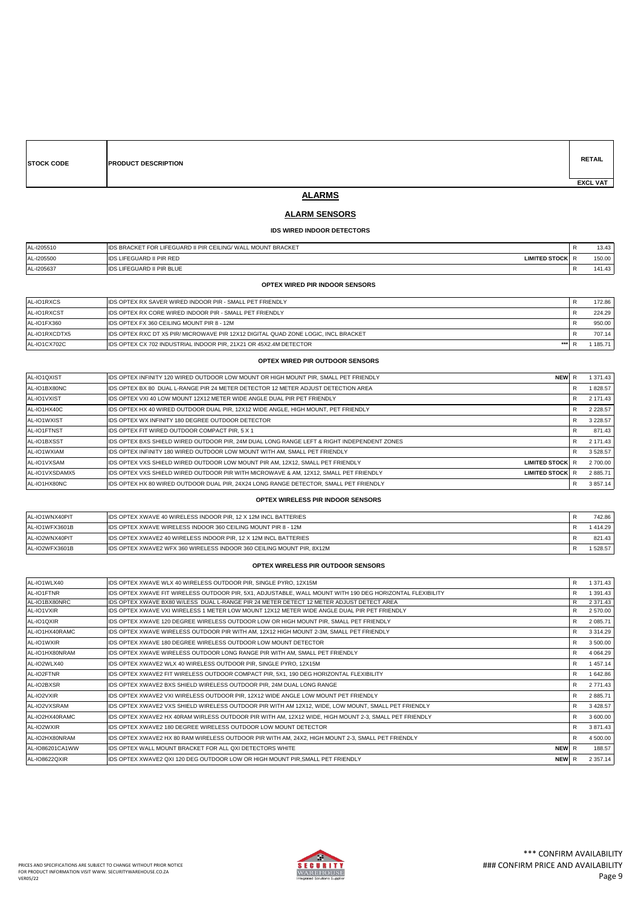| <b>STOCK CODE</b> | <b>PRODUCT DESCRIPTION</b> | <b>RETAIL</b>   |
|-------------------|----------------------------|-----------------|
|                   |                            | <b>EXCL VAT</b> |

# **ALARMS**

### **ALARM SENSORS**

### **IDS WIRED INDOOR DETECTORS**

| AL-I205510 | IIDS BRACKET FOR LIFEGUARD II PIR CEILING/ WALL MOUNT BRACKET |          | 13.43  |
|------------|---------------------------------------------------------------|----------|--------|
| AL-I205500 | <b>IDS LIFEGUARD II PIR RED</b><br>LIMITED STOCK R            |          | 150.00 |
| AL-I205637 | <b>IDS LIFEGUARD II PIR BLUE</b>                              | <b>N</b> | 141.43 |

#### **OPTEX WIRED PIR INDOOR SENSORS**

| AL-IO1RXCS    | <b>IDS OPTEX RX SAVER WIRED INDOOR PIR - SMALL PET FRIENDLY</b>                     | 172.86 |
|---------------|-------------------------------------------------------------------------------------|--------|
| AL-IO1RXCST   | <b>IDS OPTEX RX CORE WIRED INDOOR PIR - SMALL PET FRIENDLY</b>                      | 224.29 |
| AL-IO1FX360   | <b>IDS OPTEX FX 360 CEILING MOUNT PIR 8 - 12M</b>                                   | 950.00 |
| AL-IO1RXCDTX5 | LIDS OPTEX RXC DT X5 PIR/ MICROWAVE PIR 12X12 DIGITAL QUAD ZONE LOGIC. INCL BRACKET | 707.14 |
| AL-IO1CX702C  | <b>IIDS OPTEX CX 702 INDUSTRIAL INDOOR PIR. 21X21 OR 45X2.4M DETECTOR</b><br>***    | 185.71 |

### **OPTEX WIRED PIR OUTDOOR SENSORS**

| AL-IO1QXIST    | IIDS OPTEX INFINITY 120 WIRED OUTDOOR LOW MOUNT OR HIGH MOUNT PIR. SMALL PET FRIENDLY       | <b>NEW</b>             |   | 1 371.43      |
|----------------|---------------------------------------------------------------------------------------------|------------------------|---|---------------|
| AL-IO1BX80NC   | IIDS OPTEX BX 80 DUAL L-RANGE PIR 24 METER DETECTOR 12 METER ADJUST DETECTION AREA          |                        | R | 1828.57       |
| AL-IO1VXIST    | IIDS OPTEX VXI 40 LOW MOUNT 12X12 METER WIDE ANGLE DUAL PIR PET FRIENDLY                    |                        | R | 2 171.43      |
| AL-IO1HX40C    | IDS OPTEX HX 40 WIRED OUTDOOR DUAL PIR, 12X12 WIDE ANGLE, HIGH MOUNT, PET FRIENDLY          |                        |   | 2 2 2 8 . 5 7 |
| AL-IO1WXIST    | <b>IIDS OPTEX WX INFINITY 180 DEGREE OUTDOOR DETECTOR</b>                                   |                        | R | 3 2 2 8 . 5 7 |
| AL-IO1FTNST    | <b>IIDS OPTEX FIT WIRED OUTDOOR COMPACT PIR, 5 X 1</b>                                      |                        | R | 871.43        |
| AL-IO1BXSST    | IIDS OPTEX BXS SHIELD WIRED OUTDOOR PIR. 24M DUAL LONG RANGE LEFT & RIGHT INDEPENDENT ZONES |                        |   | 2 171.43      |
| AL-IO1WXIAM    | <b>IIDS OPTEX INFINITY 180 WIRED OUTDOOR LOW MOUNT WITH AM. SMALL PET FRIENDLY</b>          |                        | R | 3528.57       |
| AL-IO1VXSAM    | IIDS OPTEX VXS SHIELD WIRED OUTDOOR LOW MOUNT PIR AM. 12X12. SMALL PET FRIENDLY             | <b>LIMITED STOCK R</b> |   | 2 700.00      |
| AL-IO1VXSDAMX5 | IIDS OPTEX VXS SHIELD WIRED OUTDOOR PIR WITH MICROWAVE & AM. 12X12. SMALL PET FRIENDLY      | <b>LIMITED STOCK R</b> |   | 2 885.71      |
| AL-IO1HX80NC   | IIDS OPTEX HX 80 WIRED OUTDOOR DUAL PIR. 24X24 LONG RANGE DETECTOR. SMALL PET FRIENDLY      |                        |   | 3 857.14      |

#### **OPTEX WIRELESS PIR INDOOR SENSORS**

| AL-IO1WNX40PIT | <b>IDS OPTEX XWAVE 40 WIRELESS INDOOR PIR. 12 X 12M INCL BATTERIES</b>       | 742.86  |
|----------------|------------------------------------------------------------------------------|---------|
| AL-IO1WFX3601B | <b>IDS OPTEX XWAVE WIRELESS INDOOR 360 CEILING MOUNT PIR 8 - 12M</b>         | 414.29  |
| AL-IO2WNX40PIT | <b>IDS OPTEX XWAVE2 40 WIRELESS INDOOR PIR. 12 X 12M INCL BATTERIES</b>      | 821.43  |
| AL-IO2WFX3601B | <b>IDS OPTEX XWAVE2 WFX 360 WIRELESS INDOOR 360 CEILING MOUNT PIR. 8X12M</b> | 1528.57 |

#### **OPTEX WIRELESS PIR OUTDOOR SENSORS**

| AL-IO1WLX40     | IDS OPTEX XWAVE WLX 40 WIRELESS OUTDOOR PIR, SINGLE PYRO, 12X15M                                          | R | 1 371.43      |
|-----------------|-----------------------------------------------------------------------------------------------------------|---|---------------|
| AL-IO1FTNR      | IDS OPTEX XWAVE FIT WIRELESS OUTDOOR PIR, 5X1, ADJUSTABLE, WALL MOUNT WITH 190 DEG HORIZONTAL FLEXIBILITY | R | 1 391.43      |
| AL-IO1BX80NRC   | IDS OPTEX XWAVE BX80 W/LESS DUAL L-RANGE PIR 24 METER DETECT 12 METER ADJUST DETECT AREA                  |   | 2 371.43      |
| AL-IO1VXIR      | IDS OPTEX XWAVE VXI WIRELESS 1 METER LOW MOUNT 12X12 METER WIDE ANGLE DUAL PIR PET FRIENDLY               | R | 2 570.00      |
| AL-IO1QXIR      | IDS OPTEX XWAVE 120 DEGREE WIRELESS OUTDOOR LOW OR HIGH MOUNT PIR, SMALL PET FRIENDLY                     | R | 2 085.71      |
| AL-IO1HX40RAMC  | IDS OPTEX XWAVE WIRELESS OUTDOOR PIR WITH AM, 12X12 HIGH MOUNT 2-3M, SMALL PET FRIENDLY                   | R | 3 3 1 4 . 2 9 |
| AL-IO1WXIR      | IDS OPTEX XWAVE 180 DEGREE WIRELESS OUTDOOR LOW MOUNT DETECTOR                                            | R | 3 500.00      |
| AL-IO1HX80NRAM  | IDS OPTEX XWAVE WIRELESS OUTDOOR LONG RANGE PIR WITH AM, SMALL PET FRIENDLY                               | R | 4 0 64.29     |
| AL-IO2WLX40     | IDS OPTEX XWAVE2 WLX 40 WIRELESS OUTDOOR PIR, SINGLE PYRO, 12X15M                                         | R | 1457.14       |
| AL-IO2FTNR      | IDS OPTEX XWAVE2 FIT WIRELESS OUTDOOR COMPACT PIR, 5X1, 190 DEG HORIZONTAL FLEXIBILITY                    | R | 1 642.86      |
| AL-IO2BXSR      | IDS OPTEX XWAVE2 BXS SHIELD WIRELESS OUTDOOR PIR, 24M DUAL LONG RANGE                                     | R | 2 771.43      |
| AL-IO2VXIR      | IDS OPTEX XWAVE2 VXI WIRELESS OUTDOOR PIR, 12X12 WIDE ANGLE LOW MOUNT PET FRIENDLY                        | R | 2 885.71      |
| AL-IO2VXSRAM    | IDS OPTEX XWAVE2 VXS SHIELD WIRELESS OUTDOOR PIR WITH AM 12X12, WIDE, LOW MOUNT, SMALL PET FRIENDLY       | R | 3 4 28.57     |
| AL-IO2HX40RAMC  | IDS OPTEX XWAVE2 HX 40RAM WIRLESS OUTDOOR PIR WITH AM, 12X12 WIDE, HIGH MOUNT 2-3, SMALL PET FRIENDLY     | R | 3 600.00      |
| AL-IO2WXIR      | <b>IDS OPTEX XWAVE2 180 DEGREE WIRELESS OUTDOOR LOW MOUNT DETECTOR</b>                                    |   | 3 871.43      |
| AL-IO2HX80NRAM  | IDS OPTEX XWAVE2 HX 80 RAM WIRELESS OUTDOOR PIR WITH AM, 24X2, HIGH MOUNT 2-3, SMALL PET FRIENDLY         | R | 4 500.00      |
| AL-IO86201CA1WW | IDS OPTEX WALL MOUNT BRACKET FOR ALL QXI DETECTORS WHITE<br>NEW R                                         |   | 188.57        |
| AL-IO8622QXIR   | NEW R<br>IDS OPTEX XWAVE2 QXI 120 DEG OUTDOOR LOW OR HIGH MOUNT PIR, SMALL PET FRIENDLY                   |   | 2 3 5 7 . 1 4 |

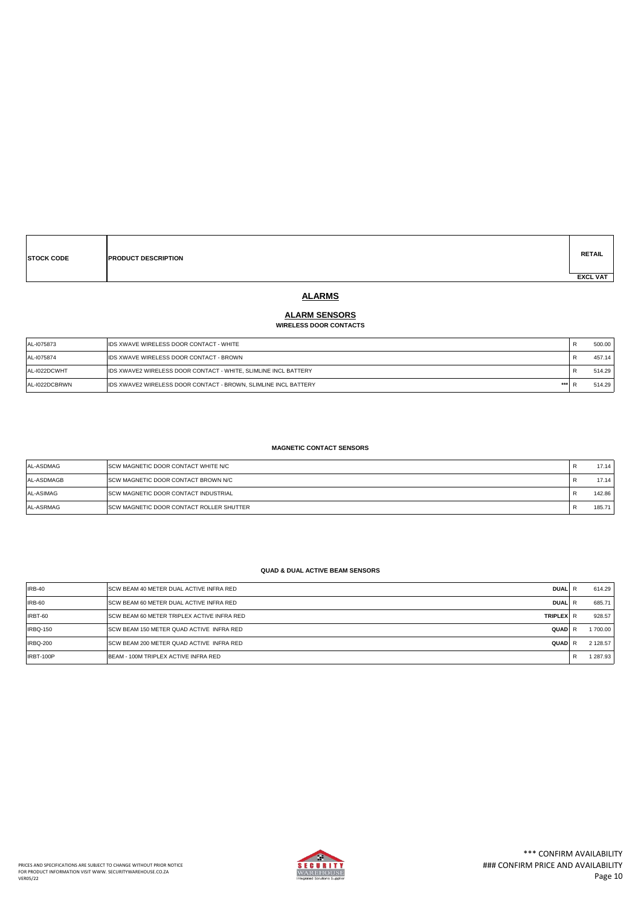| <b>STOCK CODE</b> | <b>PRODUCT DESCRIPTION</b> | <b>RETAIL</b>   |
|-------------------|----------------------------|-----------------|
|                   |                            | <b>EXCL VAT</b> |

# **ALARMS**

### **ALARM SENSORS**

#### **WIRELESS DOOR CONTACTS**

| AL-1075873    | <b>IDS XWAVE WIRELESS DOOR CONTACT - WHITE</b>                         | 500.00 |
|---------------|------------------------------------------------------------------------|--------|
| AL-1075874    | <b>IDS XWAVE WIRELESS DOOR CONTACT - BROWN</b>                         | 457.14 |
| AL-I022DCWHT  | IDS XWAVE2 WIRELESS DOOR CONTACT - WHITE, SLIMLINE INCL BATTERY        | 514.29 |
| AL-I022DCBRWN | ***<br>IDS XWAVE2 WIRELESS DOOR CONTACT - BROWN, SLIMLINE INCL BATTERY | 514.29 |

#### **MAGNETIC CONTACT SENSORS**

| AL-ASDMAG  | <b>ISCW MAGNETIC DOOR CONTACT WHITE N/C</b>      | 17.14  |
|------------|--------------------------------------------------|--------|
| AL-ASDMAGB | <b>SCW MAGNETIC DOOR CONTACT BROWN N/C</b>       | 17.14  |
| AL-ASIMAG  | <b>SCW MAGNETIC DOOR CONTACT INDUSTRIAL</b>      | 142.86 |
| AL-ASRMAG  | <b>ISCW MAGNETIC DOOR CONTACT ROLLER SHUTTER</b> | 185.71 |

### **QUAD & DUAL ACTIVE BEAM SENSORS**

| IRB-40          | <b>ISCW BEAM 40 METER DUAL ACTIVE INFRA RED</b><br><b>DUALIR</b>       |   | 614.29   |
|-----------------|------------------------------------------------------------------------|---|----------|
| IRB-60          | <b>ISCW BEAM 60 METER DUAL ACTIVE INFRA RED</b><br><b>DUALIR</b>       |   | 685.71   |
| IRBT-60         | <b>ISCW BEAM 60 METER TRIPLEX ACTIVE INFRA RED</b><br><b>TRIPLEX</b> R |   | 928.57   |
| IRBQ-150        | <b>ISCW BEAM 150 METER QUAD ACTIVE INFRA RED</b><br>QUADIR             |   | 1700.00  |
| <b>IRBQ-200</b> | <b>ISCW BEAM 200 METER QUAD ACTIVE INFRA RED</b><br>QUADIR             |   | 2 128.57 |
| IRBT-100P       | BEAM - 100M TRIPLEX ACTIVE INFRA RED                                   | R | 1 287.93 |

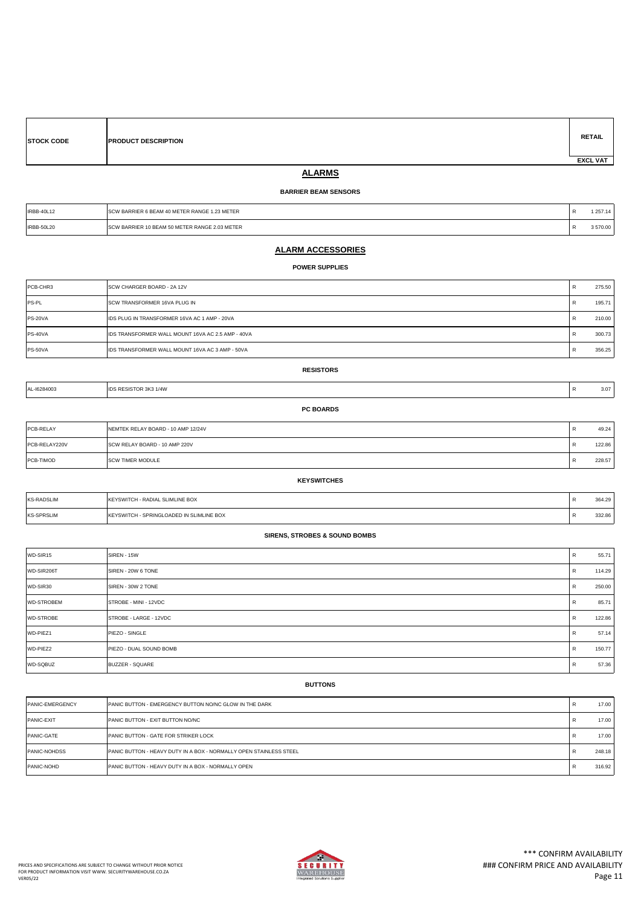|                 | <b>STOCK CODE</b> | <b>PRODUCT DESCRIPTION</b> | <b>RETAIL</b> |
|-----------------|-------------------|----------------------------|---------------|
| <b>EXCL VAT</b> |                   |                            |               |

# **ALARMS**

### **BARRIER BEAM SENSORS**

| <b>IRBB-40L12</b> | W BARRIER 6 BEAM 40 METER RANGE 1.23 METER<br>the contract of the contract of the contract of the contract of the contract of the contract of the contract of |        |
|-------------------|---------------------------------------------------------------------------------------------------------------------------------------------------------------|--------|
| <b>IRBB-50L20</b> | W BARRIER 10 BEAM 50 METER RANGE 2.03 METER                                                                                                                   | 570.00 |

### **ALARM ACCESSORIES**

#### **POWER SUPPLIES**

| PCB-CHR3     | <b>ISCW CHARGER BOARD - 2A 12V</b>                        |    | 275.50 |
|--------------|-----------------------------------------------------------|----|--------|
| <b>PS-PL</b> | <b>ISCW TRANSFORMER 16VA PLUG IN</b>                      | R  | 195.71 |
| PS-20VA      | <b>IIDS PLUG IN TRANSFORMER 16VA AC 1 AMP - 20VA</b>      | K. | 210.00 |
| PS-40VA      | <b>IIDS TRANSFORMER WALL MOUNT 16VA AC 2.5 AMP - 40VA</b> |    | 300.73 |
| PS-50VA      | <b>IIDS TRANSFORMER WALL MOUNT 16VA AC 3 AMP - 50VA</b>   | B  | 356.25 |

#### **RESISTORS**

| 1L-16284003 | 1/4W<br>51 UK 383 | $\mathbf{r}$ | 3.07 |
|-------------|-------------------|--------------|------|
|             | <b>ROADDS</b>     |              |      |

| PCB-RELAY     | NEMTEK RELAY BOARD - 10 AMP 12/24V | 49.24  |
|---------------|------------------------------------|--------|
| PCB-RELAY220V | SCW RELAY BOARD - 10 AMP 220V      | 122.86 |
| PCB-TIMOD     | <b>ISCW TIMER MODULE</b>           | 228.57 |

#### **KEYSWITCHES**

| <b>KS-RADSLIM</b> | <b>IKEYSWITCH - RADIAL SLIMLINE BOX</b>          | 364.29 |
|-------------------|--------------------------------------------------|--------|
| <b>KS-SPRSLIM</b> | <b>IKEYSWITCH - SPRINGLOADED IN SLIMLINE BOX</b> | 332.86 |

### **SIRENS, STROBES & SOUND BOMBS**

| WD-SIR15          | SIREN - 15W             | R   | 55.71  |
|-------------------|-------------------------|-----|--------|
| WD-SIR206T        | SIREN - 20W 6 TONE      | R   | 114.29 |
| WD-SIR30          | SIREN - 30W 2 TONE      | R   | 250.00 |
| <b>WD-STROBEM</b> | STROBE - MINI - 12VDC   | R   | 85.71  |
| <b>WD-STROBE</b>  | STROBE - LARGE - 12VDC  | R   | 122.86 |
| WD-PIEZ1          | PIEZO - SINGLE          | IR. | 57.14  |
| WD-PIEZ2          | PIEZO - DUAL SOUND BOMB | IR. | 150.77 |
| WD-SQBUZ          | <b>BUZZER - SQUARE</b>  | R   | 57.36  |

#### **BUTTONS**

| PANIC-EMERGENCY     | <b>IPANIC BUTTON - EMERGENCY BUTTON NO/NC GLOW IN THE DARK</b>            | R            | 17.00  |
|---------------------|---------------------------------------------------------------------------|--------------|--------|
| <b>PANIC-EXIT</b>   | <b>PANIC BUTTON - EXIT BUTTON NO/NC</b>                                   | R            | 17.00  |
| <b>PANIC-GATE</b>   | <b>PANIC BUTTON - GATE FOR STRIKER LOCK</b>                               | R            | 17.00  |
| <b>PANIC-NOHDSS</b> | <b>PANIC BUTTON - HEAVY DUTY IN A BOX - NORMALLY OPEN STAINLESS STEEL</b> | ĸ            | 248.18 |
| PANIC-NOHD          | <b>IPANIC BUTTON - HEAVY DUTY IN A BOX - NORMALLY OPEN</b>                | $\mathbf{r}$ | 316.92 |

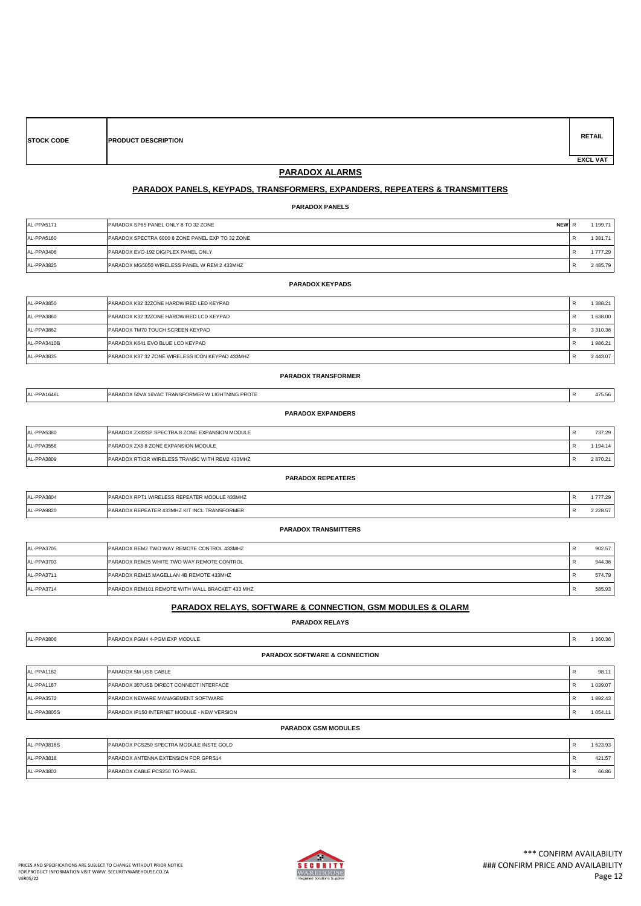| <b>STOCK CODE</b> | <b>PRODUCT DESCRIPTION</b> | <b>RETAIL</b>   |
|-------------------|----------------------------|-----------------|
|                   |                            | <b>EXCL VAT</b> |

### **PARADOX ALARMS**

### **PARADOX PANELS, KEYPADS, TRANSFORMERS, EXPANDERS, REPEATERS & TRANSMITTERS**

**PARADOX PANELS**

| AL-PPA5171 | PARADOX SP65 PANEL ONLY 8 TO 32 ZONE<br><b>NEW</b> | 1199.71  |
|------------|----------------------------------------------------|----------|
| AL-PPA5160 | PARADOX SPECTRA 6000 8 ZONE PANEL EXP TO 32 ZONE   | 1 381.71 |
| AL-PPA3406 | PARADOX EVO-192 DIGIPLEX PANEL ONLY                | 1777.29  |
| AL-PPA3825 | PARADOX MG5050 WIRELESS PANEL W REM 2 433MHZ       | 2485.79  |

| AL-PPA3850  | PARADOX K32 32ZONE HARDWIRED LED KEYPAD         | R | 1 388.21      |
|-------------|-------------------------------------------------|---|---------------|
| AL-PPA3860  | PARADOX K32 32ZONE HARDWIRED LCD KEYPAD         | R | 1 638.00      |
| AL-PPA3862  | PARADOX TM70 TOUCH SCREEN KEYPAD                | ĸ | 3 3 1 0 . 3 6 |
| AL-PPA3410B | PARADOX K641 EVO BLUE LCD KEYPAD                | R | 1986.21       |
| AL-PPA3835  | PARADOX K37 32 ZONE WIRELESS ICON KEYPAD 433MHZ |   | 2443.07       |

| AL-PPA1646L              | PARADOX 50VA 16VAC TRANSFORMER W LIGHTNING PROTE | D<br>п. | 475.56 |  |  |
|--------------------------|--------------------------------------------------|---------|--------|--|--|
| <b>PARADOX EXPANDERS</b> |                                                  |         |        |  |  |
| AL-PPA5380               | PARADOX ZX82SP SPECTRA 8 ZONE EXPANSION MODULE   |         | 737.29 |  |  |

**PARADOX TRANSFORMER**

| <b>THE LITTLE OF</b> | ם הוא השפט באשבטו. טו בט וואז ט בטוזב באו הוזטוטוז ווטטטבב | $\mathbf{1}$ | .       |
|----------------------|------------------------------------------------------------|--------------|---------|
| AL-PPA3558           | PARADOX ZX8 8 ZONE EXPANSION MODULE                        |              | 194.14  |
| <b>AL-PPA3809</b>    | PARADOX RTX3R WIRELESS TRANSC WITH REM2 433MHZ             |              | 2870.21 |
|                      |                                                            |              |         |

#### **PARADOX REPEATERS**

| AL-PPA3804 | PARADOX RPT1 WIRELESS REPEATER MODULE 433MHZ | 777.29  |
|------------|----------------------------------------------|---------|
| AL-PPA9820 | PARADOX REPEATER 433MHZ KIT INCL TRANSFORMER | 2228.57 |
|            |                                              |         |

|  | <b>PARADOX TRANSMITTERS</b> |  |  |  |
|--|-----------------------------|--|--|--|
|  |                             |  |  |  |

| AL-PPA3705 | <b>IPARADOX REM2 TWO WAY REMOTE CONTROL 433MHZ</b>  | 902.57 |
|------------|-----------------------------------------------------|--------|
| AL-PPA3703 | <b>I PARADOX REM25 WHITE TWO WAY REMOTE CONTROL</b> | 944.36 |
| AL-PPA3711 | PARADOX REM15 MAGELLAN 4B REMOTE 433MHZ             | 574.79 |
| AL-PPA3714 | PARADOX REM101 REMOTE WITH WALL BRACKET 433 MHZ     | 585.93 |

### **PARADOX RELAYS, SOFTWARE & CONNECTION, GSM MODULES & OLARM**

**PARADOX RELAYS**

| AL-PPA3806                               | PARADOX PGM4 4-PGM EXP MODULE               | R   | 1 360.36      |  |
|------------------------------------------|---------------------------------------------|-----|---------------|--|
| <b>PARADOX SOFTWARE &amp; CONNECTION</b> |                                             |     |               |  |
| AL-PPA1182                               | <b>PARADOX 5M USB CABLE</b>                 | R   | 98.11         |  |
| AL-PPA1187                               | PARADOX 307USB DIRECT CONNECT INTERFACE     | R   | 1 039.07      |  |
| AL-PPA3572                               | <b>PARADOX NEWARE MANAGEMENT SOFTWARE</b>   | . R | 1892.43       |  |
| AL-PPA3805S                              | PARADOX IP150 INTERNET MODULE - NEW VERSION | R   | 1 0 5 4 . 1 1 |  |
| <b>PARADOX GSM MODULES</b>               |                                             |     |               |  |
| AL-PPA3816S                              | PARADOX PCS250 SPECTRA MODULE INSTE GOLD    | R   | 1 623.93      |  |

|            |                                      | _____  |
|------------|--------------------------------------|--------|
| AL-PPA3818 | PARADOX ANTENNA EXTENSION FOR GPRS14 | 421.57 |
| AL-PPA3802 | PARADOX CABLE PCS250 TO PANEL        | 66.86  |

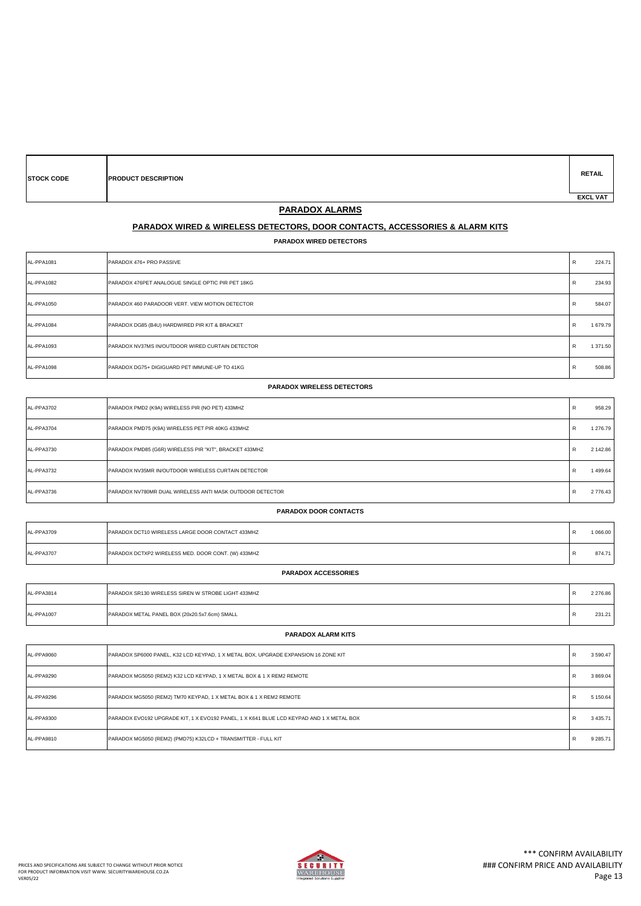| <b>PARADOX WIRED DETECTORS</b>    |                                                   |              |          |
|-----------------------------------|---------------------------------------------------|--------------|----------|
| AL-PPA1081                        | PARADOX 476+ PRO PASSIVE                          | R            | 224.71   |
| AL-PPA1082                        | PARADOX 476PET ANALOGUE SINGLE OPTIC PIR PET 18KG | R            | 234.93   |
| AL-PPA1050                        | PARADOX 460 PARADOOR VERT. VIEW MOTION DETECTOR   | $\mathsf{R}$ | 584.07   |
| AL-PPA1084                        | PARADOX DG85 (B4U) HARDWIRED PIR KIT & BRACKET    | R            | 1679.79  |
| AL-PPA1093                        | PARADOX NV37MS IN/OUTDOOR WIRED CURTAIN DETECTOR  | $\mathsf{R}$ | 1 371.50 |
| AL-PPA1098                        | PARADOX DG75+ DIGIGUARD PET IMMUNE-UP TO 41KG     | $\mathsf{R}$ | 508.86   |
| <b>PARADOX WIRELESS DETECTORS</b> |                                                   |              |          |
| AL-PPA3702                        | PARADOX PMD2 (K9A) WIRELESS PIR (NO PET) 433MHZ   | R            | 958.29   |

**PARADOX ALARMS PARADOX WIRED & WIRELESS DETECTORS, DOOR CONTACTS, ACCESSORIES & ALARM KITS**

| AL-PPA3704                   | PARADOX PMD75 (K9A) WIRELESS PET PIR 40KG 433MHZ                                   | R | 1 276.79 |  |
|------------------------------|------------------------------------------------------------------------------------|---|----------|--|
| AL-PPA3730                   | PARADOX PMD85 (G6R) WIRELESS PIR "KIT", BRACKET 433MHZ                             | R | 2 142.86 |  |
| AL-PPA3732                   | PARADOX NV35MR IN/OUTDOOR WIRELESS CURTAIN DETECTOR                                | R | 1499.64  |  |
| AL-PPA3736                   | PARADOX NV780MR DUAL WIRELESS ANTI MASK OUTDOOR DETECTOR                           | R | 2776.43  |  |
| <b>PARADOX DOOR CONTACTS</b> |                                                                                    |   |          |  |
| AL-PPA3709                   | PARADOX DCT10 WIRELESS LARGE DOOR CONTACT 433MHZ                                   | R | 1 066.00 |  |
| AL-PPA3707                   | PARADOX DCTXP2 WIRELESS MED. DOOR CONT. (W) 433MHZ                                 | R | 874.71   |  |
|                              | <b>PARADOX ACCESSORIES</b>                                                         |   |          |  |
| AL-PPA3814                   | PARADOX SR130 WIRELESS SIREN W STROBE LIGHT 433MHZ                                 | R | 2 276.86 |  |
| AL-PPA1007                   | PARADOX METAL PANEL BOX (20x20.5x7.6cm) SMALL                                      | R | 231.21   |  |
|                              | <b>PARADOX ALARM KITS</b>                                                          |   |          |  |
| AL-PPA9060                   | PARADOX SP6000 PANEL, K32 LCD KEYPAD, 1 X METAL BOX, UPGRADE EXPANSION 16 ZONE KIT | R | 3590.47  |  |
| AL-PPA9290                   | PARADOX MG5050 (REM2) K32 LCD KEYPAD, 1 X METAL BOX & 1 X REM2 REMOTE              | R | 3 869.04 |  |
| AL-PPA9296                   | PARADOX MG5050 (REM2) TM70 KEYPAD, 1 X METAL BOX & 1 X REM2 REMOTE                 | R | 5 150.64 |  |

**STOCK CODE PRODUCT DESCRIPTION**



AL-PPA9300 PARADOX EVO192 UPGRADE KIT, 1 X EVO192 PANEL, 1 X K641 BLUE LCD KEYPAD AND 1 X METAL BOX **Registered and the state of the state of the state of the state of the state of the state of the state of the state of th** 

AL-PPA9810 PARADOX MG5050 (REM2) (PMD75) K32LCD + TRANSMITTER - FULL KIT REMANDER PRODUCED ASSAULT A REMANDER AND REMANDER PRODUCED AT A SUBSTA

**RETAIL**

 **EXCL VAT**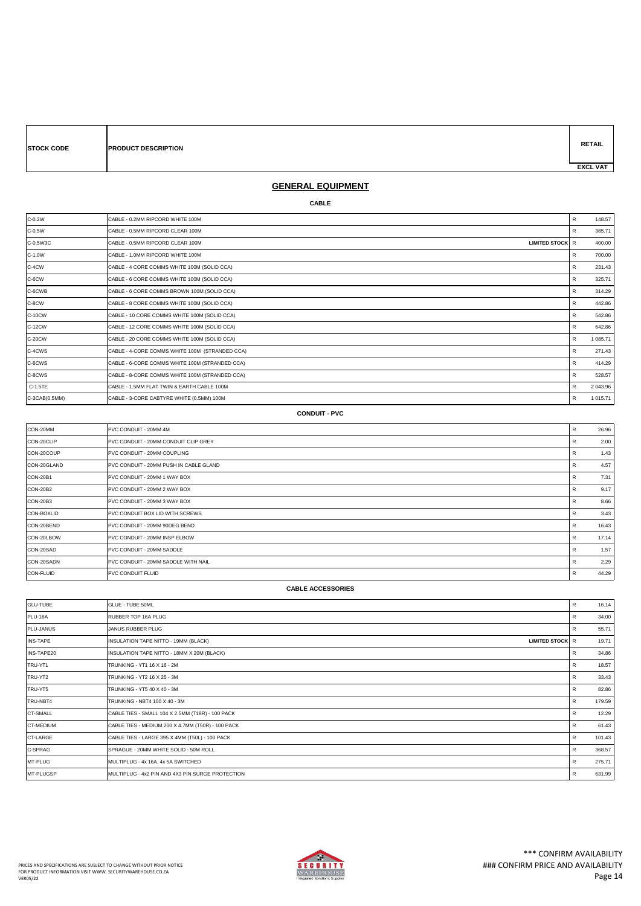| <b>STOCK CODE</b> | <b>PRODUCT DESCRIPTION</b> | <b>RETAIL</b>   |
|-------------------|----------------------------|-----------------|
|                   |                            | <b>EXCL VAT</b> |

# **GENERAL EQUIPMENT**

#### **CABLE**

| C-0.2W        | ICABLE - 0.2MM RIPCORD WHITE 100M                           | R | 148.57     |
|---------------|-------------------------------------------------------------|---|------------|
| C-0.5W        | ICABLE - 0.5MM RIPCORD CLEAR 100M                           | R | 385.71     |
| C-0.5W3C      | ICABLE - 0.5MM RIPCORD CLEAR 100M<br><b>LIMITED STOCK R</b> |   | 400.00     |
| C-1.0W        | CABLE - 1.0MM RIPCORD WHITE 100M                            | R | 700.00     |
| C-4CW         | CABLE - 4 CORE COMMS WHITE 100M (SOLID CCA)                 | R | 231.43     |
| C-6CW         | ICABLE - 6 CORE COMMS WHITE 100M (SOLID CCA)                | R | 325.71     |
| C-6CWB        | CABLE - 6 CORE COMMS BROWN 100M (SOLID CCA)                 | R | 314.29     |
| C-8CW         | CABLE - 8 CORE COMMS WHITE 100M (SOLID CCA)                 | R | 442.86     |
| C-10CW        | CABLE - 10 CORE COMMS WHITE 100M (SOLID CCA)                | R | 542.86     |
| C-12CW        | CABLE - 12 CORE COMMS WHITE 100M (SOLID CCA)                | R | 642.86     |
| C-20CW        | CABLE - 20 CORE COMMS WHITE 100M (SOLID CCA)                | R | 1 085.71   |
| C-4CWS        | CABLE - 4-CORE COMMS WHITE 100M (STRANDED CCA)              | R | 271.43     |
| C-6CWS        | CABLE - 6-CORE COMMS WHITE 100M (STRANDED CCA)              | R | 414.29     |
| C-8CWS        | CABLE - 8-CORE COMMS WHITE 100M (STRANDED CCA)              | R | 528.57     |
| C-1.5TE       | ICABLE - 1.5MM FLAT TWIN & EARTH CABLE 100M                 | R | 2 043.96   |
| C-3CAB(0.5MM) | CABLE - 3-CORE CABTYRE WHITE (0.5MM) 100M                   | R | 1 0 1 5.71 |

#### **CONDUIT - PVC**

| CON-20MM          | PVC CONDUIT - 20MM 4M                  | R | 26.96 |
|-------------------|----------------------------------------|---|-------|
| CON-20CLIP        | PVC CONDUIT - 20MM CONDUIT CLIP GREY   | R | 2.00  |
| CON-20COUP        | PVC CONDUIT - 20MM COUPLING            | R | 1.43  |
| CON-20GLAND       | PVC CONDUIT - 20MM PUSH IN CABLE GLAND | R | 4.57  |
| <b>CON-20B1</b>   | PVC CONDUIT - 20MM 1 WAY BOX           | R | 7.31  |
| <b>CON-20B2</b>   | PVC CONDUIT - 20MM 2 WAY BOX           | R | 9.17  |
| <b>CON-20B3</b>   | PVC CONDUIT - 20MM 3 WAY BOX           | R | 8.66  |
| <b>CON-BOXLID</b> | PVC CONDUIT BOX LID WITH SCREWS        | R | 3.43  |
| CON-20BEND        | PVC CONDUIT - 20MM 90DEG BEND          | R | 16.43 |
| CON-20LBOW        | PVC CONDUIT - 20MM INSP ELBOW          | R | 17.14 |
| CON-20SAD         | PVC CONDUIT - 20MM SADDLE              | R | 1.57  |
| CON-20SADN        | PVC CONDUIT - 20MM SADDLE WITH NAIL    | R | 2.29  |
| <b>CON-FLUID</b>  | <b>PVC CONDUIT FLUID</b>               | R | 44.29 |

#### **CABLE ACCESSORIES**

| <b>GLU-TUBE</b> | <b>GLUE - TUBE 50ML</b>                                 | R | 16.14  |
|-----------------|---------------------------------------------------------|---|--------|
|                 |                                                         |   |        |
| PLU-16A         | RUBBER TOP 16A PLUG                                     | R | 34.00  |
| PLU-JANUS       | JANUS RUBBER PLUG                                       | R | 55.71  |
| <b>INS-TAPE</b> | INSULATION TAPE NITTO - 19MM (BLACK)<br>LIMITED STOCK R |   | 19.71  |
| INS-TAPE20      | INSULATION TAPE NITTO - 18MM X 20M (BLACK)              | R | 34.86  |
| TRU-YT1         | TRUNKING - YT1 16 X 16 - 2M                             | R | 18.57  |
| TRU-YT2         | TRUNKING - YT2 16 X 25 - 3M                             | R | 33.43  |
| TRU-YT5         | TRUNKING - YT5 40 X 40 - 3M                             | R | 82.86  |
| TRU-NBT4        | TRUNKING - NBT4 100 X 40 - 3M                           | R | 179.59 |
| <b>CT-SMALL</b> | CABLE TIES - SMALL 104 X 2.5MM (T18R) - 100 PACK        | R | 12.29  |
| CT-MEDIUM       | CABLE TIES - MEDIUM 200 X 4.7MM (T50R) - 100 PACK       | R | 61.43  |
| CT-LARGE        | CABLE TIES - LARGE 395 X 4MM (T50L) - 100 PACK          | R | 101.43 |
| C-SPRAG         | SPRAGUE - 20MM WHITE SOLID - 50M ROLL                   | R | 368.57 |
| MT-PLUG         | MULTIPLUG - 4x 16A, 4x 5A SWITCHED                      | R | 275.71 |
| MT-PLUGSP       | MULTIPLUG - 4x2 PIN AND 4X3 PIN SURGE PROTECTION        | R | 631.99 |

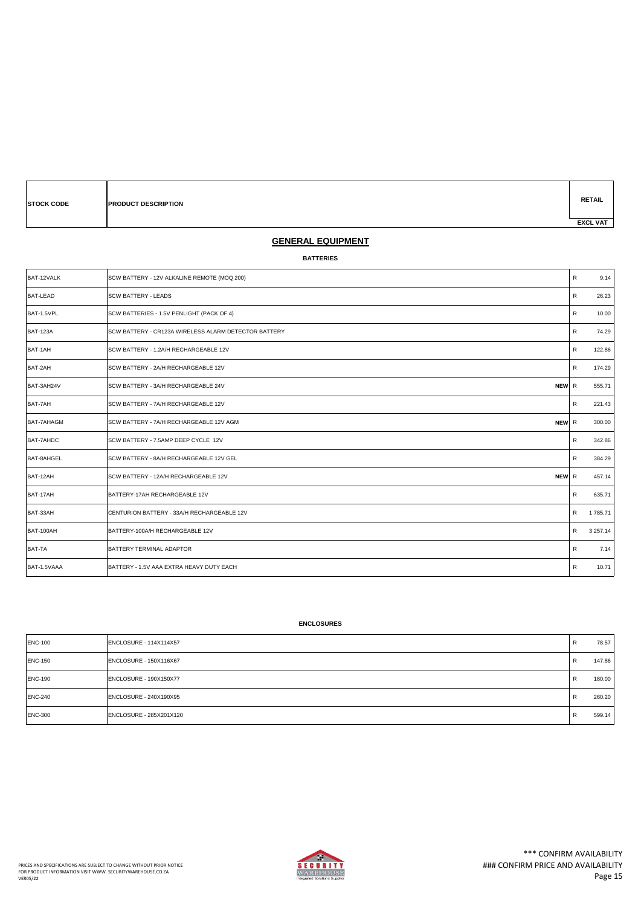| <b>STOCK CODE</b> | <b>PRODUCT DESCRIPTION</b> |  | <b>RETAIL</b>   |
|-------------------|----------------------------|--|-----------------|
|                   |                            |  | <b>EXCL VAT</b> |

### **GENERAL EQUIPMENT**

### **BATTERIES**

| BAT-12VALK      | SCW BATTERY - 12V ALKALINE REMOTE (MOQ 200)          | $\mathsf{R}$ | 9.14          |
|-----------------|------------------------------------------------------|--------------|---------------|
| <b>BAT-LEAD</b> | <b>SCW BATTERY - LEADS</b>                           | R            | 26.23         |
| BAT-1.5VPL      | SCW BATTERIES - 1.5V PENLIGHT (PACK OF 4)            | R            | 10.00         |
| <b>BAT-123A</b> | SCW BATTERY - CR123A WIRELESS ALARM DETECTOR BATTERY | R            | 74.29         |
| BAT-1AH         | SCW BATTERY - 1.2A/H RECHARGEABLE 12V                | R            | 122.86        |
| BAT-2AH         | SCW BATTERY - 2A/H RECHARGEABLE 12V                  | R            | 174.29        |
| BAT-3AH24V      | SCW BATTERY - 3A/H RECHARGEABLE 24V<br>NEW R         |              | 555.71        |
| BAT-7AH         | SCW BATTERY - 7A/H RECHARGEABLE 12V                  | R            | 221.43        |
| BAT-7AHAGM      | SCW BATTERY - 7A/H RECHARGEABLE 12V AGM<br>NEW R     |              | 300.00        |
| BAT-7AHDC       | SCW BATTERY - 7.5AMP DEEP CYCLE 12V                  | R            | 342.86        |
| BAT-8AHGEL      | SCW BATTERY - 8A/H RECHARGEABLE 12V GEL              | R            | 384.29        |
| BAT-12AH        | NEW R<br>SCW BATTERY - 12A/H RECHARGEABLE 12V        |              | 457.14        |
| BAT-17AH        | BATTERY-17AH RECHARGEABLE 12V                        | R            | 635.71        |
| BAT-33AH        | CENTURION BATTERY - 33A/H RECHARGEABLE 12V           | R            | 1 785.71      |
| BAT-100AH       | BATTERY-100A/H RECHARGEABLE 12V                      | $\mathsf{R}$ | 3 2 5 7 . 1 4 |
| <b>BAT-TA</b>   | BATTERY TERMINAL ADAPTOR                             | R            | 7.14          |
| BAT-1.5VAAA     | BATTERY - 1.5V AAA EXTRA HEAVY DUTY EACH             | R            | 10.71         |

### **ENCLOSURES**

| <b>ENC-100</b> | ENCLOSURE - 114X114X57  | R | 78.57  |
|----------------|-------------------------|---|--------|
| <b>ENC-150</b> | ENCLOSURE - 150X116X67  | R | 147.86 |
| <b>ENC-190</b> | ENCLOSURE - 190X150X77  | R | 180.00 |
| <b>ENC-240</b> | ENCLOSURE - 240X190X95  | R | 260.20 |
| <b>ENC-300</b> | ENCLOSURE - 285X201X120 | B | 599.14 |

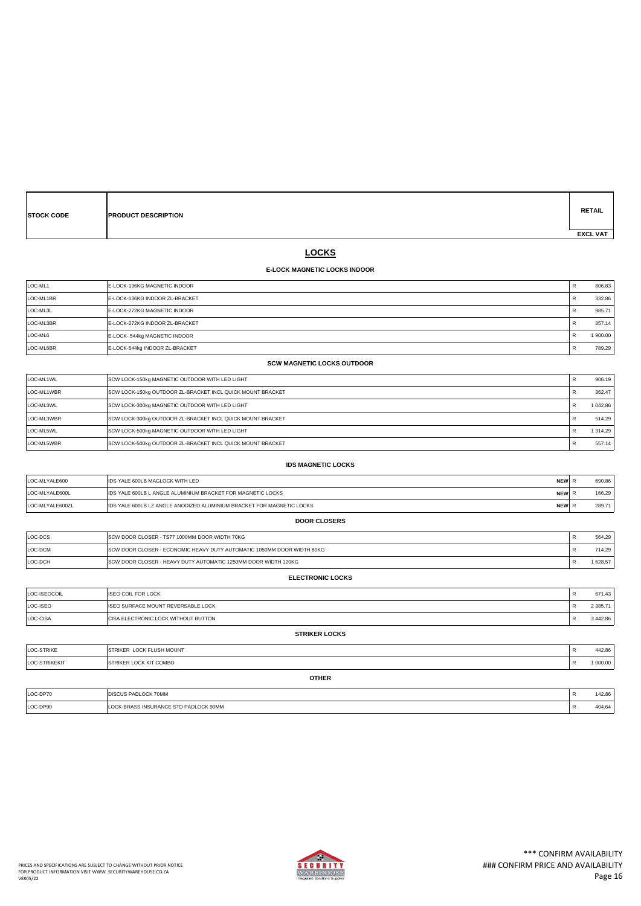| <b>STOCK CODE</b> | <b>PRODUCT DESCRIPTION</b> | <b>RETAIL</b>   |
|-------------------|----------------------------|-----------------|
|                   |                            | <b>EXCL VAT</b> |

# **LOCKS**

### **E-LOCK MAGNETIC LOCKS INDOOR**

| LOC-ML1   | <b>E-LOCK-136KG MAGNETIC INDOOR</b>    |   | 806.83  |
|-----------|----------------------------------------|---|---------|
| LOC-ML1BR | <b>IE-LOCK-136KG INDOOR ZL-BRACKET</b> | B | 332.86  |
| LOC-ML3L  | <b>E-LOCK-272KG MAGNETIC INDOOR</b>    |   | 985.71  |
| LOC-ML3BR | <b>IE-LOCK-272KG INDOOR ZL-BRACKET</b> |   | 357.14  |
| LOC-ML6   | E-LOCK-544kg MAGNETIC INDOOR           | B | 1900.00 |
| LOC-ML6BR | E-LOCK-544kg INDOOR ZL-BRACKET         | B | 789.29  |

**SCW MAGNETIC LOCKS OUTDOOR**

| LOC-ML1WL  | SCW LOCK-150kg MAGNETIC OUTDOOR WITH LED LIGHT             | 906.19   |
|------------|------------------------------------------------------------|----------|
| LOC-ML1WBR | SCW LOCK-150kg OUTDOOR ZL-BRACKET INCL QUICK MOUNT BRACKET | 362.47   |
| LOC-ML3WL  | SCW LOCK-300kg MAGNETIC OUTDOOR WITH LED LIGHT             | 1 042.86 |
| LOC-ML3WBR | SCW LOCK-300kg OUTDOOR ZL-BRACKET INCL QUICK MOUNT BRACKET | 514.29   |
| LOC-ML5WL  | SCW LOCK-500kg MAGNETIC OUTDOOR WITH LED LIGHT             | 1 314.29 |
| LOC-ML5WBR | SCW LOCK-500kg OUTDOOR ZL-BRACKET INCL QUICK MOUNT BRACKET | 557.14   |

| <b>IDS MAGNETIC LOCKS</b> |                                                                       |            |   |        |
|---------------------------|-----------------------------------------------------------------------|------------|---|--------|
| LOC-MLYALE600             | <b>IDS YALE 600LB MAGLOCK WITH LED</b>                                | NEW R      |   | 690.86 |
| LOC-MLYALE600L            | IDS YALE 600LB L ANGLE ALUMINIUM BRACKET FOR MAGNETIC LOCKS           | <b>NEW</b> |   | 166.29 |
| LOC-MLYALE600ZL           | IDS YALE 600LB LZ ANGLE ANODIZED ALUMINIUM BRACKET FOR MAGNETIC LOCKS | <b>NEW</b> | R | 289.71 |
| <b>DOOR CLOSERS</b>       |                                                                       |            |   |        |

| LOC-DCS | <b>ISCW DOOR CLOSER - TS77 1000MM DOOR WIDTH 70KG</b>                   | 564.29 |
|---------|-------------------------------------------------------------------------|--------|
| LOC-DCM | ISCW DOOR CLOSER - ECONOMIC HEAVY DUTY AUTOMATIC 1050MM DOOR WIDTH 80KG | 714.29 |
| LOC-DCH | <b>ISCW DOOR CLOSER - HEAVY DUTY AUTOMATIC 1250MM DOOR WIDTH 120KG</b>  | 628.57 |

| <b>ELECTRONIC LOCKS</b> |                                             |   |               |  |
|-------------------------|---------------------------------------------|---|---------------|--|
| LOC-ISEOCOIL            | <b>ISEO COIL FOR LOCK</b>                   |   | 671.43        |  |
| LOC-ISEO                | ISEO SURFACE MOUNT REVERSABLE LOCK          | D | 2 3 8 5.71    |  |
| LOC-CISA                | <b>ICISA ELECTRONIC LOCK WITHOUT BUTTON</b> |   | 3 4 4 2 . 8 6 |  |
| <b>STRIKER LOCKS</b>    |                                             |   |               |  |

|               | <b>OTHER</b>                     |              |          |
|---------------|----------------------------------|--------------|----------|
| LOC-STRIKEKIT | <b>STRIKER LOCK KIT COMBO</b>    | $\mathbf{r}$ | 1 000.00 |
| LOC-STRIKE    | <b>ISTRIKER LOCK FLUSH MOUNT</b> |              | 442.86   |

| LOC-DP70 | <b>DISCUS PADLOCK 70MM</b>         | 142.86 |
|----------|------------------------------------|--------|
| LOC-DP90 | K-BRASS INSURANCE STD PADLOCK 90MM | 404.64 |

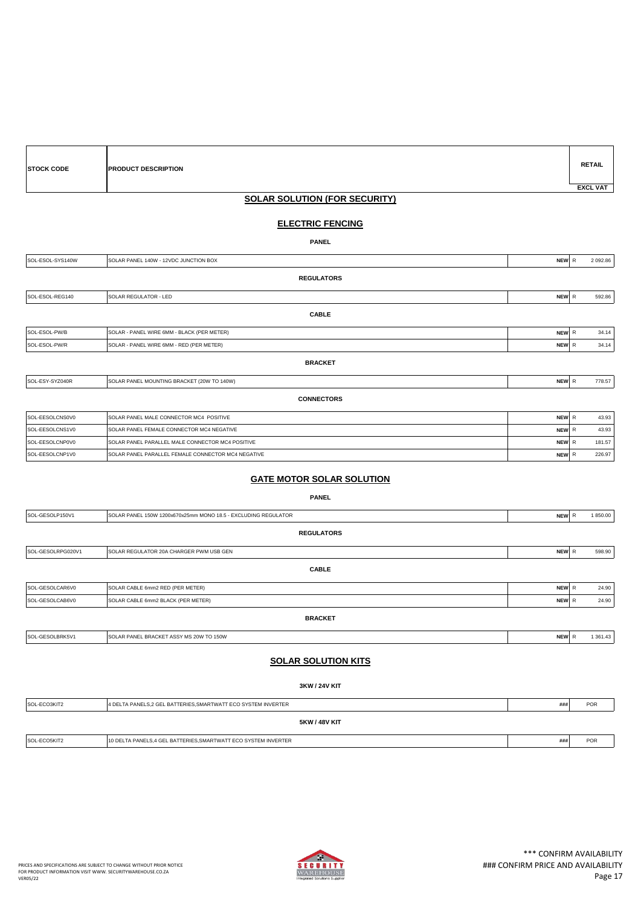| <b>STOCK CODE</b> | <b>PRODUCT DESCRIPTION</b>                       |       | <b>RETAIL</b>   |  |  |
|-------------------|--------------------------------------------------|-------|-----------------|--|--|
|                   |                                                  |       | <b>EXCL VAT</b> |  |  |
|                   |                                                  |       |                 |  |  |
|                   | <b>SOLAR SOLUTION (FOR SECURITY)</b>             |       |                 |  |  |
|                   | <b>ELECTRIC FENCING</b>                          |       |                 |  |  |
|                   | <b>PANEL</b>                                     |       |                 |  |  |
| SOL-ESOL-SYS140W  | SOLAR PANEL 140W - 12VDC JUNCTION BOX            | NEW R | 2 092.86        |  |  |
|                   | <b>REGULATORS</b>                                |       |                 |  |  |
| SOL-ESOL-REG140   | SOLAR REGULATOR - LED                            | NEW R | 592.86          |  |  |
|                   | <b>CABLE</b>                                     |       |                 |  |  |
| SOL-ESOL-PW/B     | SOLAR - PANEL WIRE 6MM - BLACK (PER METER)       | NEW R | 34.14           |  |  |
| SOL-ESOL-PW/R     | SOLAR - PANEL WIRE 6MM - RED (PER METER)         | NEW R | 34.14           |  |  |
|                   | <b>BRACKET</b>                                   |       |                 |  |  |
| SOL-ESY-SYZ040R   | SOLAR PANEL MOUNTING BRACKET (20W TO 140W)       | NEW R | 778.57          |  |  |
|                   | <b>CONNECTORS</b>                                |       |                 |  |  |
| SOL-EESOLCNS0V0   | SOLAR PANEL MALE CONNECTOR MC4 POSITIVE          | NEW R | 43.93           |  |  |
| SOL-EESOLCNS1V0   | SOLAR PANEL FEMALE CONNECTOR MC4 NEGATIVE        | NEW R | 43.93           |  |  |
| SOL-EESOLCNP0V0   | SOLAR PANEL PARALLEL MALE CONNECTOR MC4 POSITIVE | NEW R | 181.57          |  |  |

## **GATE MOTOR SOLAR SOLUTION**

SOL-EESOLCNP1V0 SOLAR PANEL PARALLEL FEMALE CONNECTOR MC4 NEGATIVE **NEW ACCOUNT AND ACCOUNT A REW REGATIVE ACCOUNT** 

| <b>PANEL</b>      |                                                                |            |  |              |          |
|-------------------|----------------------------------------------------------------|------------|--|--------------|----------|
| SOL-GESOLP150V1   | SOLAR PANEL 150W 1200x670x25mm MONO 18.5 - EXCLUDING REGULATOR | NEW R      |  |              | 1850.00  |
|                   | <b>REGULATORS</b>                                              |            |  |              |          |
| SOL-GESOLRPG020V1 | SOLAR REGULATOR 20A CHARGER PWM USB GEN                        | NEW R      |  |              | 598.90   |
|                   | <b>CABLE</b>                                                   |            |  |              |          |
| SOL-GESOLCAR6V0   | SOLAR CABLE 6mm2 RED (PER METER)                               | <b>NEW</b> |  | $\mathsf{R}$ | 24.90    |
| SOL-GESOLCAB6V0   | SOLAR CABLE 6mm2 BLACK (PER METER)                             | NEW R      |  |              | 24.90    |
|                   | <b>BRACKET</b>                                                 |            |  |              |          |
| SOL-GESOLBRK5V1   | SOLAR PANEL BRACKET ASSY MS 20W TO 150W                        | <b>NEW</b> |  | $\mathsf{R}$ | 1 361.43 |
|                   |                                                                |            |  |              |          |

### **SOLAR SOLUTION KITS**

**3KW / 24V KIT**

| SOL-ECO3KIT2         | 4 DELTA PANELS, 2 GEL BATTERIES, SMARTWATT ECO SYSTEM INVERTER | ### | <b>POR</b> |  |
|----------------------|----------------------------------------------------------------|-----|------------|--|
| <b>5KW / 48V KIT</b> |                                                                |     |            |  |
| SOL-ECO5KIT2         | 10 DELTA PANELS,4 GEL BATTERIES, SMARTWATT ECO SYSTEM INVERTER | ### | <b>POR</b> |  |
|                      |                                                                |     |            |  |

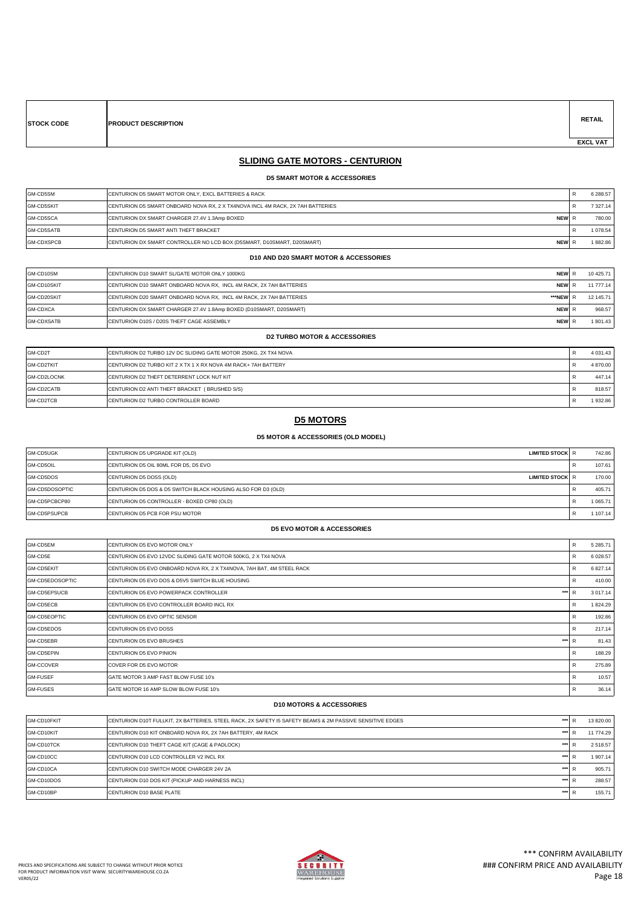**RETAIL**

 **EXCL VAT** 

# **SLIDING GATE MOTORS - CENTURION**

 **D5 SMART MOTOR & ACCESSORIES**

| GM-CD5SM          | ICENTURION D5 SMART MOTOR ONLY. EXCL BATTERIES & RACK                                  | 6 288.57     |
|-------------------|----------------------------------------------------------------------------------------|--------------|
| <b>GM-CD5SKIT</b> | ICENTURION D5 SMART ONBOARD NOVA RX. 2 X TX4NOVA INCL 4M RACK. 2X 7AH BATTERIES        | 7 3 2 7 . 14 |
| GM-CD5SCA         | ICENTURION DX SMART CHARGER 27.4V 1.3Amp BOXED<br>NEW R                                | 780.00       |
| GM-CD5SATB        | <b>CENTURION D5 SMART ANTI THEFT BRACKET</b>                                           | 1078.54      |
| <b>GM-CDXSPCB</b> | CENTURION DX SMART CONTROLLER NO LCD BOX (D5SMART, D10SMART, D20SMART)<br><b>NEW</b> R | 1882.86      |

#### **D10 AND D20 SMART MOTOR & ACCESSORIES**

| GM-CD10SM         | CENTURION D10 SMART SL/GATE MOTOR ONLY 1000KG                        | <b>NEW</b>   | 10 425.71 |
|-------------------|----------------------------------------------------------------------|--------------|-----------|
| GM-CD10SKIT       | ICENTURION D10 SMART ONBOARD NOVA RX. INCL 4M RACK. 2X 7AH BATTERIES | <b>NEW</b>   | 11 777.14 |
| GM-CD20SKIT       | ICENTURION D20 SMART ONBOARD NOVA RX. INCL 4M RACK. 2X 7AH BATTERIES | ***NEWI.     | 12 145.71 |
| GM-CDXCA          | CENTURION DX SMART CHARGER 27.4V 1.8Amp BOXED (D10SMART, D20SMART)   | <b>NEWIR</b> | 968.57    |
| <b>GM-CDXSATB</b> | CENTURION D10S / D20S THEFT CAGE ASSEMBLY                            | <b>NEW</b>   | 1801.43   |

### **D2 TURBO MOTOR & ACCESSORIES**

| GM-CD2T     | ICENTURION D2 TURBO 12V DC SLIDING GATE MOTOR 250KG, 2X TX4 NOVA | 4 0 3 1 . 4 3 |
|-------------|------------------------------------------------------------------|---------------|
| GM-CD2TKIT  | ICENTURION D2 TURBO KIT 2 X TX 1 X RX NOVA 4M RACK+ 7AH BATTERY  | 4 870.00      |
| GM-CD2LOCNK | <b>CENTURION D2 THEFT DETERRENT LOCK NUT KIT</b>                 | 447.14        |
| GM-CD2CATB  | CENTURION D2 ANTI THEFT BRACKET (BRUSHED S/S)                    | 818.57        |
| GM-CD2TCB   | CENTURION D2 TURBO CONTROLLER BOARD                              | 1932.86       |

### **D5 MOTORS**

#### **D5 MOTOR & ACCESSORIES (OLD MODEL)**

| GM-CD5UGK             | CENTURION D5 UPGRADE KIT (OLD)<br><b>LIMITED STOCK R</b>     | 742.86  |
|-----------------------|--------------------------------------------------------------|---------|
| GM-CD5OIL             | CENTURION D5 OIL 80ML FOR D5, D5 EVO                         | 107.61  |
| GM-CD5DOS             | CENTURION D5 DOSS (OLD)<br><b>LIMITED STOCK R</b>            | 170.00  |
| <b>GM-CD5DOSOPTIC</b> | CENTURION D5 DOS & D5 SWITCH BLACK HOUSING ALSO FOR D3 (OLD) | 405.71  |
| GM-CD5PCBCP80         | CENTURION D5 CONTROLLER - BOXED CP80 (OLD)                   | 1065.71 |
| GM-CD5PSUPCB          | CENTURION D5 PCB FOR PSU MOTOR                               | 107.14  |

#### **D5 EVO MOTOR & ACCESSORIES**

| GM-CD5EM         | CENTURION D5 EVO MOTOR ONLY                                           | R            | 5 285.71     |
|------------------|-----------------------------------------------------------------------|--------------|--------------|
| GM-CD5E          | CENTURION D5 EVO 12VDC SLIDING GATE MOTOR 500KG, 2 X TX4 NOVA         | R            | 6 0 28.57    |
| GM-CD5EKIT       | CENTURION D5 EVO ONBOARD NOVA RX, 2 X TX4NOVA, 7AH BAT, 4M STEEL RACK | R            | 6 827.14     |
| GM-CD5EDOSOPTIC  | <b>ICENTURION D5 EVO DOS &amp; D5V5 SWITCH BLUE HOUSING</b>           | R            | 410.00       |
| GM-CD5EPSUCB     | ***<br><b>ICENTURION D5 EVO POWERPACK CONTROLLER</b>                  | R            | 3 0 1 7 . 14 |
| GM-CD5ECB        | <b>ICENTURION D5 EVO CONTROLLER BOARD INCL RX</b>                     | R            | 1 824.29     |
| GM-CD5EOPTIC     | <b>CENTURION D5 EVO OPTIC SENSOR</b>                                  | R            | 192.86       |
| GM-CD5EDOS       | <b>CENTURION D5 EVO DOSS</b>                                          | R            | 217.14       |
| GM-CD5EBR        | ***<br>CENTURION D5 EVO BRUSHES                                       | $\mathsf{R}$ | 81.43        |
| GM-CD5EPIN       | CENTURION D5 EVO PINION                                               | R            | 188.29       |
| <b>GM-CCOVER</b> | <b>COVER FOR D5 EVO MOTOR</b>                                         | R            | 275.89       |
| <b>GM-FUSEF</b>  | GATE MOTOR 3 AMP FAST BLOW FUSE 10's                                  | R            | 10.57        |
| <b>GM-FUSES</b>  | GATE MOTOR 16 AMP SLOW BLOW FUSE 10's                                 | R            | 36.14        |

#### **D10 MOTORS & ACCESSORIES**

| GM-CD10FKIT | ***<br>ICENTURION D10T FULLKIT. 2X BATTERIES. STEEL RACK. 2X SAFETY I5 SAFETY BEAMS & 2M PASSIVE SENSITIVE EDGES |  | 13 820.00 |
|-------------|------------------------------------------------------------------------------------------------------------------|--|-----------|
| GM-CD10KIT  | ***<br>CENTURION D10 KIT ONBOARD NOVA RX, 2X 7AH BATTERY, 4M RACK                                                |  | 11 774.29 |
| GM-CD10TCK  | ***<br>CENTURION D10 THEFT CAGE KIT (CAGE & PADLOCK)                                                             |  | 2518.57   |
| GM-CD10CC   | CENTURION D10 LCD CONTROLLER V2 INCL RX<br>***                                                                   |  | 1 907.14  |
| GM-CD10CA   | CENTURION D10 SWITCH MODE CHARGER 24V 2A<br>***                                                                  |  | 905.71    |
| GM-CD10DOS  | ***<br>CENTURION D10 DOS KIT (PICKUP AND HARNESS INCL)                                                           |  | 288.57    |
| GM-CD10BP   | ***<br>CENTURION D10 BASE PLATE                                                                                  |  | 155.71    |

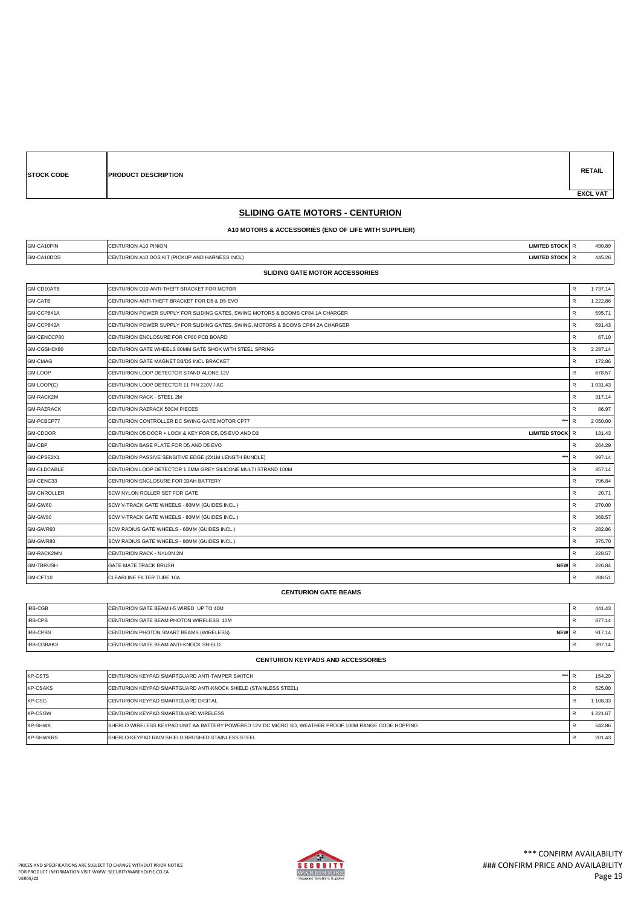**E PRODUCT DESCRIPTION** 

**RETAIL EXCL VAT** 

# **SLIDING GATE MOTORS - CENTURION**

### **A10 MOTORS & ACCESSORIES (END OF LIFE WITH SUPPLIER)**

| GM-CA10PIN | LIMITED STOCK LR<br>ENTURION A10 PINION<br>IСE                                     | 490.89 |
|------------|------------------------------------------------------------------------------------|--------|
| GM-CA10DOS | <b>LIMITED STOCK R</b><br>ENTURION A10 DOS KIT (PICKUP AND HARNESS INCL)<br>$\sim$ | 445.26 |

#### **SLIDING GATE MOTOR ACCESSORIES**

| GM-CD10ATB         | CENTURION D10 ANTI-THEFT BRACKET FOR MOTOR                                      | R            | 1 737.14      |
|--------------------|---------------------------------------------------------------------------------|--------------|---------------|
| <b>GM-CATB</b>     | CENTURION ANTI-THEFT BRACKET FOR D5 & D5-EVO                                    | R            | 1 222.86      |
| GM-CCP841A         | CENTURION POWER SUPPLY FOR SLIDING GATES, SWING MOTORS & BOOMS CP84 1A CHARGER  | R            | 595.71        |
| GM-CCP842A         | CENTURION POWER SUPPLY FOR SLIDING GATES, SWING, MOTORS & BOOMS CP84 2A CHARGER | R            | 691.43        |
| GM-CENCCP80        | CENTURION ENCLOSURE FOR CP80 PCB BOARD                                          | R            | 67.10         |
| GM-CGSH0X80        | CENTURION GATE WHEELS 80MM GATE SHOX WITH STEEL SPRING                          | R            | 2 2 8 7 . 1 4 |
| <b>GM-CMAG</b>     | CENTURION GATE MAGNET D3/D5 INCL BRACKET                                        | R            | 172.86        |
| GM-LOOP            | CENTURION LOOP DETECTOR STAND ALONE 12V                                         | R            | 678.57        |
| GM-LOOP(C)         | CENTURION LOOP DETECTOR 11 PIN 220V / AC                                        | R            | 1 0 3 1 . 4 3 |
| GM-RACK2M          | CENTURION RACK - STEEL 2M                                                       | R            | 317.14        |
| <b>GM-RAZRACK</b>  | CENTURION RAZRACK 50CM PIECES                                                   | R            | 86.97         |
| GM-PCBCP77         | $***$<br>CENTURION CONTROLLER DC SWING GATE MOTOR CP77                          | $\mathsf{R}$ | 2 050.00      |
| GM-CDOOR           | <b>LIMITED STOCK R</b><br>CENTURION D5 DOOR + LOCK & KEY FOR D5, D5 EVO AND D3  |              | 131.43        |
| GM-CBP             | CENTURION BASE PLATE FOR D5 AND D5 EVO                                          | R            | 264.29        |
| GM-CPSE2X1         | ***<br>CENTURION PASSIVE SENSITIVE EDGE (2X1M LENGTH BUNDLE)                    | $\mathbb{R}$ | 897.14        |
| <b>GM-CLDCABLE</b> | CENTURION LOOP DETECTOR 1.5MM GREY SILICONE MULTI STRAND 100M                   | R            | 857.14        |
| GM-CENC33          | CENTURION ENCLOSURE FOR 33AH BATTERY                                            | R            | 796.84        |
| <b>GM-CNROLLER</b> | SCW NYLON ROLLER SET FOR GATE                                                   | R            | 20.71         |
| GM-GW60            | SCW V-TRACK GATE WHEELS - 60MM (GUIDES INCL.)                                   | R            | 270.00        |
| GM-GW80            | SCW V-TRACK GATE WHEELS - 80MM (GUIDES INCL.)                                   | R            | 368.57        |
| GM-GWR60           | SCW RADIUS GATE WHEELS - 60MM (GUIDES INCL.)                                    | R            | 282.86        |
| GM-GWR80           | SCW RADIUS GATE WHEELS - 80MM (GUIDES INCL.)                                    | R            | 375.70        |
| GM-RACK2MN         | CENTURION RACK - NYLON 2M                                                       | R            | 228.57        |
| <b>GM-TBRUSH</b>   | <b>GATE MATE TRACK BRUSH</b><br>NEW R                                           |              | 226.84        |
| GM-CFT10           | CLEARLINE FILTER TUBE 10A                                                       | R            | 288.51        |
|                    |                                                                                 |              |               |

#### **CENTURION GATE BEAMS**

| <b>IRB-CGB</b>    | <b>ICENTURION GATE BEAM I-5 WIRED UP TO 40M</b>         | 441.43 |
|-------------------|---------------------------------------------------------|--------|
| <b>IRB-CPB</b>    | <b>CENTURION GATE BEAM PHOTON WIRELESS 10M</b>          | 877.14 |
| <b>IRB-CPBS</b>   | <b>NEWIR</b><br>CENTURION PHOTON SMART BEAMS (WIRELESS) | 917.14 |
| <b>IRB-CGBAKS</b> | <b>CENTURION GATE BEAM ANTI-KNOCK SHIELD</b>            | 397.14 |

#### **CENTURION KEYPADS AND ACCESSORIES**

| KP-CSTS          | <b>ICENTURION KEYPAD SMARTGUARD ANTI-TAMPER SWITCH</b><br>***                                          | 154.29      |
|------------------|--------------------------------------------------------------------------------------------------------|-------------|
| <b>KP-CSAKS</b>  | CENTURION KEYPAD SMARTGUARD ANTI-KNOCK SHIELD (STAINLESS STEEL)                                        | 525.00      |
| KP-CSG           | <b>ICENTURION KEYPAD SMARTGUARD DIGITAL</b>                                                            | 1 108.33    |
| <b>KP-CSGW</b>   | <b>CENTURION KEYPAD SMARTGUARD WIRELESS</b>                                                            | 1 2 2 1 .67 |
| KP-SHWK          | ISHERLO WIRELESS KEYPAD UNIT AA BATTERY POWERED 12V DC MICRO SD. WEATHER PROOF 100M RANGE CODE HOPPING | 642.86      |
| <b>KP-SHWKRS</b> | SHERLO KEYPAD RAIN SHIELD BRUSHED STAINLESS STEEL                                                      | 201.43      |

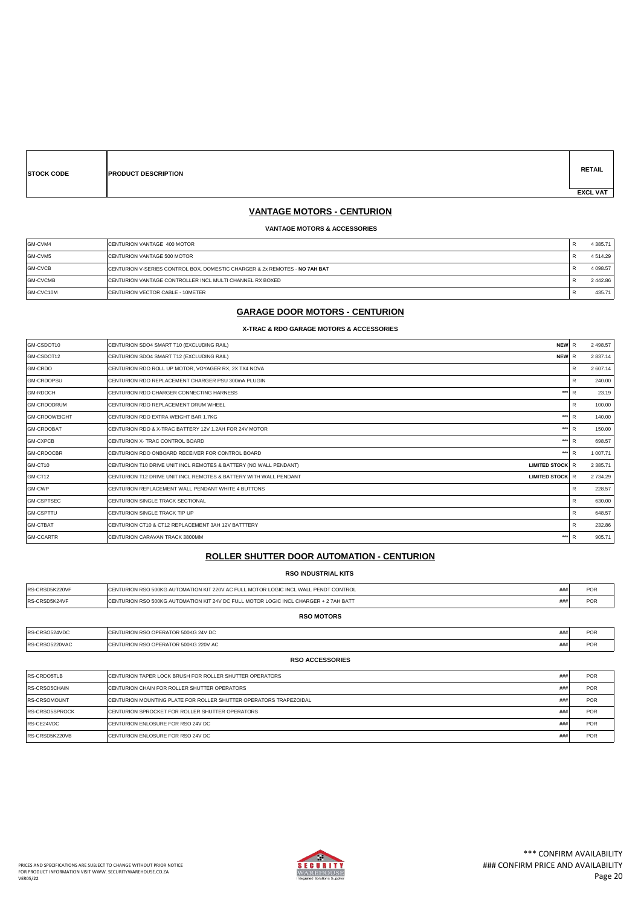| <b>STOCK CODE</b> |  |
|-------------------|--|

**PRODUCT DESCRIPTION** 

### **VANTAGE MOTORS - CENTURION**

#### **VANTAGE MOTORS & ACCESSORIES**

| GM-CVM4         | CENTURION VANTAGE 400 MOTOR                                                | 4 3 8 5 . 7 1 |
|-----------------|----------------------------------------------------------------------------|---------------|
| GM-CVM5         | CENTURION VANTAGE 500 MOTOR                                                | 4514.29       |
| GM-CVCB         | CENTURION V-SERIES CONTROL BOX, DOMESTIC CHARGER & 2x REMOTES - NO 7AH BAT | 4 0 98.57     |
| <b>GM-CVCMB</b> | ICENTURION VANTAGE CONTROLLER INCL MULTI CHANNEL RX BOXED                  | 2442.86       |
| GM-CVC10M       | CENTURION VECTOR CABLE - 10METER                                           | 435.71        |

### **GARAGE DOOR MOTORS - CENTURION**

#### **X-TRAC & RDO GARAGE MOTORS & ACCESSORIES**

| GM-CSDOT10           | <b>NEW</b><br>CENTURION SDO4 SMART T10 (EXCLUDING RAIL)                                     | $\mathbb{R}$ | 2 4 9 8.57    |
|----------------------|---------------------------------------------------------------------------------------------|--------------|---------------|
| GM-CSDOT12           | CENTURION SDO4 SMART T12 (EXCLUDING RAIL)<br>NEW R                                          |              | 2837.14       |
| GM-CRDO              | CENTURION RDO ROLL UP MOTOR, VOYAGER RX, 2X TX4 NOVA                                        | R            | 2 607.14      |
| <b>GM-CRDOPSU</b>    | CENTURION RDO REPLACEMENT CHARGER PSU 300mA PLUGIN                                          | R            | 240.00        |
| <b>GM-RDOCH</b>      | ***<br>CENTURION RDO CHARGER CONNECTING HARNESS                                             | R            | 23.19         |
| <b>GM-CRDODRUM</b>   | CENTURION RDO REPLACEMENT DRUM WHEEL                                                        | R            | 100.00        |
| <b>GM-CRDOWEIGHT</b> | ***<br>CENTURION RDO EXTRA WEIGHT BAR 1.7KG                                                 | R            | 140.00        |
| <b>GM-CRDOBAT</b>    | $***$<br>CENTURION RDO & X-TRAC BATTERY 12V 1.2AH FOR 24V MOTOR                             | R            | 150.00        |
| <b>GM-CXPCB</b>      | ***<br>CENTURION X- TRAC CONTROL BOARD                                                      | R            | 698.57        |
| <b>GM-CRDOCBR</b>    | ***<br>CENTURION RDO ONBOARD RECEIVER FOR CONTROL BOARD                                     | R            | 1 007.71      |
| GM-CT10              | <b>LIMITED STOCK R</b><br>CENTURION T10 DRIVE UNIT INCL REMOTES & BATTERY (NO WALL PENDANT) |              | 2 3 8 5 . 7 1 |
| GM-CT12              | CENTURION T12 DRIVE UNIT INCL REMOTES & BATTERY WITH WALL PENDANT<br><b>LIMITED STOCK R</b> |              | 2734.29       |
| GM-CWP               | CENTURION REPLACEMENT WALL PENDANT WHITE 4 BUTTONS                                          | R            | 228.57        |
| <b>GM-CSPTSEC</b>    | CENTURION SINGLE TRACK SECTIONAL                                                            | R            | 630.00        |
| <b>GM-CSPTTU</b>     | CENTURION SINGLE TRACK TIP UP                                                               | R            | 648.57        |
| <b>GM-CTBAT</b>      | CENTURION CT10 & CT12 REPLACEMENT 3AH 12V BATTTERY                                          | R            | 232.86        |
| <b>GM-CCARTR</b>     | ***<br>CENTURION CARAVAN TRACK 3800MM                                                       | R            | 905.71        |

### **ROLLER SHUTTER DOOR AUTOMATION - CENTURION**

#### **RSO INDUSTRIAL KITS**

| RS-CRSD5K220VF       | ICENTURION RSO 500KG AUTOMATION KIT 220V AC FULL MOTOR LOGIC INCL WALL PENDT CONTROL  | ### | <b>POR</b> |  |
|----------------------|---------------------------------------------------------------------------------------|-----|------------|--|
| <b>RS-CRSD5K24VF</b> | ICENTURION RSO 500KG AUTOMATION KIT 24V DC FULL MOTOR LOGIC INCL CHARGER + 2 7AH BATT | ### | <b>POR</b> |  |
| <b>RSO MOTORS</b>    |                                                                                       |     |            |  |
| <b>RS-CRSO524VDC</b> | CENTURION RSO OPERATOR 500KG 24V DC                                                   | ### | <b>POR</b> |  |

| RS-CRSO5220VAC         | CENTURION RSO OPERATOR 500KG 220V AC                                      | ### | <b>POR</b> |  |
|------------------------|---------------------------------------------------------------------------|-----|------------|--|
| <b>RSO ACCESSORIES</b> |                                                                           |     |            |  |
| <b>RS-CRDO5TLB</b>     | <b>ICENTURION TAPER LOCK BRUSH FOR ROLLER SHUTTER OPERATORS</b>           | ### | <b>POR</b> |  |
| <b>RS-CRSO5CHAIN</b>   | <b>ICENTURION CHAIN FOR ROLLER SHUTTER OPERATORS</b>                      | ### | <b>POR</b> |  |
| <b>IRS-CRSOMOUNT</b>   | <b>ICENTURION MOUNTING PLATE FOR ROLLER SHUTTER OPERATORS TRAPEZOIDAL</b> | ### | <b>POR</b> |  |
| <b>RS-CRSO5SPROCK</b>  | <b>ICENTURION SPROCKET FOR ROLLER SHUTTER OPERATORS</b>                   | ### | <b>POR</b> |  |
| RS-CE24VDC             | <b>ICENTURION ENLOSURE FOR RSO 24V DC</b>                                 | ### | <b>POR</b> |  |
| RS-CRSD5K220VB         | <b>ICENTURION ENLOSURE FOR RSO 24V DC</b>                                 | ### | <b>POR</b> |  |

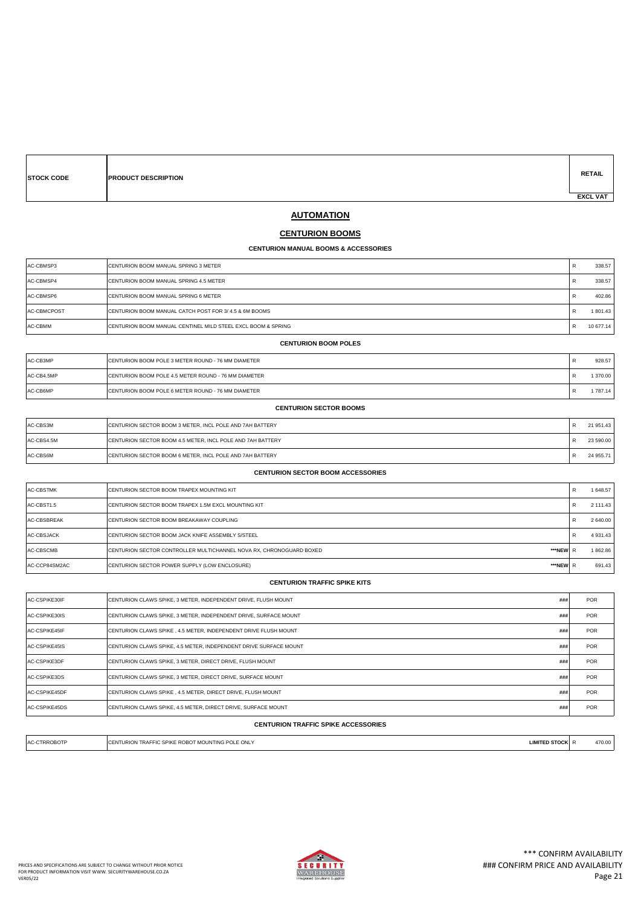| <b>ISTOCK CODE</b> |  |
|--------------------|--|
|                    |  |

**PRODUCT DESCRIPTION** 

**RETAIL EXCL VAT** 

# **AUTOMATION**

### **CENTURION BOOMS**

#### **CENTURION MANUAL BOOMS & ACCESSORIES**

| AC-CBMSP3   | <b>CENTURION BOOM MANUAL SPRING 3 METER</b>                  | R | 338.57    |
|-------------|--------------------------------------------------------------|---|-----------|
| AC-CBMSP4   | CENTURION BOOM MANUAL SPRING 4.5 METER                       | R | 338.57    |
| AC-CBMSP6   | CENTURION BOOM MANUAL SPRING 6 METER                         | R | 402.86    |
| AC-CBMCPOST | ICENTURION BOOM MANUAL CATCH POST FOR 3/4.5 & 6M BOOMS       | R | 1801.43   |
| AC-CBMM     | CENTURION BOOM MANUAL CENTINEL MILD STEEL EXCL BOOM & SPRING | R | 10 677.14 |

#### **CENTURION BOOM POLES**

| AC-CB3MP   | <b>ICENTURION BOOM POLE 3 METER ROUND - 76 MM DIAMETER</b> | 928.57 |
|------------|------------------------------------------------------------|--------|
| AC-CB4.5MP | ICENTURION BOOM POLE 4.5 METER ROUND - 76 MM DIAMETER      | 370.00 |
| AC-CB6MP   | <b>ICENTURION BOOM POLE 6 METER ROUND - 76 MM DIAMETER</b> | 787.14 |

#### **CENTURION SECTOR BOOMS**

| AC-CBS3M   | CENTURION SECTOR BOOM 3 METER, INCL POLE AND 7AH BATTERY         | 21 951.43 |
|------------|------------------------------------------------------------------|-----------|
| AC-CBS4.5M | CENTURION SECTOR BOOM 4.5 METER, INCL POLE AND 7AH BATTERY       | 23 590.00 |
| AC-CBS6M   | <b>ICENTURION SECTOR BOOM 6 METER. INCL POLE AND 7AH BATTERY</b> | 24 955.71 |

#### **CENTURION SECTOR BOOM ACCESSORIES**

| <b>AC-CBSTMK</b> | <b>ICENTURION SECTOR BOOM TRAPEX MOUNTING KIT</b>                               | R | 1648.57  |
|------------------|---------------------------------------------------------------------------------|---|----------|
| AC-CBST1.5       | <b>ICENTURION SECTOR BOOM TRAPEX 1.5M EXCL MOUNTING KIT</b>                     |   | 2 111.43 |
| AC-CBSBREAK      | <b>ICENTURION SECTOR BOOM BREAKAWAY COUPLING</b>                                |   | 2 640.00 |
| AC-CBSJACK       | <b>ICENTURION SECTOR BOOM JACK KNIFE ASSEMBLY S/STEEL</b>                       |   | 4931.43  |
| AC-CBSCMB        | ***NEW R<br>CENTURION SECTOR CONTROLLER MULTICHANNEL NOVA RX, CHRONOGUARD BOXED |   | 1862.86  |
| AC-CCP84SM2AC    | ***NEW R<br>CENTURION SECTOR POWER SUPPLY (LOW ENCLOSURE)                       |   | 691.43   |

### **CENTURION TRAFFIC SPIKE KITS**

| AC-CSPIKE30IF | CENTURION CLAWS SPIKE, 3 METER, INDEPENDENT DRIVE, FLUSH MOUNT    | ### | <b>POR</b> |
|---------------|-------------------------------------------------------------------|-----|------------|
| AC-CSPIKE30IS | CENTURION CLAWS SPIKE, 3 METER, INDEPENDENT DRIVE, SURFACE MOUNT  | ### | <b>POR</b> |
| AC-CSPIKE45IF | CENTURION CLAWS SPIKE, 4.5 METER, INDEPENDENT DRIVE FLUSH MOUNT   | ### | <b>POR</b> |
| AC-CSPIKE45IS | CENTURION CLAWS SPIKE, 4.5 METER, INDEPENDENT DRIVE SURFACE MOUNT | ### | <b>POR</b> |
| AC-CSPIKE3DF  | CENTURION CLAWS SPIKE, 3 METER, DIRECT DRIVE, FLUSH MOUNT         | ### | <b>POR</b> |
| AC-CSPIKE3DS  | ICENTURION CLAWS SPIKE. 3 METER. DIRECT DRIVE. SURFACE MOUNT      | ### | <b>POR</b> |
| AC-CSPIKE45DF | CENTURION CLAWS SPIKE, 4.5 METER, DIRECT DRIVE, FLUSH MOUNT       | ### | <b>POR</b> |
| AC-CSPIKE45DS | CENTURION CLAWS SPIKE, 4.5 METER, DIRECT DRIVE, SURFACE MOUNT     | ### | <b>POR</b> |
|               |                                                                   |     |            |

#### **CENTURION TRAFFIC SPIKE ACCESSORIES**

| : ONL<br><b>IMIT</b><br>T MOUNTING<br>POL<br><br>. | ιн. | 470.00 |
|----------------------------------------------------|-----|--------|

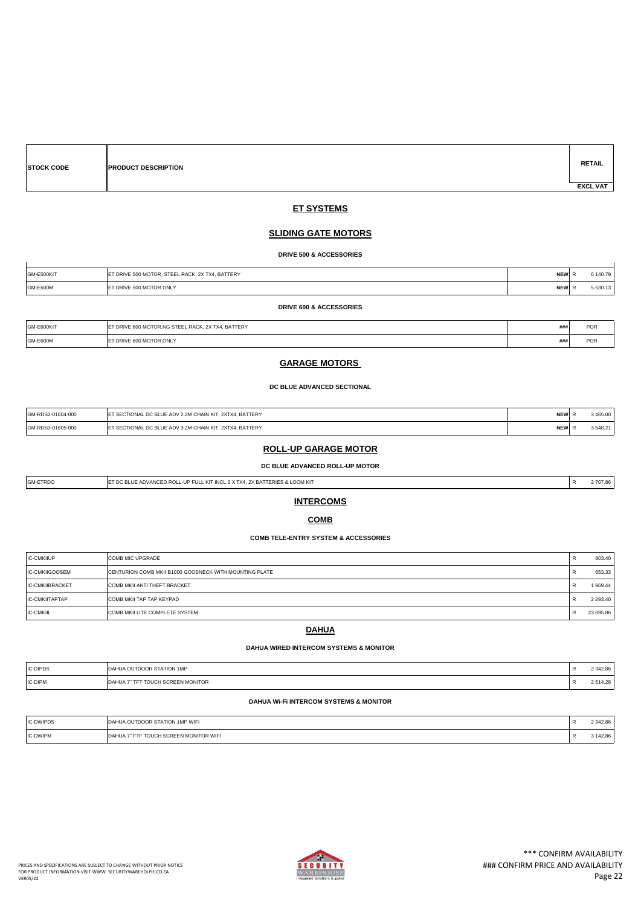| <b>STOCK CODE</b> | <b>PRODUCT DESCRIPTION</b> | <b>RETAIL</b>   |
|-------------------|----------------------------|-----------------|
|                   |                            | <b>EXCL VAT</b> |

### **ET SYSTEMS**

### **SLIDING GATE MOTORS**

**DRIVE 500 & ACCESSORIES**

| GM-E500KIT      | ET DRIVE 500 MOTOR, STEEL RACK, 2X TX4, BATTERY | <b>NEW</b> | 6 140.79 |
|-----------------|-------------------------------------------------|------------|----------|
| <b>GM-E500M</b> | T DRIVE 500 MOTOR ONLY                          | <b>NEW</b> | 5530.13  |

#### **DRIVE 600 & ACCESSORIES**

| GM-E600KIT      | LET DRIVE 600 MOTOR.NG STEEL RACK, 2X TX4, BATTERY | ##i | <b>POR</b> |
|-----------------|----------------------------------------------------|-----|------------|
| <b>GM-E600M</b> | <b>LET DRIVE 600 MOTOR ONLY</b>                    | ### | POR        |

### **GARAGE MOTORS**

**DC BLUE ADVANCED SECTIONAL**

| GM-RDS2-01604-000<br>. | / 2.2M CHAIN KIT, 2XTX4, BATTERY<br>ADV<br>DO DULE<br>`ANG               | <b>HEM</b><br>NEW | 00.785, 00<br>403.UU |
|------------------------|--------------------------------------------------------------------------|-------------------|----------------------|
| GM-RDS3-01605-000      | . 2XTX4. BATTERY<br>ADI<br>3.2M CHAIN KIT.<br><sub>n</sub><br><b>JNA</b> | IEN<br>NEW        | 25492<br>340.Z       |

### **ROLL-UP GARAGE MOTOR**

**DC BLUE ADVANCED ROLL-UP MOTOR**

| <b>GM-ETRDO</b> | E ADVANCED ROLL-UP FULL KIT INCL 2 X TX4. 2X BATTERIES & LOOM KIT<br>$\sim$<br>- 1100 | D<br>$\mathbf{r}$ | 2707.86 |
|-----------------|---------------------------------------------------------------------------------------|-------------------|---------|
|                 |                                                                                       |                   |         |

### **INTERCOMS**

### **COMB**

### **COMB TELE-ENTRY SYSTEM & ACCESSORIES**

| <b>IC-CMKIIUP</b>     | <b>COMB MIC UPGRADE</b>                                | $\mathbf{r}$ | 803.40        |
|-----------------------|--------------------------------------------------------|--------------|---------------|
| IC-CMKIIGOOSEM        | CENTURION COMB MKII B1000 GOOSNECK WITH MOUNTING PLATE | $\mathbf{r}$ | 653.33        |
| IC-CMKIIBRACKET       | COMB MKII ANTI THEFT BRACKET                           | $\mathbf{r}$ | 1969.44       |
| <b>IC-CMKIITAPTAP</b> | COMB MKII TAP TAP KEYPAD                               |              | 2 2 9 3 . 4 0 |
| <b>IC-CMKIIL</b>      | <b>COMB MKII LITE COMPLETE SYSTEM</b>                  |              | 23 095.86     |

### **DAHUA**

#### **DAHUA WIRED INTERCOM SYSTEMS & MONITOR**

| <b>IC-DIPDS</b> | <b>STATION 1MF</b>                   | 342.86      |
|-----------------|--------------------------------------|-------------|
| IC-DIPM         | <b>SCREEN MONITOR</b><br>AHUA<br>שטע | $F \land A$ |

### **DAHUA Wi-Fi INTERCOM SYSTEMS & MONITOR**

| IC-DWIPDS | <b>A OUTDOOR STATION 1MP WIFI</b><br><b>LOAH</b> | 2 342.86 |
|-----------|--------------------------------------------------|----------|
| IC-DWIPM  | JCH SCREEN MONITOR WIFI<br>DAHUA                 | 142.86 د |

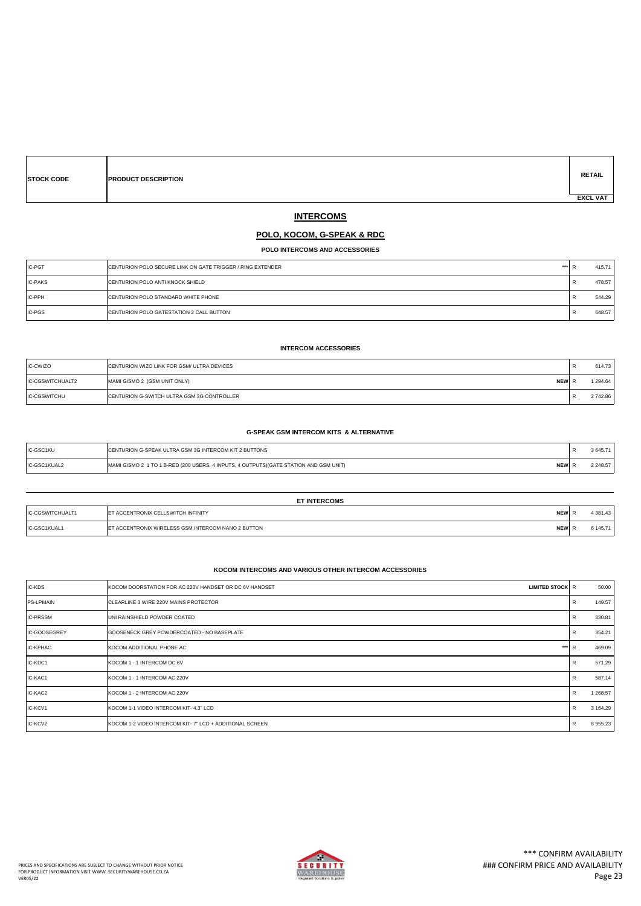| <b>STOCK CODE</b> | <b>PRODUCT DESCRIPTION</b> | <b>RETAIL</b>   |
|-------------------|----------------------------|-----------------|
|                   |                            | <b>EXCL VAT</b> |

# **INTERCOMS**

### **POLO, KOCOM, G-SPEAK & RDC**

**POLO INTERCOMS AND ACCESSORIES**

| <b>IC-PGT</b>  | CENTURION POLO SECURE LINK ON GATE TRIGGER / RING EXTENDER | $***2$<br>- 13 | 415.71 |
|----------------|------------------------------------------------------------|----------------|--------|
| <b>IC-PAKS</b> | <b>CENTURION POLO ANTI KNOCK SHIELD</b>                    | п.             | 478.57 |
| <b>IC-PPH</b>  | <b>CENTURION POLO STANDARD WHITE PHONE</b>                 | $\mathbf{r}$   | 544.29 |
| IC-PGS         | <b>CENTURION POLO GATESTATION 2 CALL BUTTON</b>            | - 13           | 648.57 |

### **INTERCOM ACCESSORIES**

| IC-CWIZO            | CENTURION WIZO LINK FOR GSM/ ULTRA DEVICES         | <br>614.73  |
|---------------------|----------------------------------------------------|-------------|
| IC-CGSWITCHUALT2    | MAMI GISMO 2 (GSM UNIT ONLY)<br><b>NEW</b>         | 1 294.64    |
| <b>IC-CGSWITCHU</b> | <b>ICENTURION G-SWITCH ULTRA GSM 3G CONTROLLER</b> | <br>2742.86 |

#### **G-SPEAK GSM INTERCOM KITS & ALTERNATIVE**

| IC-GSC1KU           | <b>IURION G-SPEAK ULTRA GSM 3G INTERCOM KIT 2 BUTTONS</b>                                                       |        |
|---------------------|-----------------------------------------------------------------------------------------------------------------|--------|
| <b>IC-GSC1KIIAL</b> | <b>NEW</b><br>1 TO 1 B-RED (200 USERS, 4 INPUTS, 4 OUTPUTS) (GATE STATION AND GSM UNIT)<br>MI GISMO 2<br>$-11-$ | 248.57 |

|                  | <b>ET INTERCOMS</b>                                              |          |
|------------------|------------------------------------------------------------------|----------|
| IC-CGSWITCHUALT1 | <b>NEW</b><br><b>IET ACCENTRONIX CELLSWITCH INFINITY</b>         | 4 381.43 |
| IC-GSC1KUAL1     | ET ACCENTRONIX WIRELESS GSM INTERCOM NANO 2 BUTTON<br><b>NEW</b> | 6 145.71 |

#### **KOCOM INTERCOMS AND VARIOUS OTHER INTERCOM ACCESSORIES**

| IC-KDS           | <b>LIMITED STOCK R</b><br>KOCOM DOORSTATION FOR AC 220V HANDSET OR DC 6V HANDSET |              | 50.00    |
|------------------|----------------------------------------------------------------------------------|--------------|----------|
| <b>PS-LPMAIN</b> | ICLEARLINE 3 WIRE 220V MAINS PROTECTOR                                           | $\mathsf{R}$ | 149.57   |
| <b>IC-PRSSM</b>  | UNI RAINSHIELD POWDER COATED                                                     | R            | 330.81   |
| IC-GOOSEGREY     | GOOSENECK GREY POWDERCOATED - NO BASEPLATE                                       | R            | 354.21   |
| IC-KPHAC         | $***$<br>KOCOM ADDITIONAL PHONE AC                                               | R            | 469.09   |
| IC-KDC1          | <b>IKOCOM 1 - 1 INTERCOM DC 6V</b>                                               | R            | 571.29   |
| IC-KAC1          | KOCOM 1 - 1 INTERCOM AC 220V                                                     | $\mathsf{R}$ | 587.14   |
| IC-KAC2          | KOCOM 1 - 2 INTERCOM AC 220V                                                     | $\mathbb{R}$ | 1 268.57 |
| IC-KCV1          | KOCOM 1-1 VIDEO INTERCOM KIT- 4.3" LCD                                           | R            | 3 164.29 |
| IC-KCV2          | <b>IKOCOM 1-2 VIDEO INTERCOM KIT- 7" LCD + ADDITIONAL SCREEN</b>                 | $\mathsf{R}$ | 8955.23  |

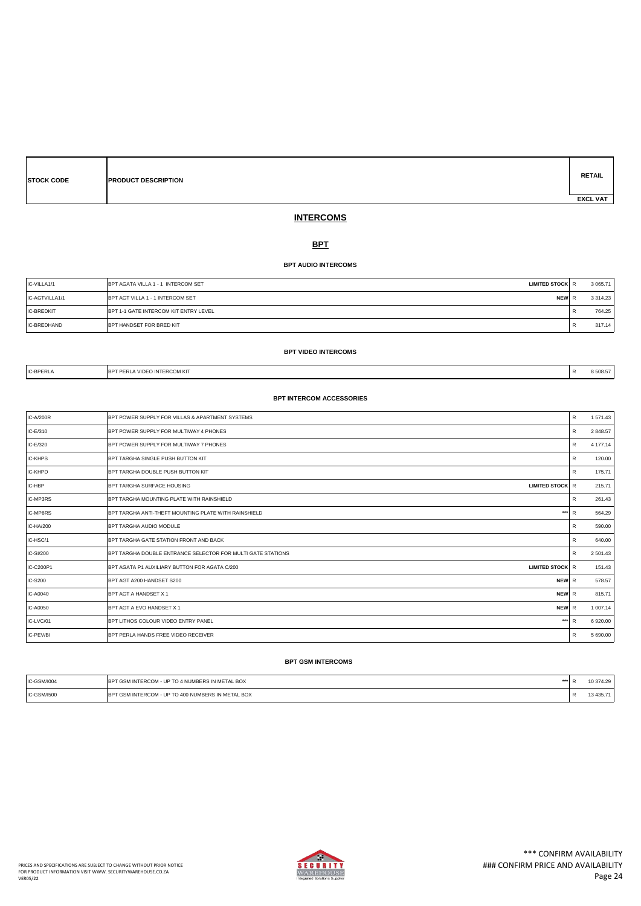| <b>STOCK CODE</b> |
|-------------------|
|                   |
|                   |

**PRODUCT DESCRIPTION** 

# **RETAIL EXCL VAT**

# **INTERCOMS**

### **BPT**

### **BPT AUDIO INTERCOMS**

| IC-VILLA1/1       | <b>BPT AGATA VILLA 1 - 1 INTERCOM SET</b><br><b>LIMITED STOCK R</b> | 3 0 6 5 7 1 |
|-------------------|---------------------------------------------------------------------|-------------|
| IC-AGTVILLA1/1    | <b>IBPT AGT VILLA 1 - 1 INTERCOM SET</b><br><b>NEWIR</b>            | 3 3 1 4 2 3 |
| <b>IC-BREDKIT</b> | BPT 1-1 GATE INTERCOM KIT ENTRY LEVEL                               | 764.25      |
| IC-BREDHAND       | BPT HANDSET FOR BRED KIT                                            | 317.14      |

#### **BPT VIDEO INTERCOMS**

IC-BPERLA BPT PERLA VIDEO INTERCOM KIT CHARGE AND THE RESOLUTION OF RESOLUTION OF RESOLUTION OF RESOLUTION OF RESOLUTION OF RESOLUTION OF RESOLUTION OF RESOLUTION OF RESOLUTION OF RESOLUTION OF RESOLUTION OF RESOLUTION OF

#### **BPT INTERCOM ACCESSORIES**

| IC-A/200R      | BPT POWER SUPPLY FOR VILLAS & APARTMENT SYSTEMS                         | $\mathsf{R}$ | 1571.43  |
|----------------|-------------------------------------------------------------------------|--------------|----------|
| IC-E/310       | BPT POWER SUPPLY FOR MULTIWAY 4 PHONES                                  | R            | 2848.57  |
| IC-E/320       | BPT POWER SUPPLY FOR MULTIWAY 7 PHONES                                  | R            | 4 177.14 |
| <b>IC-KHPS</b> | BPT TARGHA SINGLE PUSH BUTTON KIT                                       | $\mathsf{R}$ | 120.00   |
| IC-KHPD        | BPT TARGHA DOUBLE PUSH BUTTON KIT                                       | R            | 175.71   |
| IC-HBP         | BPT TARGHA SURFACE HOUSING<br><b>LIMITED STOCK R</b>                    |              | 215.71   |
| IC-MP3RS       | BPT TARGHA MOUNTING PLATE WITH RAINSHIELD                               | R            | 261.43   |
| IC-MP6RS       | $***$<br>BPT TARGHA ANTI-THEFT MOUNTING PLATE WITH RAINSHIELD           | R            | 564.29   |
| IC-HA/200      | BPT TARGHA AUDIO MODULE                                                 | R            | 590.00   |
| IC-HSC/1       | BPT TARGHA GATE STATION FRONT AND BACK                                  | R            | 640.00   |
| IC-SI/200      | BPT TARGHA DOUBLE ENTRANCE SELECTOR FOR MULTI GATE STATIONS             | R            | 2 501.43 |
| IC-C200P1      | <b>LIMITED STOCK R</b><br>BPT AGATA P1 AUXILIARY BUTTON FOR AGATA C/200 |              | 151.43   |
| IC-S200        | <b>NEW</b> R<br>BPT AGT A200 HANDSET S200                               |              | 578.57   |
| IC-A0040       | NEW R<br><b>BPT AGT A HANDSET X 1</b>                                   |              | 815.71   |
| IC-A0050       | NEW R<br><b>BPT AGT A EVO HANDSET X 1</b>                               |              | 1 007.14 |
| IC-LVC/01      | $***$<br>BPT LITHOS COLOUR VIDEO ENTRY PANEL                            | R            | 6920.00  |
| IC-PEV/BI      | BPT PERLA HANDS FREE VIDEO RECEIVER                                     | R            | 5 690.00 |

#### **BPT GSM INTERCOMS**

| IC-GSM/I004 | <b>BPT GSM INTERCOM - UP TO 4 NUMBERS IN METAL BOX</b><br>$***$ | 10 374.29  |
|-------------|-----------------------------------------------------------------|------------|
| IC-GSM/I500 | T GSM INTERCOM - UP TO 400 NUMBERS IN METAL BOX<br>IBPT         | 3 4 3 5.71 |

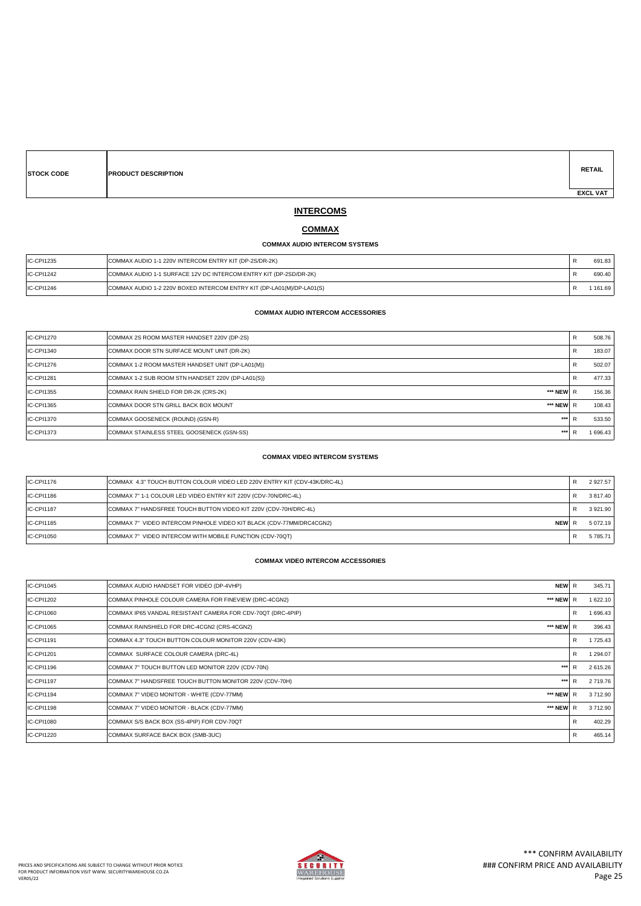| <b>STOCK CODE</b> | <b>PRODUCT DESCRIPTION</b> | <b>RETAIL</b>   |
|-------------------|----------------------------|-----------------|
|                   |                            | <b>EXCL VAT</b> |

# **INTERCOMS**

### **COMMAX**

#### **COMMAX AUDIO INTERCOM SYSTEMS**

| IC-CPI1235 | COMMAX AUDIO 1-1 220V INTERCOM ENTRY KIT (DP-2S/DR-2K)                |        |
|------------|-----------------------------------------------------------------------|--------|
| IC-CPI1242 | COMMAX AUDIO 1-1 SURFACE 12V DC INTERCOM ENTRY KIT (DP-2SD/DR-2K)     | 690.40 |
| IC-CPI1246 | COMMAX AUDIO 1-2 220V BOXED INTERCOM ENTRY KIT (DP-LA01(M)/DP-LA01(S) | 161.69 |

### **COMMAX AUDIO INTERCOM ACCESSORIES**

| IC-CPI1270        | COMMAX 2S ROOM MASTER HANDSET 220V (DP-2S)         | R | 508.76   |
|-------------------|----------------------------------------------------|---|----------|
| IC-CPI1340        | COMMAX DOOR STN SURFACE MOUNT UNIT (DR-2K)         | R | 183.07   |
| IC-CPI1276        | COMMAX 1-2 ROOM MASTER HANDSET UNIT (DP-LA01(M))   | R | 502.07   |
| IC-CPI1281        | COMMAX 1-2 SUB ROOM STN HANDSET 220V (DP-LA01(S))  | R | 477.33   |
| <b>IC-CPI1355</b> | COMMAX RAIN SHIELD FOR DR-2K (CRS-2K)<br>*** NEW R |   | 156.36   |
| IC-CPI1365        | COMMAX DOOR STN GRILL BACK BOX MOUNT<br>*** NEW R  |   | 108.43   |
| IC-CPI1370        | ***<br>COMMAX GOOSENECK (ROUND) (GSN-R)            | R | 533.50   |
| IC-CPI1373        | ***<br>COMMAX STAINLESS STEEL GOOSENECK (GSN-SS)   |   | 1 696.43 |

#### **COMMAX VIDEO INTERCOM SYSTEMS**

| IC-CPI1176 | COMMAX 4.3" TOUCH BUTTON COLOUR VIDEO LED 220V ENTRY KIT (CDV-43K/DRC-4L)     | 2 9 27.57     |
|------------|-------------------------------------------------------------------------------|---------------|
| IC-CPI1186 | COMMAX 7" 1-1 COLOUR LED VIDEO ENTRY KIT 220V (CDV-70N/DRC-4L)                | 3 817.40      |
| IC-CPI1187 | COMMAX 7" HANDSFREE TOUCH BUTTON VIDEO KIT 220V (CDV-70H/DRC-4L)              | 3 9 2 1 . 9 0 |
| IC-CPI1185 | NEW F<br>COMMAX 7" VIDEO INTERCOM PINHOLE VIDEO KIT BLACK (CDV-77MM/DRC4CGN2) | 5 072 19      |
| IC-CPI1050 | COMMAX 7" VIDEO INTERCOM WITH MOBILE FUNCTION (CDV-70QT)                      | 5 785.71      |

### **COMMAX VIDEO INTERCOM ACCESSORIES**

| IC-CPI1045 | <b>NEW</b><br>COMMAX AUDIO HANDSET FOR VIDEO (DP-4VHP)           | R | 345.71   |
|------------|------------------------------------------------------------------|---|----------|
| IC-CPI1202 | *** NEW<br>COMMAX PINHOLE COLOUR CAMERA FOR FINEVIEW (DRC-4CGN2) |   | 1 622.10 |
| IC-CPI1060 | COMMAX IP65 VANDAL RESISTANT CAMERA FOR CDV-70QT (DRC-4PIP)      | R | 1 696.43 |
| IC-CPI1065 | *** NEW<br>COMMAX RAINSHIELD FOR DRC-4CGN2 (CRS-4CGN2)           | R | 396.43   |
| IC-CPI1191 | COMMAX 4.3" TOUCH BUTTON COLOUR MONITOR 220V (CDV-43K)           | R | 1 725.43 |
| IC-CPI1201 | COMMAX SURFACE COLOUR CAMERA (DRC-4L)                            | R | 1 294.07 |
| IC-CPI1196 | 881<br>COMMAX 7" TOUCH BUTTON LED MONITOR 220V (CDV-70N)         | D | 2 615.26 |
| IC-CPI1197 | ***<br>COMMAX 7" HANDSFREE TOUCH BUTTON MONITOR 220V (CDV-70H)   | D | 2719.76  |
| IC-CPI1194 | *** NEW<br>COMMAX 7" VIDEO MONITOR - WHITE (CDV-77MM)            | R | 3712.90  |
| IC-CPI1198 | *** NEW<br>COMMAX 7" VIDEO MONITOR - BLACK (CDV-77MM)            | R | 3712.90  |
| IC-CPI1080 | COMMAX S/S BACK BOX (SS-4PIP) FOR CDV-70QT                       | R | 402.29   |
| IC-CPI1220 | COMMAX SURFACE BACK BOX (SMB-3UC)                                | R | 465.14   |
|            |                                                                  |   |          |

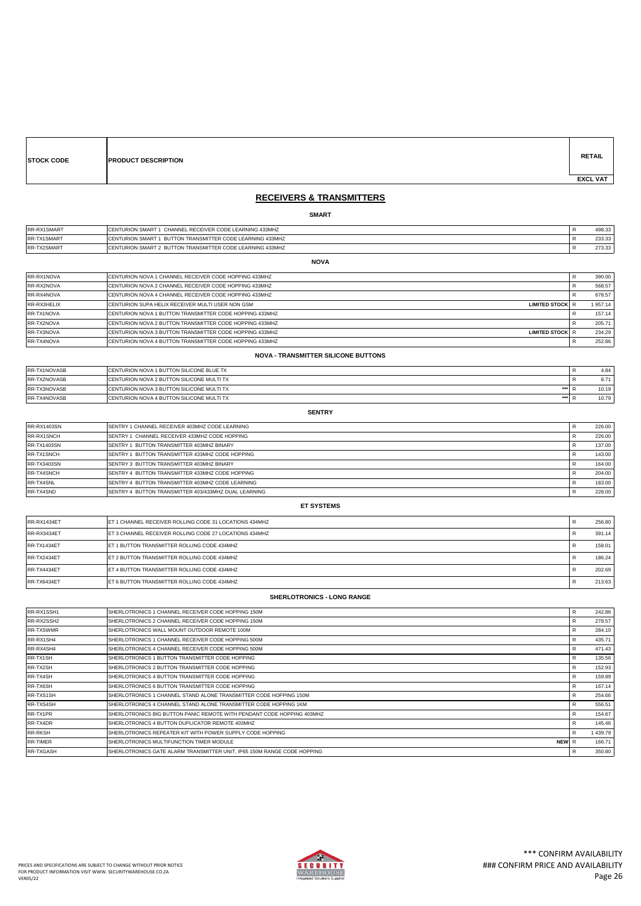| <b>STOCK CODE</b> | <b>PRODUCT DESCRIPTION</b> | <b>RETAIL</b>   |
|-------------------|----------------------------|-----------------|
|                   |                            | <b>EXCL VAT</b> |
|                   |                            |                 |

### **RECEIVERS & TRANSMITTERS**

### **SMART**

| RR-RX1SMART | <b>ICENTURION SMART 1 CHANNEL RECEIVER CODE LEARNING 433MHZ</b>   | 498.33 |
|-------------|-------------------------------------------------------------------|--------|
| RR-TX1SMART | <b>ICENTURION SMART 1 BUTTON TRANSMITTER CODE LEARNING 433MHZ</b> | 233.33 |
| RR-TX2SMART | <b>ICENTURION SMART 2 BUTTON TRANSMITTER CODE LEARNING 433MHZ</b> | 273.33 |
|             | <b>NOVA</b>                                                       |        |

| RR-RX1NOVA  | <b>ICENTURION NOVA 1 CHANNEL RECEIVER CODE HOPPING 433MHZ</b>                     | 390.00   |
|-------------|-----------------------------------------------------------------------------------|----------|
| RR-RX2NOVA  | <b>ICENTURION NOVA 2 CHANNEL RECEIVER CODE HOPPING 433MHZ</b>                     | 568.57   |
| RR-RX4NOVA  | <b>ICENTURION NOVA 4 CHANNEL RECEIVER CODE HOPPING 433MHZ</b>                     | 678.57   |
| RR-RX3HELIX | <b>ICENTURION SUPA HELIX RECEIVER MULTI USER NON GSM</b><br>LIMITED STOCK R       | 1 957.14 |
| RR-TX1NOVA  | <b>CENTURION NOVA 1 BUTTON TRANSMITTER CODE HOPPING 433MHZ</b>                    | 157.14   |
| RR-TX2NOVA  | <b>CENTURION NOVA 2 BUTTON TRANSMITTER CODE HOPPING 433MHZ</b>                    | 205.71   |
| RR-TX3NOVA  | <b>CENTURION NOVA 3 BUTTON TRANSMITTER CODE HOPPING 433MHZ</b><br>LIMITED STOCK R | 234.29   |
| RR-TX4NOVA  | ICENTURION NOVA 4 BUTTON TRANSMITTER CODE HOPPING 433MHZ                          | 252.86   |

#### **NOVA - TRANSMITTER SILICONE BUTTONS**

| <b>RR-TX1NOVASB</b> | <b>ICENTURION NOVA 1 BUTTON SILICONE BLUE TX</b>         | 4.84  |
|---------------------|----------------------------------------------------------|-------|
| RR-TX2NOVASB        | <b>ICENTURION NOVA 2 BUTTON SILICONE MULTI TX</b>        | 8.71  |
| <b>RR-TX3NOVASB</b> | <b>ICENTURION NOVA 3 BUTTON SILICONE MULTI TX</b><br>*** | 10.19 |
| <b>RR-TX4NOVASB</b> | <b>ICENTURION NOVA 4 BUTTON SILICONE MULTI TX</b><br>*** | 10.79 |

#### **SENTRY**

| RR-RX1403SN        | <b>ISENTRY 1 CHANNEL RECEIVER 403MHZ CODE LEARNING</b>  | 226.00 |
|--------------------|---------------------------------------------------------|--------|
| RR-RX1SNCH         | SENTRY 1 CHANNEL RECEIVER 433MHZ CODE HOPPING           | 226.00 |
| <b>RR-TX1403SN</b> | <b>ISENTRY 1 BUTTON TRANSMITTER 403MHZ BINARY</b>       | 137.00 |
| RR-TX1SNCH         | <b>ISENTRY 1 BUTTON TRANSMITTER 433MHZ CODE HOPPING</b> | 143.00 |
| <b>RR-TX3403SN</b> | <b>ISENTRY 3 BUTTON TRANSMITTER 403MHZ BINARY</b>       | 164.00 |
| RR-TX4SNCH         | <b>ISENTRY 4 BUTTON TRANSMITTER 433MHZ CODE HOPPING</b> | 204.00 |
| <b>RR-TX4SNL</b>   | SENTRY 4 BUTTON TRANSMITTER 403MHZ CODE LEARNING        | 183.00 |
| RR-TX4SND          | SENTRY 4 BUTTON TRANSMITTER 403/433MHZ DUAL LEARNING    | 228.00 |

#### **ET SYSTEMS**

| RR-RX1434ET | <b>IET 1 CHANNEL RECEIVER ROLLING CODE 31 LOCATIONS 434MHZ</b> | 256.80 |
|-------------|----------------------------------------------------------------|--------|
| RR-RX3434ET | <b>IET 3 CHANNEL RECEIVER ROLLING CODE 27 LOCATIONS 434MHZ</b> | 391.14 |
| RR-TX1434ET | <b>IET 1 BUTTON TRANSMITTER ROLLING CODE 434MHZ</b>            | 158.01 |
| RR-TX2434ET | <b>LET 2 BUTTON TRANSMITTER ROLLING CODE 434MHZ</b>            | 186.24 |
| RR-TX4434ET | <b>IET 4 BUTTON TRANSMITTER ROLLING CODE 434MHZ</b>            | 202.69 |
| RR-TX6434ET | ET 6 BUTTON TRANSMITTER ROLLING CODE 434MHZ                    | 213.63 |

### **SHERLOTRONICS - LONG RANGE**

| RR-RX1SSH1       | SHERLOTRONICS 1 CHANNEL RECEIVER CODE HOPPING 150M                      | R | 242.86  |
|------------------|-------------------------------------------------------------------------|---|---------|
| RR-RX2SSH2       | SHERLOTRONICS 2 CHANNEL RECEIVER CODE HOPPING 150M                      | R | 278.57  |
| <b>RR-TXSWMR</b> | SHERLOTRONICS WALL MOUNT OUTDOOR REMOTE 100M                            | R | 284.10  |
| RR-RX1SH4        | SHERLOTRONICS 1 CHANNEL RECEIVER CODE HOPPING 500M                      | R | 435.71  |
| RR-RX4SH4        | SHERLOTRONICS 4 CHANNEL RECEIVER CODE HOPPING 500M                      | R | 471.43  |
| RR-TX1SH         | SHERLOTRONICS 1 BUTTON TRANSMITTER CODE HOPPING                         | R | 135.56  |
| RR-TX2SH         | SHERLOTRONICS 2 BUTTON TRANSMITTER CODE HOPPING                         | R | 152.93  |
| RR-TX4SH         | SHERLOTRONICS 4 BUTTON TRANSMITTER CODE HOPPING                         | R | 159.89  |
| RR-TX6SH         | SHERLOTRONICS 6 BUTTON TRANSMITTER CODE HOPPING                         | R | 167.14  |
| RR-TXS1SH        | SHERLOTRONICS 1 CHANNEL STAND ALONE TRANSMITTER CODE HOPPING 150M       | R | 254.66  |
| RR-TXS4SH        | SHERLOTRONICS 4 CHANNEL STAND ALONE TRANSMITTER CODE HOPPING 1KM        | R | 556.51  |
| RR-TX1PR         | SHERLOTRONICS BIG BUTTON PANIC REMOTE WITH PENDANT CODE HOPPING 403MHZ  |   | 154.67  |
| RR-TX4DR         | SHERLOTRONICS 4 BUTTON DUPLICATOR REMOTE 403MHZ                         | R | 145.46  |
| <b>RR-RKSH</b>   | SHERLOTRONICS REPEATER KIT WITH POWER SUPPLY CODE HOPPING               | R | 1439.79 |
| <b>RR-TIMER</b>  | SHERLOTRONICS MULTIFUNCTION TIMER MODULE<br>NEW R                       |   | 166.71  |
| <b>RR-TXGASH</b> | SHERLOTRONICS GATE ALARM TRANSMITTER UNIT. IP65 150M RANGE CODE HOPPING |   | 350.80  |

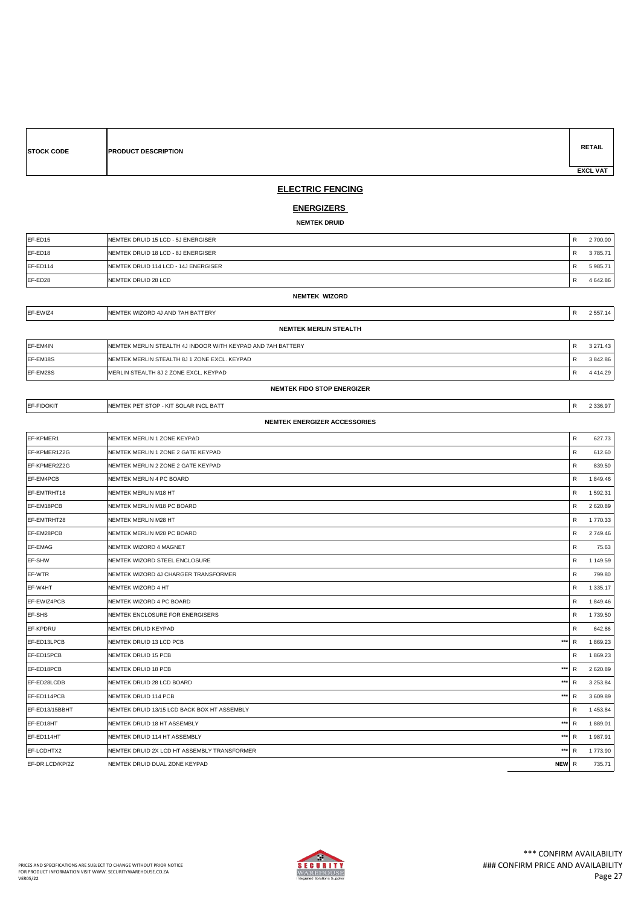| <b>EXCL VAT</b><br><b>ELECTRIC FENCING</b><br><u>ENERGIZERS</u><br><b>NEMTEK DRUID</b><br>EF-ED15<br>NEMTEK DRUID 15 LCD - 5J ENERGISER<br>R<br>2 700.00<br>EF-ED18<br>NEMTEK DRUID 18 LCD - 8J ENERGISER<br>R<br>3785.71<br>NEMTEK DRUID 114 LCD - 14J ENERGISER<br>R<br>EF-ED114<br>5 985.71<br>EF-ED28<br>NEMTEK DRUID 28 LCD<br>R<br>4 642.86<br><b>NEMTEK WIZORD</b><br>EF-EWIZ4<br>NEMTEK WIZORD 4J AND 7AH BATTERY<br>R<br>2 557.14<br><b>NEMTEK MERLIN STEALTH</b><br>EF-EM4IN<br>NEMTEK MERLIN STEALTH 4J INDOOR WITH KEYPAD AND 7AH BATTERY<br>3 271.43<br>R<br>EF-EM18S<br>NEMTEK MERLIN STEALTH 8J 1 ZONE EXCL. KEYPAD<br>R<br>3842.86<br>EF-EM28S<br>MERLIN STEALTH 8J 2 ZONE EXCL. KEYPAD<br>R<br>4 4 1 4 . 2 9<br>NEMTEK FIDO STOP ENERGIZER<br>EF-FIDOKIT<br>R<br>NEMTEK PET STOP - KIT SOLAR INCL BATT<br>2 3 3 6 . 9 7<br><b>NEMTEK ENERGIZER ACCESSORIES</b><br>EF-KPMER1<br>R<br>NEMTEK MERLIN 1 ZONE KEYPAD<br>627.73<br>EF-KPMER1Z2G<br>R<br>NEMTEK MERLIN 1 ZONE 2 GATE KEYPAD<br>612.60<br>EF-KPMER2Z2G<br>NEMTEK MERLIN 2 ZONE 2 GATE KEYPAD<br>R<br>839.50<br>1849.46<br>EF-EM4PCB<br>NEMTEK MERLIN 4 PC BOARD<br>R<br>EF-EMTRHT18<br>R<br>1 592.31<br>NEMTEK MERLIN M18 HT<br>EF-EM18PCB<br>NEMTEK MERLIN M18 PC BOARD<br>R<br>2 620.89<br>EF-EMTRHT28<br>$\mathsf{R}$<br>1770.33<br>NEMTEK MERLIN M28 HT<br>EF-EM28PCB<br>NEMTEK MERLIN M28 PC BOARD<br>R<br>2 749.46<br>EF-EMAG<br>$\mathsf{R}$<br>NEMTEK WIZORD 4 MAGNET<br>75.63<br>EF-SHW<br>NEMTEK WIZORD STEEL ENCLOSURE<br>R<br>1 149.59<br>EF-WTR<br>NEMTEK WIZORD 4J CHARGER TRANSFORMER<br>R<br>799.80<br>R<br>EF-W4HT<br>NEMTEK WIZORD 4 HT<br>1 3 3 5 . 1 7<br>EF-EWIZ4PCB<br>1849.46<br>NEMTEK WIZORD 4 PC BOARD<br>R<br>EF-SHS<br>NEMTEK ENCLOSURE FOR ENERGISERS<br>1739.50<br>R<br>EF-KPDRU<br>R<br>NEMTEK DRUID KEYPAD<br>642.86<br>***<br>EF-ED13LPCB<br>R<br>NEMTEK DRUID 13 LCD PCB<br>1869.23<br>EF-ED15PCB<br>$\mathsf{R}$<br>1869.23<br>NEMTEK DRUID 15 PCB<br>***<br>EF-ED18PCB<br>$\mathsf{R}$<br>NEMTEK DRUID 18 PCB<br>2 620.89<br>EF-ED28LCDB<br>***<br>3 2 5 3 . 8 4<br>NEMTEK DRUID 28 LCD BOARD<br>R<br>$***$<br>EF-ED114PCB<br>$\mathsf{R}$<br>NEMTEK DRUID 114 PCB<br>3 609.89<br>EF-ED13/15BBHT<br>NEMTEK DRUID 13/15 LCD BACK BOX HT ASSEMBLY<br>R<br>1 453.84<br>***<br>R<br>EF-ED18HT<br>NEMTEK DRUID 18 HT ASSEMBLY<br>1889.01<br>***<br>EF-ED114HT<br>R<br>1987.91<br>NEMTEK DRUID 114 HT ASSEMBLY<br>EF-LCDHTX2<br>***<br>NEMTEK DRUID 2X LCD HT ASSEMBLY TRANSFORMER<br>R<br>1773.90 | <b>STOCK CODE</b> | PRODUCT DESCRIPTION           |  | <b>RETAIL</b> |  |  |  |
|-----------------------------------------------------------------------------------------------------------------------------------------------------------------------------------------------------------------------------------------------------------------------------------------------------------------------------------------------------------------------------------------------------------------------------------------------------------------------------------------------------------------------------------------------------------------------------------------------------------------------------------------------------------------------------------------------------------------------------------------------------------------------------------------------------------------------------------------------------------------------------------------------------------------------------------------------------------------------------------------------------------------------------------------------------------------------------------------------------------------------------------------------------------------------------------------------------------------------------------------------------------------------------------------------------------------------------------------------------------------------------------------------------------------------------------------------------------------------------------------------------------------------------------------------------------------------------------------------------------------------------------------------------------------------------------------------------------------------------------------------------------------------------------------------------------------------------------------------------------------------------------------------------------------------------------------------------------------------------------------------------------------------------------------------------------------------------------------------------------------------------------------------------------------------------------------------------------------------------------------------------------------------------------------------------------------------------------------------------------------------------------------------------------------------------------------------------------------------------------------------------------|-------------------|-------------------------------|--|---------------|--|--|--|
|                                                                                                                                                                                                                                                                                                                                                                                                                                                                                                                                                                                                                                                                                                                                                                                                                                                                                                                                                                                                                                                                                                                                                                                                                                                                                                                                                                                                                                                                                                                                                                                                                                                                                                                                                                                                                                                                                                                                                                                                                                                                                                                                                                                                                                                                                                                                                                                                                                                                                                           |                   |                               |  |               |  |  |  |
|                                                                                                                                                                                                                                                                                                                                                                                                                                                                                                                                                                                                                                                                                                                                                                                                                                                                                                                                                                                                                                                                                                                                                                                                                                                                                                                                                                                                                                                                                                                                                                                                                                                                                                                                                                                                                                                                                                                                                                                                                                                                                                                                                                                                                                                                                                                                                                                                                                                                                                           |                   |                               |  |               |  |  |  |
|                                                                                                                                                                                                                                                                                                                                                                                                                                                                                                                                                                                                                                                                                                                                                                                                                                                                                                                                                                                                                                                                                                                                                                                                                                                                                                                                                                                                                                                                                                                                                                                                                                                                                                                                                                                                                                                                                                                                                                                                                                                                                                                                                                                                                                                                                                                                                                                                                                                                                                           |                   |                               |  |               |  |  |  |
|                                                                                                                                                                                                                                                                                                                                                                                                                                                                                                                                                                                                                                                                                                                                                                                                                                                                                                                                                                                                                                                                                                                                                                                                                                                                                                                                                                                                                                                                                                                                                                                                                                                                                                                                                                                                                                                                                                                                                                                                                                                                                                                                                                                                                                                                                                                                                                                                                                                                                                           |                   |                               |  |               |  |  |  |
|                                                                                                                                                                                                                                                                                                                                                                                                                                                                                                                                                                                                                                                                                                                                                                                                                                                                                                                                                                                                                                                                                                                                                                                                                                                                                                                                                                                                                                                                                                                                                                                                                                                                                                                                                                                                                                                                                                                                                                                                                                                                                                                                                                                                                                                                                                                                                                                                                                                                                                           |                   |                               |  |               |  |  |  |
|                                                                                                                                                                                                                                                                                                                                                                                                                                                                                                                                                                                                                                                                                                                                                                                                                                                                                                                                                                                                                                                                                                                                                                                                                                                                                                                                                                                                                                                                                                                                                                                                                                                                                                                                                                                                                                                                                                                                                                                                                                                                                                                                                                                                                                                                                                                                                                                                                                                                                                           |                   |                               |  |               |  |  |  |
|                                                                                                                                                                                                                                                                                                                                                                                                                                                                                                                                                                                                                                                                                                                                                                                                                                                                                                                                                                                                                                                                                                                                                                                                                                                                                                                                                                                                                                                                                                                                                                                                                                                                                                                                                                                                                                                                                                                                                                                                                                                                                                                                                                                                                                                                                                                                                                                                                                                                                                           |                   |                               |  |               |  |  |  |
|                                                                                                                                                                                                                                                                                                                                                                                                                                                                                                                                                                                                                                                                                                                                                                                                                                                                                                                                                                                                                                                                                                                                                                                                                                                                                                                                                                                                                                                                                                                                                                                                                                                                                                                                                                                                                                                                                                                                                                                                                                                                                                                                                                                                                                                                                                                                                                                                                                                                                                           |                   |                               |  |               |  |  |  |
|                                                                                                                                                                                                                                                                                                                                                                                                                                                                                                                                                                                                                                                                                                                                                                                                                                                                                                                                                                                                                                                                                                                                                                                                                                                                                                                                                                                                                                                                                                                                                                                                                                                                                                                                                                                                                                                                                                                                                                                                                                                                                                                                                                                                                                                                                                                                                                                                                                                                                                           |                   |                               |  |               |  |  |  |
|                                                                                                                                                                                                                                                                                                                                                                                                                                                                                                                                                                                                                                                                                                                                                                                                                                                                                                                                                                                                                                                                                                                                                                                                                                                                                                                                                                                                                                                                                                                                                                                                                                                                                                                                                                                                                                                                                                                                                                                                                                                                                                                                                                                                                                                                                                                                                                                                                                                                                                           |                   |                               |  |               |  |  |  |
|                                                                                                                                                                                                                                                                                                                                                                                                                                                                                                                                                                                                                                                                                                                                                                                                                                                                                                                                                                                                                                                                                                                                                                                                                                                                                                                                                                                                                                                                                                                                                                                                                                                                                                                                                                                                                                                                                                                                                                                                                                                                                                                                                                                                                                                                                                                                                                                                                                                                                                           |                   |                               |  |               |  |  |  |
|                                                                                                                                                                                                                                                                                                                                                                                                                                                                                                                                                                                                                                                                                                                                                                                                                                                                                                                                                                                                                                                                                                                                                                                                                                                                                                                                                                                                                                                                                                                                                                                                                                                                                                                                                                                                                                                                                                                                                                                                                                                                                                                                                                                                                                                                                                                                                                                                                                                                                                           |                   |                               |  |               |  |  |  |
|                                                                                                                                                                                                                                                                                                                                                                                                                                                                                                                                                                                                                                                                                                                                                                                                                                                                                                                                                                                                                                                                                                                                                                                                                                                                                                                                                                                                                                                                                                                                                                                                                                                                                                                                                                                                                                                                                                                                                                                                                                                                                                                                                                                                                                                                                                                                                                                                                                                                                                           |                   |                               |  |               |  |  |  |
|                                                                                                                                                                                                                                                                                                                                                                                                                                                                                                                                                                                                                                                                                                                                                                                                                                                                                                                                                                                                                                                                                                                                                                                                                                                                                                                                                                                                                                                                                                                                                                                                                                                                                                                                                                                                                                                                                                                                                                                                                                                                                                                                                                                                                                                                                                                                                                                                                                                                                                           |                   |                               |  |               |  |  |  |
|                                                                                                                                                                                                                                                                                                                                                                                                                                                                                                                                                                                                                                                                                                                                                                                                                                                                                                                                                                                                                                                                                                                                                                                                                                                                                                                                                                                                                                                                                                                                                                                                                                                                                                                                                                                                                                                                                                                                                                                                                                                                                                                                                                                                                                                                                                                                                                                                                                                                                                           |                   |                               |  |               |  |  |  |
|                                                                                                                                                                                                                                                                                                                                                                                                                                                                                                                                                                                                                                                                                                                                                                                                                                                                                                                                                                                                                                                                                                                                                                                                                                                                                                                                                                                                                                                                                                                                                                                                                                                                                                                                                                                                                                                                                                                                                                                                                                                                                                                                                                                                                                                                                                                                                                                                                                                                                                           |                   |                               |  |               |  |  |  |
|                                                                                                                                                                                                                                                                                                                                                                                                                                                                                                                                                                                                                                                                                                                                                                                                                                                                                                                                                                                                                                                                                                                                                                                                                                                                                                                                                                                                                                                                                                                                                                                                                                                                                                                                                                                                                                                                                                                                                                                                                                                                                                                                                                                                                                                                                                                                                                                                                                                                                                           |                   |                               |  |               |  |  |  |
|                                                                                                                                                                                                                                                                                                                                                                                                                                                                                                                                                                                                                                                                                                                                                                                                                                                                                                                                                                                                                                                                                                                                                                                                                                                                                                                                                                                                                                                                                                                                                                                                                                                                                                                                                                                                                                                                                                                                                                                                                                                                                                                                                                                                                                                                                                                                                                                                                                                                                                           |                   |                               |  |               |  |  |  |
|                                                                                                                                                                                                                                                                                                                                                                                                                                                                                                                                                                                                                                                                                                                                                                                                                                                                                                                                                                                                                                                                                                                                                                                                                                                                                                                                                                                                                                                                                                                                                                                                                                                                                                                                                                                                                                                                                                                                                                                                                                                                                                                                                                                                                                                                                                                                                                                                                                                                                                           |                   |                               |  |               |  |  |  |
|                                                                                                                                                                                                                                                                                                                                                                                                                                                                                                                                                                                                                                                                                                                                                                                                                                                                                                                                                                                                                                                                                                                                                                                                                                                                                                                                                                                                                                                                                                                                                                                                                                                                                                                                                                                                                                                                                                                                                                                                                                                                                                                                                                                                                                                                                                                                                                                                                                                                                                           |                   |                               |  |               |  |  |  |
|                                                                                                                                                                                                                                                                                                                                                                                                                                                                                                                                                                                                                                                                                                                                                                                                                                                                                                                                                                                                                                                                                                                                                                                                                                                                                                                                                                                                                                                                                                                                                                                                                                                                                                                                                                                                                                                                                                                                                                                                                                                                                                                                                                                                                                                                                                                                                                                                                                                                                                           |                   |                               |  |               |  |  |  |
|                                                                                                                                                                                                                                                                                                                                                                                                                                                                                                                                                                                                                                                                                                                                                                                                                                                                                                                                                                                                                                                                                                                                                                                                                                                                                                                                                                                                                                                                                                                                                                                                                                                                                                                                                                                                                                                                                                                                                                                                                                                                                                                                                                                                                                                                                                                                                                                                                                                                                                           |                   |                               |  |               |  |  |  |
|                                                                                                                                                                                                                                                                                                                                                                                                                                                                                                                                                                                                                                                                                                                                                                                                                                                                                                                                                                                                                                                                                                                                                                                                                                                                                                                                                                                                                                                                                                                                                                                                                                                                                                                                                                                                                                                                                                                                                                                                                                                                                                                                                                                                                                                                                                                                                                                                                                                                                                           |                   |                               |  |               |  |  |  |
|                                                                                                                                                                                                                                                                                                                                                                                                                                                                                                                                                                                                                                                                                                                                                                                                                                                                                                                                                                                                                                                                                                                                                                                                                                                                                                                                                                                                                                                                                                                                                                                                                                                                                                                                                                                                                                                                                                                                                                                                                                                                                                                                                                                                                                                                                                                                                                                                                                                                                                           |                   |                               |  |               |  |  |  |
|                                                                                                                                                                                                                                                                                                                                                                                                                                                                                                                                                                                                                                                                                                                                                                                                                                                                                                                                                                                                                                                                                                                                                                                                                                                                                                                                                                                                                                                                                                                                                                                                                                                                                                                                                                                                                                                                                                                                                                                                                                                                                                                                                                                                                                                                                                                                                                                                                                                                                                           |                   |                               |  |               |  |  |  |
|                                                                                                                                                                                                                                                                                                                                                                                                                                                                                                                                                                                                                                                                                                                                                                                                                                                                                                                                                                                                                                                                                                                                                                                                                                                                                                                                                                                                                                                                                                                                                                                                                                                                                                                                                                                                                                                                                                                                                                                                                                                                                                                                                                                                                                                                                                                                                                                                                                                                                                           |                   |                               |  |               |  |  |  |
|                                                                                                                                                                                                                                                                                                                                                                                                                                                                                                                                                                                                                                                                                                                                                                                                                                                                                                                                                                                                                                                                                                                                                                                                                                                                                                                                                                                                                                                                                                                                                                                                                                                                                                                                                                                                                                                                                                                                                                                                                                                                                                                                                                                                                                                                                                                                                                                                                                                                                                           |                   |                               |  |               |  |  |  |
|                                                                                                                                                                                                                                                                                                                                                                                                                                                                                                                                                                                                                                                                                                                                                                                                                                                                                                                                                                                                                                                                                                                                                                                                                                                                                                                                                                                                                                                                                                                                                                                                                                                                                                                                                                                                                                                                                                                                                                                                                                                                                                                                                                                                                                                                                                                                                                                                                                                                                                           |                   |                               |  |               |  |  |  |
|                                                                                                                                                                                                                                                                                                                                                                                                                                                                                                                                                                                                                                                                                                                                                                                                                                                                                                                                                                                                                                                                                                                                                                                                                                                                                                                                                                                                                                                                                                                                                                                                                                                                                                                                                                                                                                                                                                                                                                                                                                                                                                                                                                                                                                                                                                                                                                                                                                                                                                           |                   |                               |  |               |  |  |  |
|                                                                                                                                                                                                                                                                                                                                                                                                                                                                                                                                                                                                                                                                                                                                                                                                                                                                                                                                                                                                                                                                                                                                                                                                                                                                                                                                                                                                                                                                                                                                                                                                                                                                                                                                                                                                                                                                                                                                                                                                                                                                                                                                                                                                                                                                                                                                                                                                                                                                                                           |                   |                               |  |               |  |  |  |
|                                                                                                                                                                                                                                                                                                                                                                                                                                                                                                                                                                                                                                                                                                                                                                                                                                                                                                                                                                                                                                                                                                                                                                                                                                                                                                                                                                                                                                                                                                                                                                                                                                                                                                                                                                                                                                                                                                                                                                                                                                                                                                                                                                                                                                                                                                                                                                                                                                                                                                           |                   |                               |  |               |  |  |  |
|                                                                                                                                                                                                                                                                                                                                                                                                                                                                                                                                                                                                                                                                                                                                                                                                                                                                                                                                                                                                                                                                                                                                                                                                                                                                                                                                                                                                                                                                                                                                                                                                                                                                                                                                                                                                                                                                                                                                                                                                                                                                                                                                                                                                                                                                                                                                                                                                                                                                                                           |                   |                               |  |               |  |  |  |
|                                                                                                                                                                                                                                                                                                                                                                                                                                                                                                                                                                                                                                                                                                                                                                                                                                                                                                                                                                                                                                                                                                                                                                                                                                                                                                                                                                                                                                                                                                                                                                                                                                                                                                                                                                                                                                                                                                                                                                                                                                                                                                                                                                                                                                                                                                                                                                                                                                                                                                           |                   |                               |  |               |  |  |  |
|                                                                                                                                                                                                                                                                                                                                                                                                                                                                                                                                                                                                                                                                                                                                                                                                                                                                                                                                                                                                                                                                                                                                                                                                                                                                                                                                                                                                                                                                                                                                                                                                                                                                                                                                                                                                                                                                                                                                                                                                                                                                                                                                                                                                                                                                                                                                                                                                                                                                                                           |                   |                               |  |               |  |  |  |
|                                                                                                                                                                                                                                                                                                                                                                                                                                                                                                                                                                                                                                                                                                                                                                                                                                                                                                                                                                                                                                                                                                                                                                                                                                                                                                                                                                                                                                                                                                                                                                                                                                                                                                                                                                                                                                                                                                                                                                                                                                                                                                                                                                                                                                                                                                                                                                                                                                                                                                           |                   |                               |  |               |  |  |  |
|                                                                                                                                                                                                                                                                                                                                                                                                                                                                                                                                                                                                                                                                                                                                                                                                                                                                                                                                                                                                                                                                                                                                                                                                                                                                                                                                                                                                                                                                                                                                                                                                                                                                                                                                                                                                                                                                                                                                                                                                                                                                                                                                                                                                                                                                                                                                                                                                                                                                                                           |                   |                               |  |               |  |  |  |
|                                                                                                                                                                                                                                                                                                                                                                                                                                                                                                                                                                                                                                                                                                                                                                                                                                                                                                                                                                                                                                                                                                                                                                                                                                                                                                                                                                                                                                                                                                                                                                                                                                                                                                                                                                                                                                                                                                                                                                                                                                                                                                                                                                                                                                                                                                                                                                                                                                                                                                           |                   |                               |  |               |  |  |  |
|                                                                                                                                                                                                                                                                                                                                                                                                                                                                                                                                                                                                                                                                                                                                                                                                                                                                                                                                                                                                                                                                                                                                                                                                                                                                                                                                                                                                                                                                                                                                                                                                                                                                                                                                                                                                                                                                                                                                                                                                                                                                                                                                                                                                                                                                                                                                                                                                                                                                                                           |                   |                               |  |               |  |  |  |
|                                                                                                                                                                                                                                                                                                                                                                                                                                                                                                                                                                                                                                                                                                                                                                                                                                                                                                                                                                                                                                                                                                                                                                                                                                                                                                                                                                                                                                                                                                                                                                                                                                                                                                                                                                                                                                                                                                                                                                                                                                                                                                                                                                                                                                                                                                                                                                                                                                                                                                           |                   |                               |  |               |  |  |  |
|                                                                                                                                                                                                                                                                                                                                                                                                                                                                                                                                                                                                                                                                                                                                                                                                                                                                                                                                                                                                                                                                                                                                                                                                                                                                                                                                                                                                                                                                                                                                                                                                                                                                                                                                                                                                                                                                                                                                                                                                                                                                                                                                                                                                                                                                                                                                                                                                                                                                                                           |                   |                               |  |               |  |  |  |
|                                                                                                                                                                                                                                                                                                                                                                                                                                                                                                                                                                                                                                                                                                                                                                                                                                                                                                                                                                                                                                                                                                                                                                                                                                                                                                                                                                                                                                                                                                                                                                                                                                                                                                                                                                                                                                                                                                                                                                                                                                                                                                                                                                                                                                                                                                                                                                                                                                                                                                           |                   |                               |  |               |  |  |  |
|                                                                                                                                                                                                                                                                                                                                                                                                                                                                                                                                                                                                                                                                                                                                                                                                                                                                                                                                                                                                                                                                                                                                                                                                                                                                                                                                                                                                                                                                                                                                                                                                                                                                                                                                                                                                                                                                                                                                                                                                                                                                                                                                                                                                                                                                                                                                                                                                                                                                                                           |                   |                               |  |               |  |  |  |
| NEW R                                                                                                                                                                                                                                                                                                                                                                                                                                                                                                                                                                                                                                                                                                                                                                                                                                                                                                                                                                                                                                                                                                                                                                                                                                                                                                                                                                                                                                                                                                                                                                                                                                                                                                                                                                                                                                                                                                                                                                                                                                                                                                                                                                                                                                                                                                                                                                                                                                                                                                     | EF-DR.LCD/KP/2Z   | NEMTEK DRUID DUAL ZONE KEYPAD |  | 735.71        |  |  |  |

 $\mathsf{r}$ 

┓



┓

┑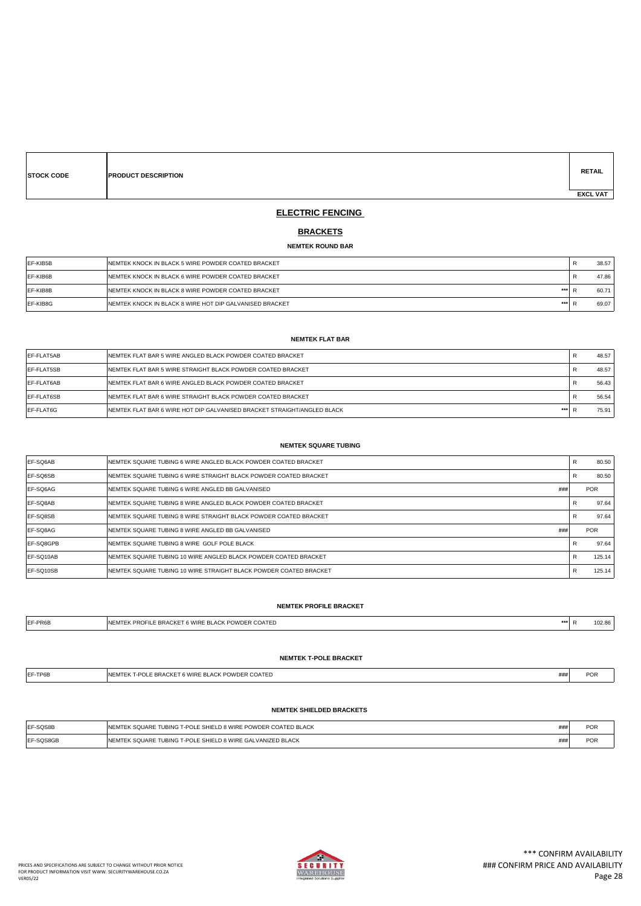| <b>STOCK CODE</b> | <b>PRODUCT DESCRIPTION</b> |  |  | <b>RETAIL</b>   |
|-------------------|----------------------------|--|--|-----------------|
|                   |                            |  |  | <b>EXCL VAT</b> |

### **ELECTRIC FENCING**

#### **BRACKETS**

#### **NEMTEK ROUND BAR**

| EF-KIB5B        | <b>INEMTEK KNOCK IN BLACK 5 WIRE POWDER COATED BRACKET</b>        | 38.57 |
|-----------------|-------------------------------------------------------------------|-------|
| EF-KIB6B        | <b>INEMTEK KNOCK IN BLACK 6 WIRE POWDER COATED BRACKET</b>        | 47.86 |
| EF-KIB8B        | ***<br><b>INEMTEK KNOCK IN BLACK 8 WIRE POWDER COATED BRACKET</b> | 60.71 |
| <b>EF-KIB8G</b> | ***<br>INEMTEK KNOCK IN BLACK 8 WIRE HOT DIP GALVANISED BRACKET   | 69.07 |

#### **NEMTEK FLAT BAR**

| EF-FLAT5AB         | <b>INEMTEK FLAT BAR 5 WIRE ANGLED BLACK POWDER COATED BRACKET</b>               | 48.57 |
|--------------------|---------------------------------------------------------------------------------|-------|
| <b>IEF-FLAT5SB</b> | <b>INEMTEK FLAT BAR 5 WIRE STRAIGHT BLACK POWDER COATED BRACKET</b>             | 48.57 |
| EF-FLAT6AB         | <b>INEMTEK FLAT BAR 6 WIRE ANGLED BLACK POWDER COATED BRACKET</b>               | 56.43 |
| <b>IEF-FLAT6SB</b> | <b>INEMTEK FLAT BAR 6 WIRE STRAIGHT BLACK POWDER COATED BRACKET</b>             | 56.54 |
| <b>IEF-FLAT6G</b>  | ***<br>INEMTEK FLAT BAR 6 WIRE HOT DIP GALVANISED BRACKET STRAIGHT/ANGLED BLACK | 75.91 |

#### **NEMTEK SQUARE TUBING**

| EF-SQ6AB          | NEMTEK SQUARE TUBING 6 WIRE ANGLED BLACK POWDER COATED BRACKET    | R                 | 80.50      |
|-------------------|-------------------------------------------------------------------|-------------------|------------|
| <b>EF-SQ6SB</b>   | NEMTEK SQUARE TUBING 6 WIRE STRAIGHT BLACK POWDER COATED BRACKET  | D<br><sup>n</sup> | 80.50      |
| <b>EF-SQ6AG</b>   | ###<br>NEMTEK SQUARE TUBING 6 WIRE ANGLED BB GALVANISED           |                   | <b>POR</b> |
| <b>IEF-SQ8AB</b>  | NEMTEK SQUARE TUBING 8 WIRE ANGLED BLACK POWDER COATED BRACKET    | D<br><sup>n</sup> | 97.64      |
| <b>IEF-SQ8SB</b>  | NEMTEK SQUARE TUBING 8 WIRE STRAIGHT BLACK POWDER COATED BRACKET  | R                 | 97.64      |
| <b>IEF-SQ8AG</b>  | ###<br>NEMTEK SQUARE TUBING 8 WIRE ANGLED BB GALVANISED           |                   | <b>POR</b> |
| <b>IEF-SQ8GPB</b> | NEMTEK SOUARE TUBING 8 WIRE GOLF POLE BLACK                       |                   | 97.64      |
| EF-SQ10AB         | NEMTEK SQUARE TUBING 10 WIRE ANGLED BLACK POWDER COATED BRACKET   | R                 | 125.14     |
| <b>IEF-SQ10SB</b> | NEMTEK SQUARE TUBING 10 WIRE STRAIGHT BLACK POWDER COATED BRACKET | R                 | 125.14     |

### **NEMTEK PROFILE BRACKET**

| EF-PR6B | . JOATED<br>- RR.<br><b>VVIRF</b><br>マし ハー<br>$-M \cdot N$ |  | $\sim$ $\sim$<br>I UZ.81 |
|---------|------------------------------------------------------------|--|--------------------------|
|         |                                                            |  |                          |

#### **NEMTEK T-POLE BRACKET**

| $\neg$ -TP6B | K T-POLE BRACKET 6 WIRE BLACK POWDER COATED<br>'NEMTEK | ### | $\sim$<br>ישר |
|--------------|--------------------------------------------------------|-----|---------------|

#### **NEMTEK SHIELDED BRACKETS**

| EF-SQS8B  | INEMTEK SQUARE TUBING T-POLE SHIELD 8 WIRE POWDER COATED BLACK | ### | <b>POR</b> |
|-----------|----------------------------------------------------------------|-----|------------|
| EF-SQS8GB | INEMTEK SQUARE TUBING T-POLE SHIELD 8 WIRE GALVANIZED BLACK    | ### | POR        |

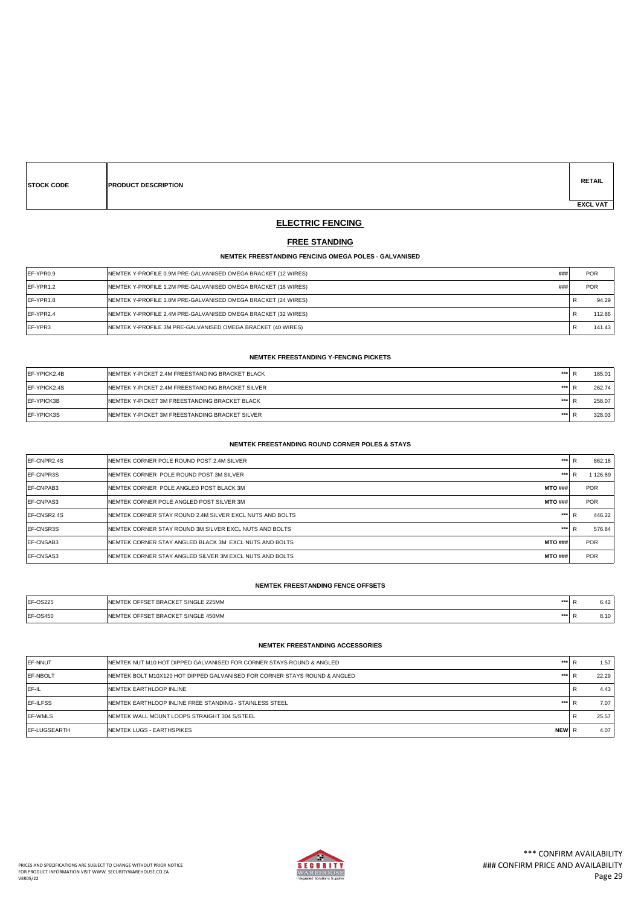| <b>STOCK CODE</b> | <b>PRODUCT DESCRIPTION</b> |  |  | <b>RETAIL</b>   |
|-------------------|----------------------------|--|--|-----------------|
|                   |                            |  |  | <b>EXCL VAT</b> |

# **ELECTRIC FENCING**

### **FREE STANDING**

#### **NEMTEK FREESTANDING FENCING OMEGA POLES - GALVANISED**

| EF-YPR0.9       | ###<br>NEMTEK Y-PROFILE 0.9M PRE-GALVANISED OMEGA BRACKET (12 WIRES)  | <b>POR</b> |
|-----------------|-----------------------------------------------------------------------|------------|
| EF-YPR1.2       | ###<br>INEMTEK Y-PROFILE 1.2M PRE-GALVANISED OMEGA BRACKET (16 WIRES) | <b>POR</b> |
| EF-YPR1.8       | NEMTEK Y-PROFILE 1.8M PRE-GALVANISED OMEGA BRACKET (24 WIRES)         | 94.29      |
| EF-YPR2.4       | NEMTEK Y-PROFILE 2.4M PRE-GALVANISED OMEGA BRACKET (32 WIRES)         | 112.86     |
| <b>IEF-YPR3</b> | <b>INEMTEK Y-PROFILE 3M PRE-GALVANISED OMEGA BRACKET (40 WIRES)</b>   | 141.43     |

#### **NEMTEK FREESTANDING Y-FENCING PICKETS**

| EF-YPICK2.4B      | ***<br>INEMTEK Y-PICKET 2.4M FREESTANDING BRACKET BLACK         |  | 185.01 |
|-------------------|-----------------------------------------------------------------|--|--------|
| EF-YPICK2.4S      | ***<br><b>INEMTEK Y-PICKET 2.4M FREESTANDING BRACKET SILVER</b> |  | 262.74 |
| EF-YPICK3B        | ***<br><b>INEMTEK Y-PICKET 3M FREESTANDING BRACKET BLACK</b>    |  | 258.07 |
| <b>EF-YPICK3S</b> | ***<br>INEMTEK Y-PICKET 3M FREESTANDING BRACKET SILVER          |  | 328.03 |

#### **NEMTEK FREESTANDING ROUND CORNER POLES & STAYS**

| <b>IEF-CNPR2.4S</b> | NEMTEK CORNER POLE ROUND POST 2.4M SILVER                | ***            | D | 862.18     |
|---------------------|----------------------------------------------------------|----------------|---|------------|
| <b>IEF-CNPR3S</b>   | NEMTEK CORNER POLE ROUND POST 3M SILVER                  | ***            | D | 1 126.89   |
| <b>IEF-CNPAB3</b>   | NEMTEK CORNER POLE ANGLED POST BLACK 3M                  | <b>MTO ###</b> |   | <b>POR</b> |
| <b>IEF-CNPAS3</b>   | NEMTEK CORNER POLE ANGLED POST SILVER 3M                 | <b>MTO###</b>  |   | <b>POR</b> |
| <b>IEF-CNSR2.4S</b> | NEMTEK CORNER STAY ROUND 2.4M SILVER EXCL NUTS AND BOLTS | ***            | D | 446.22     |
| <b>IEF-CNSR3S</b>   | NEMTEK CORNER STAY ROUND 3M SILVER EXCL NUTS AND BOLTS   | ***            | R | 576.84     |
| <b>IEF-CNSAB3</b>   | NEMTEK CORNER STAY ANGLED BLACK 3M EXCL NUTS AND BOLTS   | <b>MTO###</b>  |   | <b>POR</b> |
| <b>IEF-CNSAS3</b>   | NEMTEK CORNER STAY ANGLED SILVER 3M EXCL NUTS AND BOLTS  | <b>MTO ###</b> |   | <b>POR</b> |
|                     |                                                          |                |   |            |

#### **NEMTEK FREESTANDING FENCE OFFSETS**

| EF-OS225 | 225MM<br>0.01777<br>***<br><b>T BRAGN</b> |  | $\sim$ $\sim$<br>0.42               |
|----------|-------------------------------------------|--|-------------------------------------|
| EF-OS450 | 450MM<br>***<br>RR ∆<br>SING.             |  | $\overline{A}$<br><b></b><br>$\sim$ |

#### **NEMTEK FREESTANDING ACCESSORIES**

| <b>IEF-NNUT</b>      | ***<br>INEMTEK NUT M10 HOT DIPPED GALVANISED FOR CORNER STAYS ROUND & ANGLED      | 1.57  |
|----------------------|-----------------------------------------------------------------------------------|-------|
| <b>IEF-NBOLT</b>     | ***<br>INEMTEK BOLT M10X120 HOT DIPPED GALVANISED FOR CORNER STAYS ROUND & ANGLED | 22.29 |
| <b>IEF-IL</b>        | NEMTEK EARTHLOOP INLINE                                                           | 4.43  |
| <b>IEF-ILFSS</b>     | ***<br>INEMTEK EARTHLOOP INLINE FREE STANDING - STAINLESS STEEL                   | 7.07  |
| <b>IEF-WMLS</b>      | INEMTEK WALL MOUNT LOOPS STRAIGHT 304 S/STEEL                                     | 25.57 |
| <b>IEF-LUGSEARTH</b> | <b>NEWIR</b><br><b>INEMTEK LUGS - EARTHSPIKES</b>                                 | 4.07  |

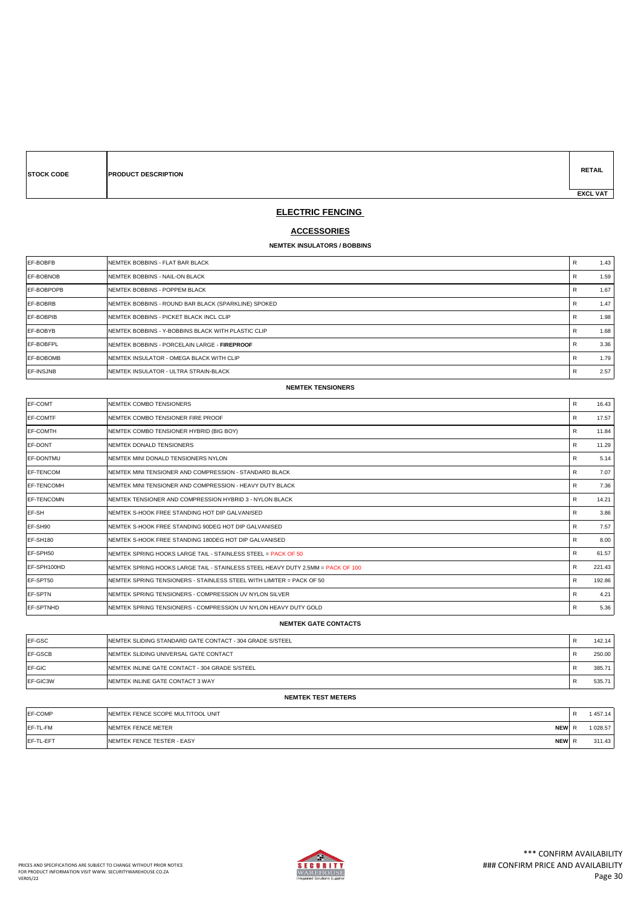| <b>STOCK CODI</b> |  |
|-------------------|--|
|                   |  |

**E PRODUCT DESCRIPTION** 

**RETAIL EXCL VAT** 

### **ELECTRIC FENCING**

### **ACCESSORIES**

#### **NEMTEK INSULATORS / BOBBINS**

| EF-BOBFB         | INEMTEK BOBBINS - FLAT BAR BLACK                    | R | 1.43 |
|------------------|-----------------------------------------------------|---|------|
| <b>EF-BOBNOB</b> | NEMTEK BOBBINS - NAIL-ON BLACK                      | R | 1.59 |
| EF-BOBPOPB       | NEMTEK BOBBINS - POPPEM BLACK                       | R | 1.67 |
| EF-BOBRB         | NEMTEK BOBBINS - ROUND BAR BLACK (SPARKLINE) SPOKED | R | 1.47 |
| EF-BOBPIB        | INEMTEK BOBBINS - PICKET BLACK INCL CLIP            | R | 1.98 |
| EF-BOBYB         | NEMTEK BOBBINS - Y-BOBBINS BLACK WITH PLASTIC CLIP  | R | 1.68 |
| EF-BOBFPL        | INEMTEK BOBBINS - PORCELAIN LARGE - FIREPROOF       | R | 3.36 |
| EF-BOBOMB        | NEMTEK INSULATOR - OMEGA BLACK WITH CLIP            | R | 1.79 |
| EF-INSJNB        | INEMTEK INSULATOR - ULTRA STRAIN-BLACK              | R | 2.57 |

#### **NEMTEK TENSIONERS**

| EF-COMT           | NEMTEK COMBO TENSIONERS                                                         | R            | 16.43  |
|-------------------|---------------------------------------------------------------------------------|--------------|--------|
| <b>EF-COMTF</b>   | NEMTEK COMBO TENSIONER FIRE PROOF                                               | R            | 17.57  |
| <b>IEF-COMTH</b>  | NEMTEK COMBO TENSIONER HYBRID (BIG BOY)                                         | R            | 11.84  |
| <b>EF-DONT</b>    | NEMTEK DONALD TENSIONERS                                                        | R            | 11.29  |
| <b>EF-DONTMU</b>  | NEMTEK MINI DONALD TENSIONERS NYLON                                             | R            | 5.14   |
| <b>EF-TENCOM</b>  | NEMTEK MINI TENSIONER AND COMPRESSION - STANDARD BLACK                          | R            | 7.07   |
| <b>EF-TENCOMH</b> | NEMTEK MINI TENSIONER AND COMPRESSION - HEAVY DUTY BLACK                        | R            | 7.36   |
| <b>EF-TENCOMN</b> | NEMTEK TENSIONER AND COMPRESSION HYBRID 3 - NYLON BLACK                         | $\mathsf{R}$ | 14.21  |
| EF-SH             | NEMTEK S-HOOK FREE STANDING HOT DIP GALVANISED                                  | R            | 3.86   |
| EF-SH90           | NEMTEK S-HOOK FREE STANDING 90DEG HOT DIP GALVANISED                            | R            | 7.57   |
| EF-SH180          | NEMTEK S-HOOK FREE STANDING 180DEG HOT DIP GALVANISED                           | R            | 8.00   |
| EF-SPH50          | NEMTEK SPRING HOOKS LARGE TAIL - STAINLESS STEEL = PACK OF 50                   | R            | 61.57  |
| EF-SPH100HD       | NEMTEK SPRING HOOKS LARGE TAIL - STAINLESS STEEL HEAVY DUTY 2.5MM = PACK OF 100 | R            | 221.43 |
| EF-SPT50          | NEMTEK SPRING TENSIONERS - STAINLESS STEEL WITH LIMITER = PACK OF 50            | R            | 192.86 |
| <b>EF-SPTN</b>    | NEMTEK SPRING TENSIONERS - COMPRESSION UV NYLON SILVER                          | R            | 4.21   |
| <b>EF-SPTNHD</b>  | NEMTEK SPRING TENSIONERS - COMPRESSION UV NYLON HEAVY DUTY GOLD                 | R            | 5.36   |

#### **NEMTEK GATE CONTACTS**

| EF-GSC   | INEMTEK SLIDING STANDARD GATE CONTACT - 304 GRADE S/STEEL | Ð<br>$\mathbf{r}$ | 142.14 |
|----------|-----------------------------------------------------------|-------------------|--------|
| EF-GSCB  | NEMTEK SLIDING UNIVERSAL GATE CONTACT                     | Ð<br>$\mathbf{r}$ | 250.00 |
| EF-GIC   | NEMTEK INLINE GATE CONTACT - 304 GRADE S/STEEL            | $\mathbf{r}$      | 385.71 |
| EF-GIC3W | NEMTEK INLINE GATE CONTACT 3 WAY                          |                   | 535.71 |

#### **NEMTEK TEST METERS**

| EF-COMP   | <b>INEMTEK FENCE SCOPE MULTITOOL UNIT</b>        | 457.14   |
|-----------|--------------------------------------------------|----------|
| EF-TL-FM  | <b>NEW</b><br><b>INEMTEK FENCE METER</b>         | 1 028.57 |
| EF-TL-EFT | <b>NEW</b><br><b>INEMTEK FENCE TESTER - EASY</b> | 311.43   |

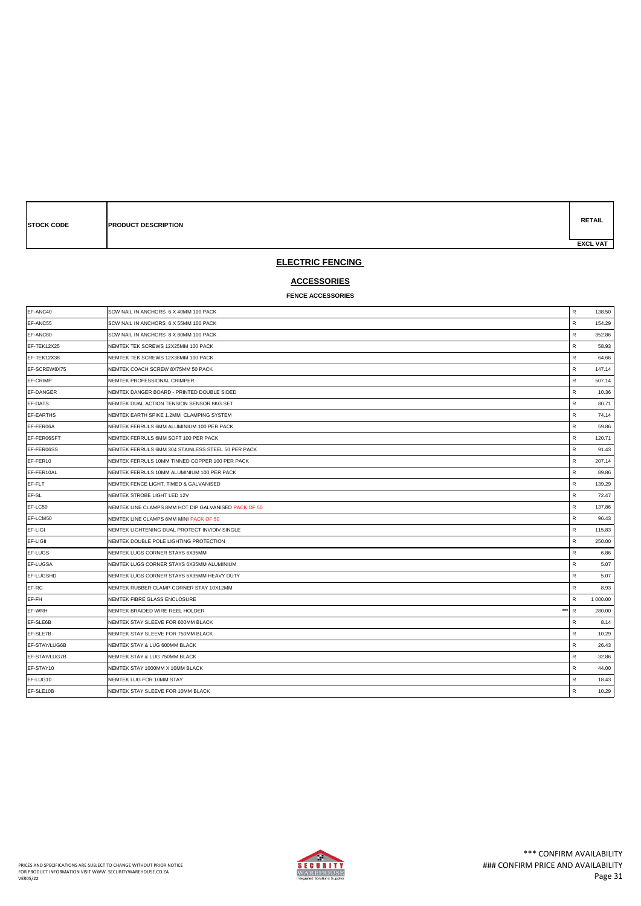| <b>STOCK CODE</b> | <b>PRODUCT DESCRIPTION</b> | <b>RETAIL</b>   |
|-------------------|----------------------------|-----------------|
|                   |                            | <b>EXCL VAT</b> |

### **ELECTRIC FENCING**

# **ACCESSORIES**

### **FENCE ACCESSORIES**

| EF-ANC40      | SCW NAIL IN ANCHORS 6 X 40MM 100 PACK                | $\mathsf{R}$ | 138.50   |
|---------------|------------------------------------------------------|--------------|----------|
| EF-ANC55      | SCW NAIL IN ANCHORS 6 X 55MM 100 PACK                | $\mathsf{R}$ | 154.29   |
| EF-ANC80      | SCW NAIL IN ANCHORS 8 X 80MM 100 PACK                | $\mathsf{R}$ | 352.86   |
| EF-TEK12X25   | NEMTEK TEK SCREWS 12X25MM 100 PACK                   | R            | 58.93    |
| EF-TEK12X38   | NEMTEK TEK SCREWS 12X38MM 100 PACK                   | R            | 64.66    |
| EF-SCREW8X75  | NEMTEK COACH SCREW 8X75MM 50 PACK                    | R            | 147.14   |
| EF-CRIMP      | NEMTEK PROFESSIONAL CRIMPER                          | R            | 507.14   |
| EF-DANGER     | NEMTEK DANGER BOARD - PRINTED DOUBLE SIDED           | $\mathsf{R}$ | 10.36    |
| EF-DATS       | NEMTEK DUAL ACTION TENSION SENSOR 8KG SET            | $\mathsf{R}$ | 80.71    |
| EF-EARTHS     | NEMTEK EARTH SPIKE 1.2MM CLAMPING SYSTEM             | $\mathsf{R}$ | 74.14    |
| EF-FER06A     | NEMTEK FERRULS 6MM ALUMINIUM 100 PER PACK            | R            | 59.86    |
| EF-FER06SFT   | NEMTEK FERRULS 6MM SOFT 100 PER PACK                 | R            | 120.71   |
| EF-FER06SS    | NEMTEK FERRULS 6MM 304 STAINLESS STEEL 50 PER PACK   | $\mathsf{R}$ | 91.43    |
| EF-FER10      | NEMTEK FERRULS 10MM TINNED COPPER 100 PER PACK       | $\mathsf{R}$ | 207.14   |
| EF-FER10AL    | NEMTEK FERRULS 10MM ALUMINIUM 100 PER PACK           | R            | 89.86    |
| EF-FLT        | NEMTEK FENCE LIGHT. TIMED & GALVANISED               | R            | 139.29   |
| EF-SL         | NEMTEK STROBE LIGHT LED 12V                          | $\mathsf R$  | 72.47    |
| EF-LC50       | NEMTEK LINE CLAMPS 8MM HOT DIP GALVANISED PACK OF 50 | R            | 137.86   |
| EF-LCM50      | NEMTEK LINE CLAMPS 6MM MINI PACK OF 50               | ${\sf R}$    | 96.43    |
| EF-LIGI       | NEMTEK LIGHTENING DUAL PROTECT INV/DIV SINGLE        | R            | 115.83   |
| EF-LIGII      | NEMTEK DOUBLE POLE LIGHTING PROTECTION               | R            | 250.00   |
| EF-LUGS       | NEMTEK LUGS CORNER STAYS 6X35MM                      | $\mathsf R$  | 6.86     |
| EF-LUGSA      | NEMTEK LUGS CORNER STAYS 6X35MM ALUMINIUM            | R            | 5.07     |
| EF-LUGSHD     | NEMTEK LUGS CORNER STAYS 6X35MM HEAVY DUTY           | $\mathsf{R}$ | 5.07     |
| EF-RC         | NEMTEK RUBBER CLAMP-CORNER STAY 10X12MM              | R            | 8.93     |
| EF-FH         | NEMTEK FIBRE GLASS ENCLOSURE                         | $\mathsf{R}$ | 1 000.00 |
| EF-WRH        | $***$<br>NEMTEK BRAIDED WIRE REEL HOLDER             | $\mathsf{R}$ | 280.00   |
| EF-SLE6B      | NEMTEK STAY SLEEVE FOR 600MM BLACK                   | R            | 8.14     |
| EF-SLE7B      | NEMTEK STAY SLEEVE FOR 750MM BLACK                   | $\mathsf{R}$ | 10.29    |
| EF-STAY/LUG6B | NEMTEK STAY & LUG 600MM BLACK                        | ${\sf R}$    | 26.43    |
| EF-STAY/LUG7B | NEMTEK STAY & LUG 750MM BLACK                        | $\mathsf{R}$ | 32.86    |
| EF-STAY10     | NEMTEK STAY 1000MM X 10MM BLACK                      | $\mathsf{R}$ | 44.00    |
| EF-LUG10      | NEMTEK LUG FOR 10MM STAY                             | R            | 18.43    |
| EF-SLE10B     | NEMTEK STAY SLEEVE FOR 10MM BLACK                    | ${\sf R}$    | 10.29    |

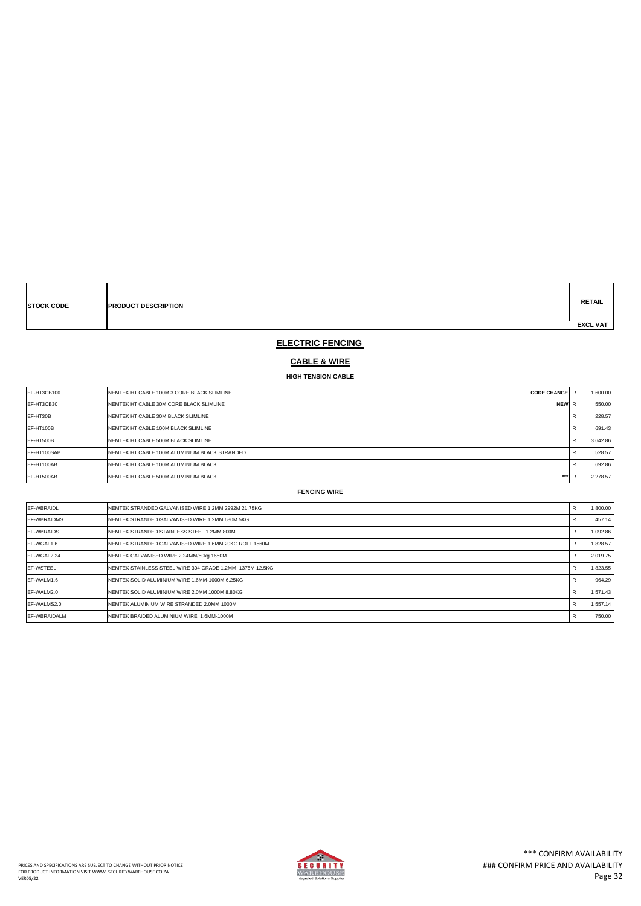**STOCK CODE PRODUCT DESCRIPTION**

**RETAIL EXCL VAT** 

### **ELECTRIC FENCING**

# **CABLE & WIRE**

**HIGH TENSION CABLE**

| EF-HT3CB100  | <b>INEMTEK HT CABLE 100M 3 CORE BLACK SLIMLINE</b><br><b>CODE CHANGE R</b> | 1 600.00     |
|--------------|----------------------------------------------------------------------------|--------------|
| IEF-HT3CB30  | <b>INEMTEK HT CABLE 30M CORE BLACK SLIMLINE</b><br><b>NEW</b>              | 550.00       |
| EF-HT30B     | <b>INEMTEK HT CABLE 30M BLACK SLIMLINE</b>                                 | 228.57       |
| IEF-HT100B   | <b>INEMTEK HT CABLE 100M BLACK SLIMLINE</b>                                | 691.43       |
| IEF-HT500B   | <b>INEMTEK HT CABLE 500M BLACK SLIMLINE</b>                                | 3642.86      |
| IEF-HT100SAB | <b>INEMTEK HT CABLE 100M ALUMINIUM BLACK STRANDED</b>                      | 528.57       |
| EF-HT100AB   | <b>INEMTEK HT CABLE 100M ALUMINIUM BLACK</b>                               | 692.86       |
| EF-HT500AB   | ***<br><b>INEMTEK HT CABLE 500M ALUMINIUM BLACK</b>                        | 2 2 7 8 .5 7 |

| EF-WBRAIDL           | NEMTEK STRANDED GALVANISED WIRE 1.2MM 2992M 21.75KG       | R | 1800.00       |
|----------------------|-----------------------------------------------------------|---|---------------|
| <b>IEF-WBRAIDMS</b>  | NEMTEK STRANDED GALVANISED WIRE 1.2MM 680M 5KG            |   | 457.14        |
| <b>IEF-WBRAIDS</b>   | NEMTEK STRANDED STAINLESS STEEL 1.2MM 800M                | R | 1092.86       |
| IEF-WGAL1.6          | NEMTEK STRANDED GALVANISED WIRE 1.6MM 20KG ROLL 1560M     | R | 1828.57       |
| IEF-WGAL2.24         | NEMTEK GALVANISED WIRE 2.24MM/50kg 1650M                  | R | 2 0 1 9 . 7 5 |
| <b>IEF-WSTEEL</b>    | INEMTEK STAINLESS STEEL WIRE 304 GRADE 1.2MM 1375M 12.5KG | R | 1823.55       |
| IEF-WALM1.6          | NEMTEK SOLID ALUMINIUM WIRE 1.6MM-1000M 6.25KG            |   | 964.29        |
| IEF-WALM2.0          | NEMTEK SOLID ALUMINIUM WIRE 2.0MM 1000M 8.80KG            | R | 1 571.43      |
| IEF-WALMS2.0         | NEMTEK ALUMINIUM WIRE STRANDED 2.0MM 1000M                | R | 1 557.14      |
| <b>IEF-WBRAIDALM</b> | NEMTEK BRAIDED ALUMINIUM WIRE 1.6MM-1000M                 | R | 750.00        |
|                      |                                                           |   |               |